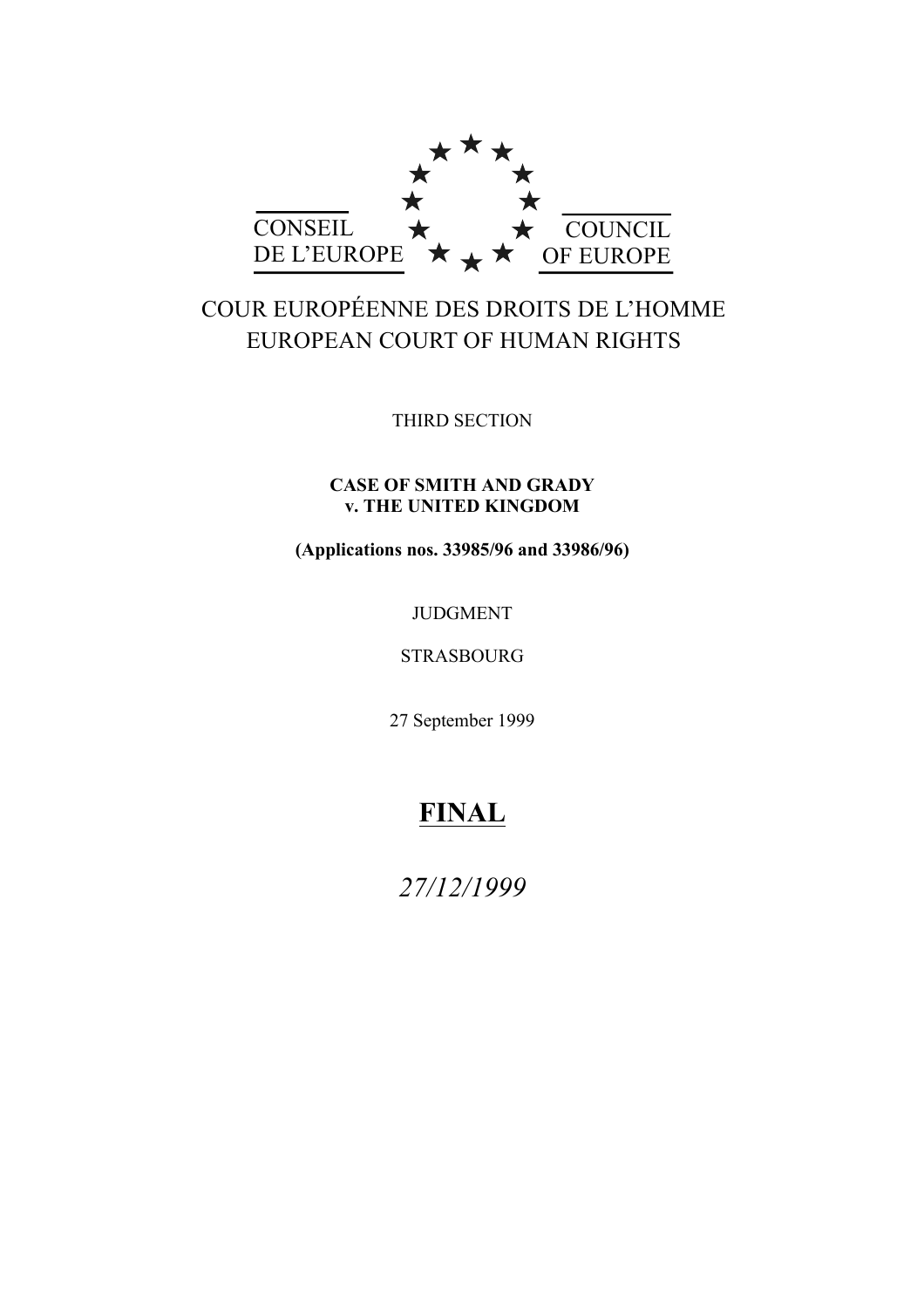

# COUR EUROPÉENNE DES DROITS DE L'HOMME EUROPEAN COURT OF HUMAN RIGHTS

THIRD SECTION

# **CASE OF SMITH AND GRADY v. THE UNITED KINGDOM**

**(Applications nos. 33985/96 and 33986/96)**

JUDGMENT

STRASBOURG

27 September 1999

# **FINAL**

*27/12/1999*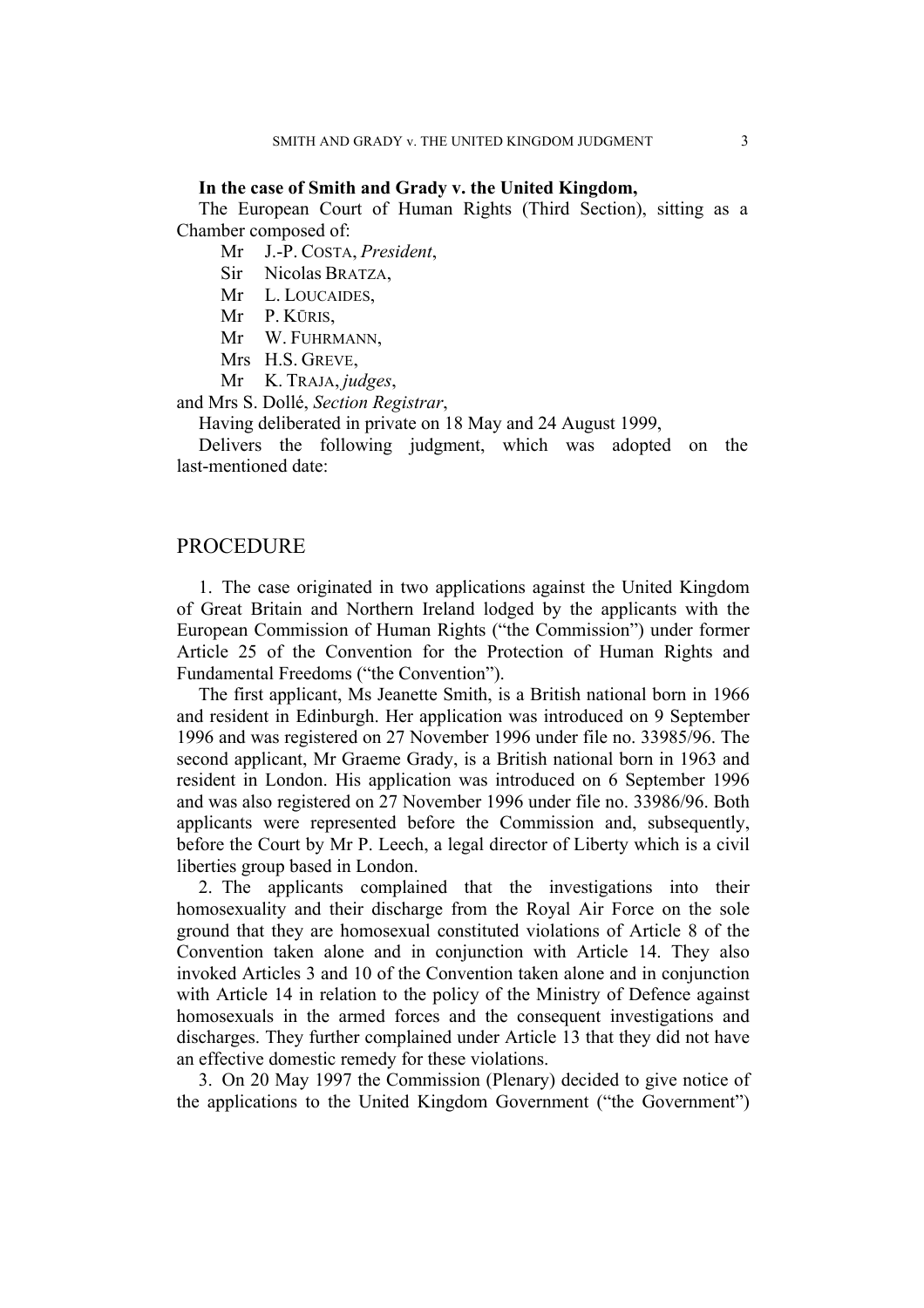#### **In the case of Smith and Grady v. the United Kingdom,**

The European Court of Human Rights (Third Section), sitting as a Chamber composed of:

Mr J.-P. COSTA, *President*,

Sir Nicolas BRATZA,

Mr L. LOUCAIDES,

Mr P. KŪRIS,

Mr W. FUHRMANN,

Mrs H.S. GREVE,

Mr K. TRAJA, *judges*,

and Mrs S. Dollé, *Section Registrar*,

Having deliberated in private on 18 May and 24 August 1999,

Delivers the following judgment, which was adopted on the last-mentioned date:

## PROCEDURE

1. The case originated in two applications against the United Kingdom of Great Britain and Northern Ireland lodged by the applicants with the European Commission of Human Rights ("the Commission") under former Article 25 of the Convention for the Protection of Human Rights and Fundamental Freedoms ("the Convention").

The first applicant, Ms Jeanette Smith, is a British national born in 1966 and resident in Edinburgh. Her application was introduced on 9 September 1996 and was registered on 27 November 1996 under file no. 33985/96. The second applicant, Mr Graeme Grady, is a British national born in 1963 and resident in London. His application was introduced on 6 September 1996 and was also registered on 27 November 1996 under file no. 33986/96. Both applicants were represented before the Commission and, subsequently, before the Court by Mr P. Leech, a legal director of Liberty which is a civil liberties group based in London.

2. The applicants complained that the investigations into their homosexuality and their discharge from the Royal Air Force on the sole ground that they are homosexual constituted violations of Article 8 of the Convention taken alone and in conjunction with Article 14. They also invoked Articles 3 and 10 of the Convention taken alone and in conjunction with Article 14 in relation to the policy of the Ministry of Defence against homosexuals in the armed forces and the consequent investigations and discharges. They further complained under Article 13 that they did not have an effective domestic remedy for these violations.

3. On 20 May 1997 the Commission (Plenary) decided to give notice of the applications to the United Kingdom Government ("the Government")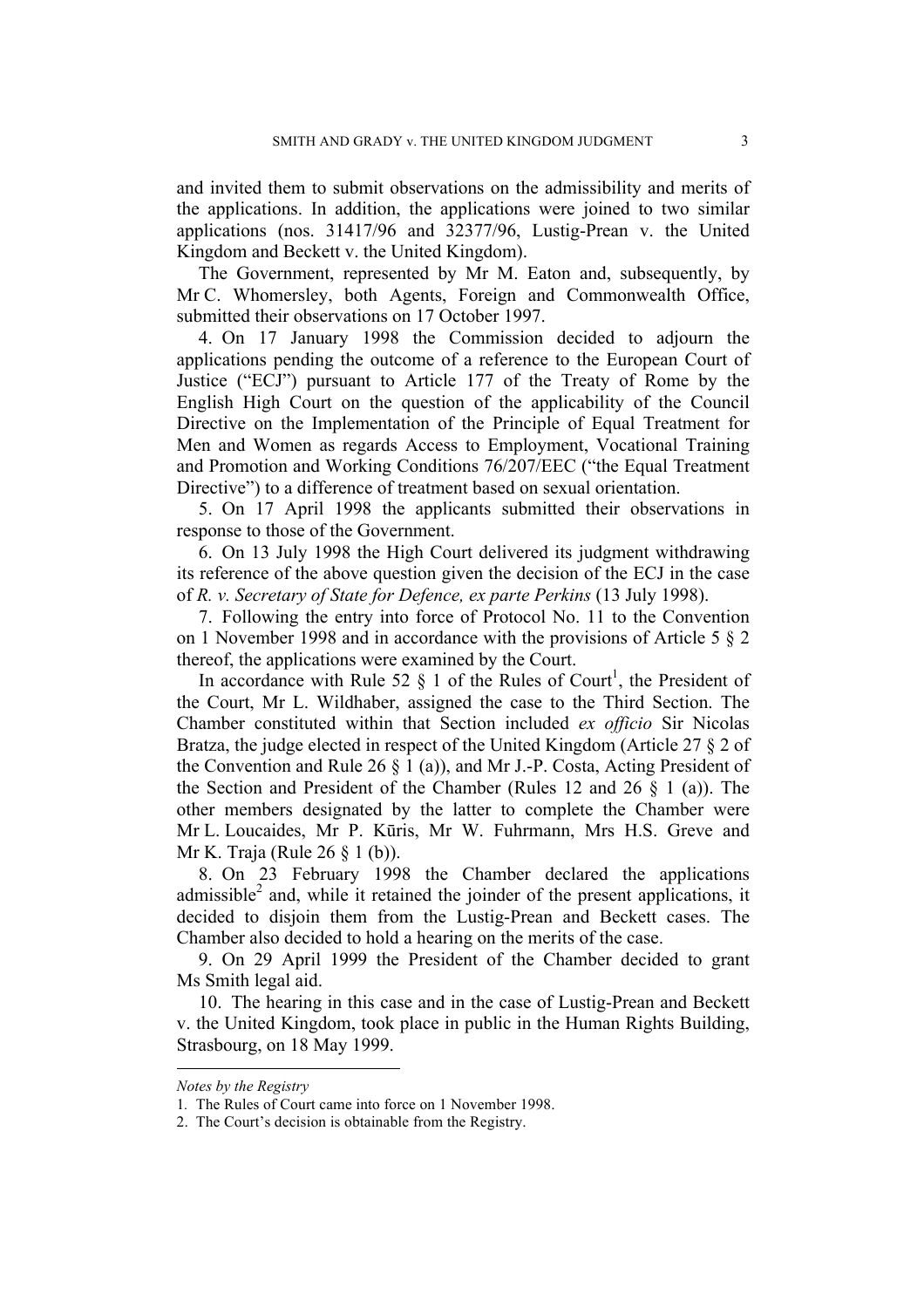and invited them to submit observations on the admissibility and merits of the applications. In addition, the applications were joined to two similar applications (nos. 31417/96 and 32377/96, Lustig-Prean v. the United Kingdom and Beckett v. the United Kingdom).

The Government, represented by Mr M. Eaton and, subsequently, by Mr C. Whomersley, both Agents, Foreign and Commonwealth Office, submitted their observations on 17 October 1997.

4. On 17 January 1998 the Commission decided to adjourn the applications pending the outcome of a reference to the European Court of Justice ("ECJ") pursuant to Article 177 of the Treaty of Rome by the English High Court on the question of the applicability of the Council Directive on the Implementation of the Principle of Equal Treatment for Men and Women as regards Access to Employment, Vocational Training and Promotion and Working Conditions 76/207/EEC ("the Equal Treatment Directive") to a difference of treatment based on sexual orientation.

5. On 17 April 1998 the applicants submitted their observations in response to those of the Government.

6. On 13 July 1998 the High Court delivered its judgment withdrawing its reference of the above question given the decision of the ECJ in the case of *R. v. Secretary of State for Defence, ex parte Perkins* (13 July 1998).

7. Following the entry into force of Protocol No. 11 to the Convention on 1 November 1998 and in accordance with the provisions of Article 5 § 2 thereof, the applications were examined by the Court.

In accordance with Rule 52  $\S$  1 of the Rules of Court<sup>1</sup>, the President of the Court, Mr L. Wildhaber, assigned the case to the Third Section. The Chamber constituted within that Section included *ex officio* Sir Nicolas Bratza, the judge elected in respect of the United Kingdom (Article 27 § 2 of the Convention and Rule 26 § 1 (a)), and Mr J.-P. Costa, Acting President of the Section and President of the Chamber (Rules 12 and 26 § 1 (a)). The other members designated by the latter to complete the Chamber were Mr L. Loucaides, Mr P. Kūris, Mr W. Fuhrmann, Mrs H.S. Greve and Mr K. Traja (Rule 26 § 1 (b)).

8. On 23 February 1998 the Chamber declared the applications admissible<sup>2</sup> and, while it retained the joinder of the present applications, it decided to disjoin them from the Lustig-Prean and Beckett cases. The Chamber also decided to hold a hearing on the merits of the case.

9. On 29 April 1999 the President of the Chamber decided to grant Ms Smith legal aid.

10. The hearing in this case and in the case of Lustig-Prean and Beckett v. the United Kingdom, took place in public in the Human Rights Building, Strasbourg, on 18 May 1999.

 $\overline{a}$ 

*Notes by the Registry*

<sup>1</sup>*.* The Rules of Court came into force on 1 November 1998.

<sup>2.</sup> The Court's decision is obtainable from the Registry.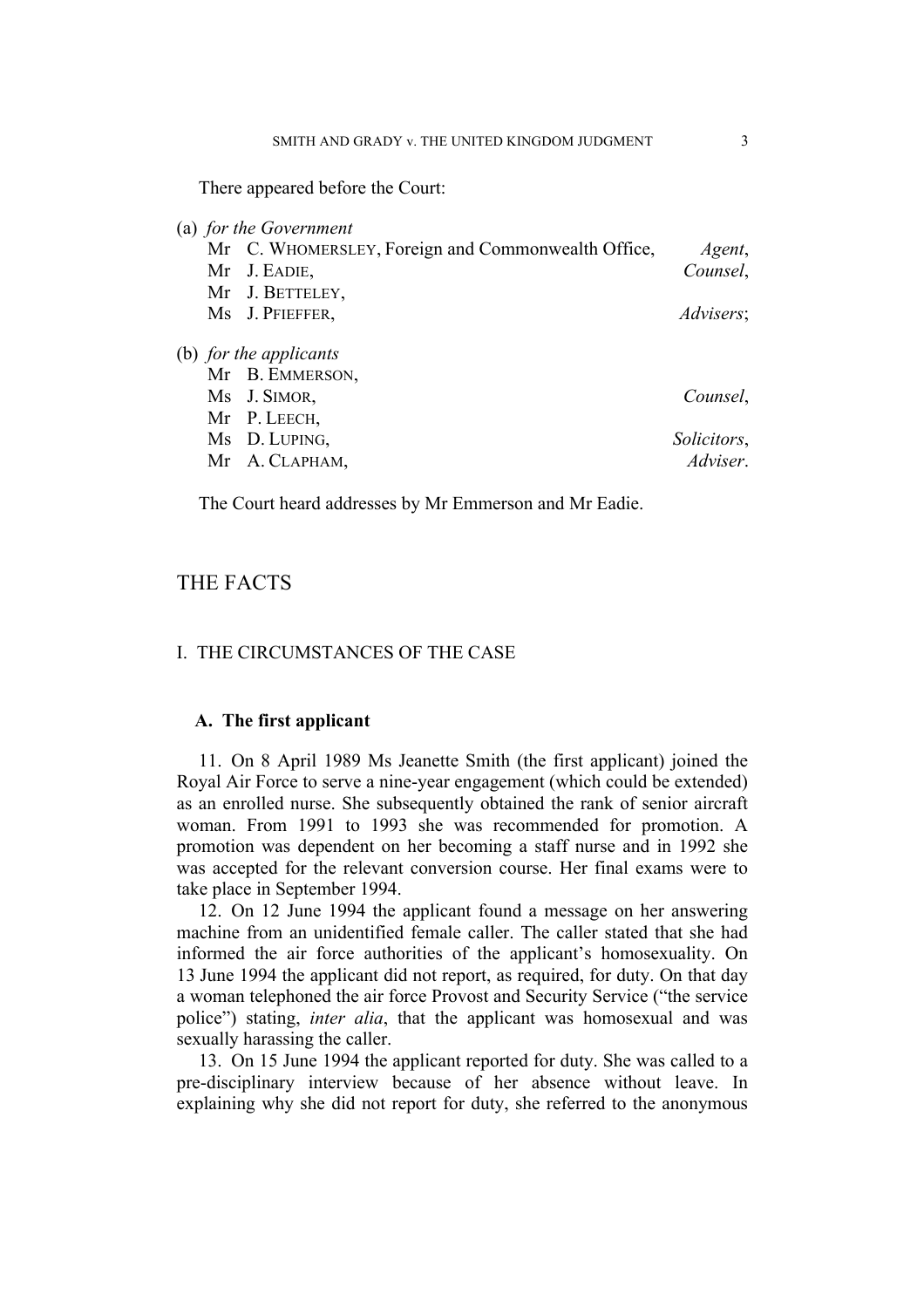There appeared before the Court:

|                                           | (a) for the Government                             |                    |
|-------------------------------------------|----------------------------------------------------|--------------------|
|                                           | Mr C. WHOMERSLEY, Foreign and Commonwealth Office, | Agent,             |
|                                           | Mr J. EADIE,                                       | Counsel,           |
|                                           | Mr J. BETTELEY,                                    |                    |
|                                           | Ms J. PFIEFFER,                                    | Advisers;          |
| (b) for the applicants<br>Mr B. EMMERSON, |                                                    |                    |
|                                           | Ms J. SIMOR,                                       | Counsel,           |
|                                           | Mr P. LEECH,                                       |                    |
|                                           | Ms D. LUPING,                                      | <i>Solicitors,</i> |
|                                           | Mr A. CLAPHAM,                                     | Adviser.           |
|                                           |                                                    |                    |

The Court heard addresses by Mr Emmerson and Mr Eadie.

# THE FACTS

## I. THE CIRCUMSTANCES OF THE CASE

## **A. The first applicant**

11. On 8 April 1989 Ms Jeanette Smith (the first applicant) joined the Royal Air Force to serve a nine-year engagement (which could be extended) as an enrolled nurse. She subsequently obtained the rank of senior aircraft woman. From 1991 to 1993 she was recommended for promotion. A promotion was dependent on her becoming a staff nurse and in 1992 she was accepted for the relevant conversion course. Her final exams were to take place in September 1994.

12. On 12 June 1994 the applicant found a message on her answering machine from an unidentified female caller. The caller stated that she had informed the air force authorities of the applicant's homosexuality. On 13 June 1994 the applicant did not report, as required, for duty. On that day a woman telephoned the air force Provost and Security Service ("the service police") stating, *inter alia*, that the applicant was homosexual and was sexually harassing the caller.

13. On 15 June 1994 the applicant reported for duty. She was called to a pre-disciplinary interview because of her absence without leave. In explaining why she did not report for duty, she referred to the anonymous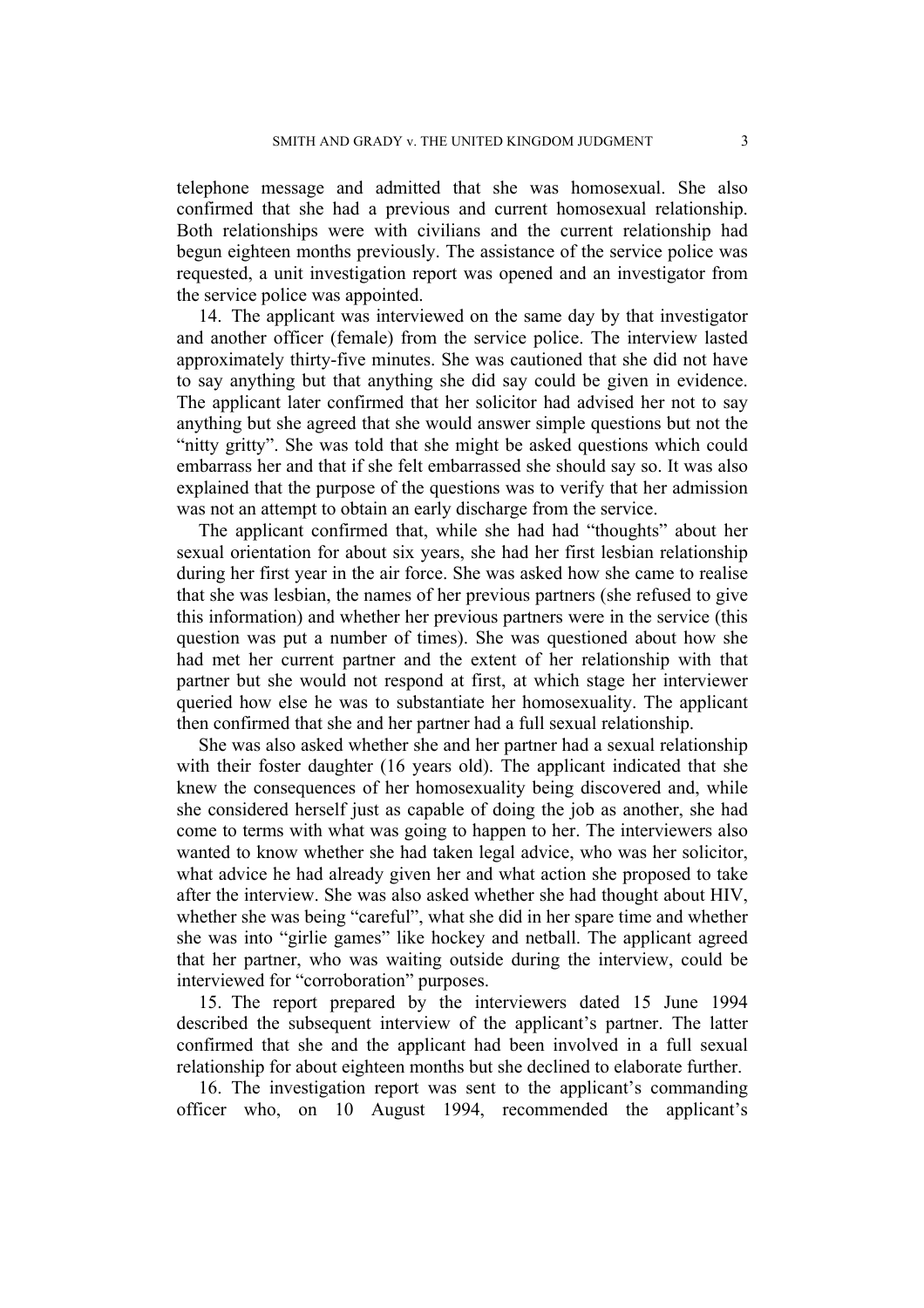telephone message and admitted that she was homosexual. She also confirmed that she had a previous and current homosexual relationship. Both relationships were with civilians and the current relationship had begun eighteen months previously. The assistance of the service police was requested, a unit investigation report was opened and an investigator from the service police was appointed.

14. The applicant was interviewed on the same day by that investigator and another officer (female) from the service police. The interview lasted approximately thirty-five minutes. She was cautioned that she did not have to say anything but that anything she did say could be given in evidence. The applicant later confirmed that her solicitor had advised her not to say anything but she agreed that she would answer simple questions but not the "nitty gritty". She was told that she might be asked questions which could embarrass her and that if she felt embarrassed she should say so. It was also explained that the purpose of the questions was to verify that her admission was not an attempt to obtain an early discharge from the service.

The applicant confirmed that, while she had had "thoughts" about her sexual orientation for about six years, she had her first lesbian relationship during her first year in the air force. She was asked how she came to realise that she was lesbian, the names of her previous partners (she refused to give this information) and whether her previous partners were in the service (this question was put a number of times). She was questioned about how she had met her current partner and the extent of her relationship with that partner but she would not respond at first, at which stage her interviewer queried how else he was to substantiate her homosexuality. The applicant then confirmed that she and her partner had a full sexual relationship.

She was also asked whether she and her partner had a sexual relationship with their foster daughter (16 years old). The applicant indicated that she knew the consequences of her homosexuality being discovered and, while she considered herself just as capable of doing the job as another, she had come to terms with what was going to happen to her. The interviewers also wanted to know whether she had taken legal advice, who was her solicitor, what advice he had already given her and what action she proposed to take after the interview. She was also asked whether she had thought about HIV, whether she was being "careful", what she did in her spare time and whether she was into "girlie games" like hockey and netball. The applicant agreed that her partner, who was waiting outside during the interview, could be interviewed for "corroboration" purposes.

15. The report prepared by the interviewers dated 15 June 1994 described the subsequent interview of the applicant's partner. The latter confirmed that she and the applicant had been involved in a full sexual relationship for about eighteen months but she declined to elaborate further.

16. The investigation report was sent to the applicant's commanding officer who, on 10 August 1994, recommended the applicant's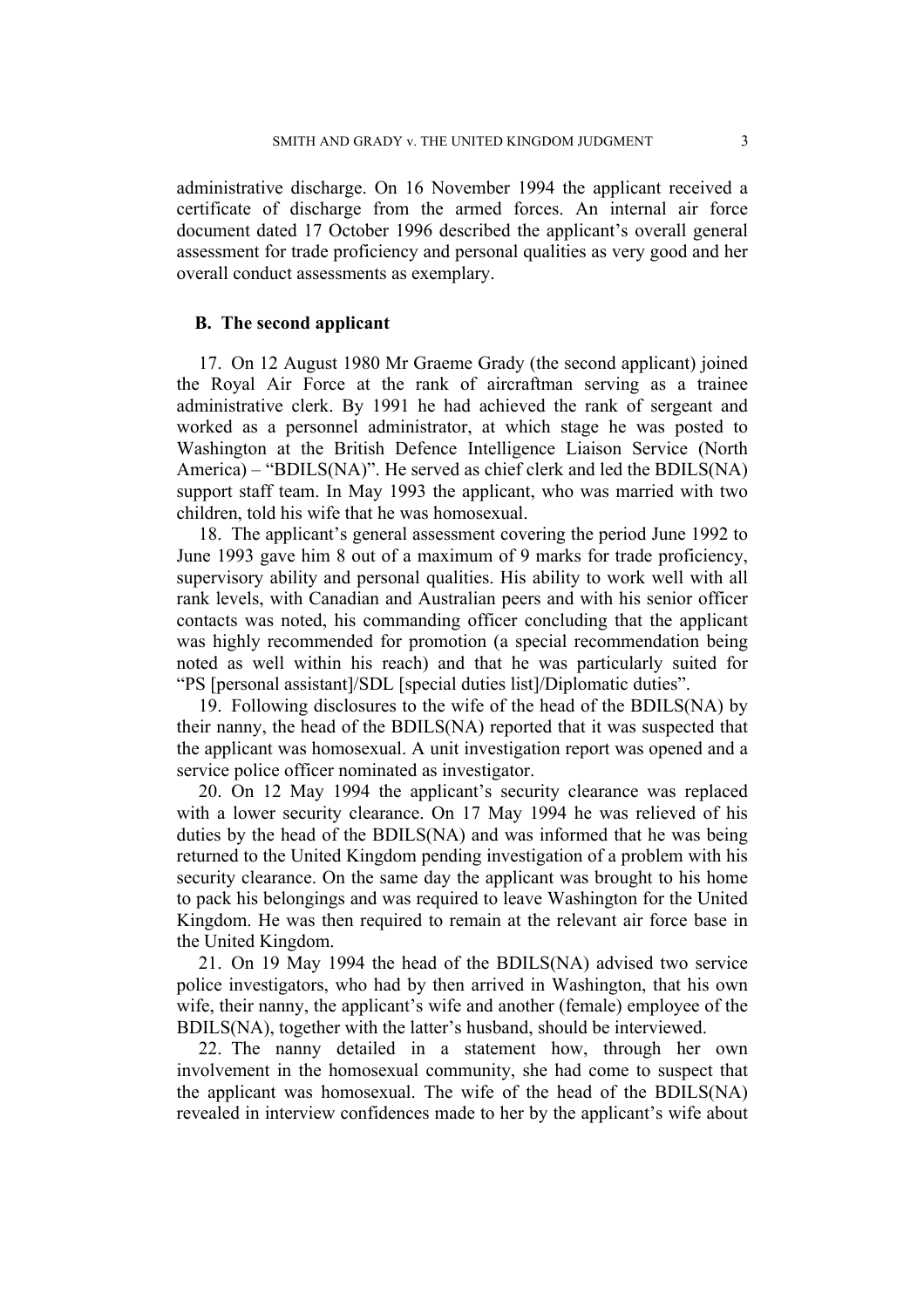administrative discharge. On 16 November 1994 the applicant received a certificate of discharge from the armed forces. An internal air force document dated 17 October 1996 described the applicant's overall general assessment for trade proficiency and personal qualities as very good and her overall conduct assessments as exemplary.

#### **B. The second applicant**

17. On 12 August 1980 Mr Graeme Grady (the second applicant) joined the Royal Air Force at the rank of aircraftman serving as a trainee administrative clerk. By 1991 he had achieved the rank of sergeant and worked as a personnel administrator, at which stage he was posted to Washington at the British Defence Intelligence Liaison Service (North America) – "BDILS(NA)". He served as chief clerk and led the BDILS(NA) support staff team. In May 1993 the applicant, who was married with two children, told his wife that he was homosexual.

18. The applicant's general assessment covering the period June 1992 to June 1993 gave him 8 out of a maximum of 9 marks for trade proficiency, supervisory ability and personal qualities. His ability to work well with all rank levels, with Canadian and Australian peers and with his senior officer contacts was noted, his commanding officer concluding that the applicant was highly recommended for promotion (a special recommendation being noted as well within his reach) and that he was particularly suited for "PS [personal assistant]/SDL [special duties list]/Diplomatic duties".

19. Following disclosures to the wife of the head of the BDILS(NA) by their nanny, the head of the BDILS(NA) reported that it was suspected that the applicant was homosexual. A unit investigation report was opened and a service police officer nominated as investigator.

20. On 12 May 1994 the applicant's security clearance was replaced with a lower security clearance. On 17 May 1994 he was relieved of his duties by the head of the BDILS(NA) and was informed that he was being returned to the United Kingdom pending investigation of a problem with his security clearance. On the same day the applicant was brought to his home to pack his belongings and was required to leave Washington for the United Kingdom. He was then required to remain at the relevant air force base in the United Kingdom.

21. On 19 May 1994 the head of the BDILS(NA) advised two service police investigators, who had by then arrived in Washington, that his own wife, their nanny, the applicant's wife and another (female) employee of the BDILS(NA), together with the latter's husband, should be interviewed.

22. The nanny detailed in a statement how, through her own involvement in the homosexual community, she had come to suspect that the applicant was homosexual. The wife of the head of the BDILS(NA) revealed in interview confidences made to her by the applicant's wife about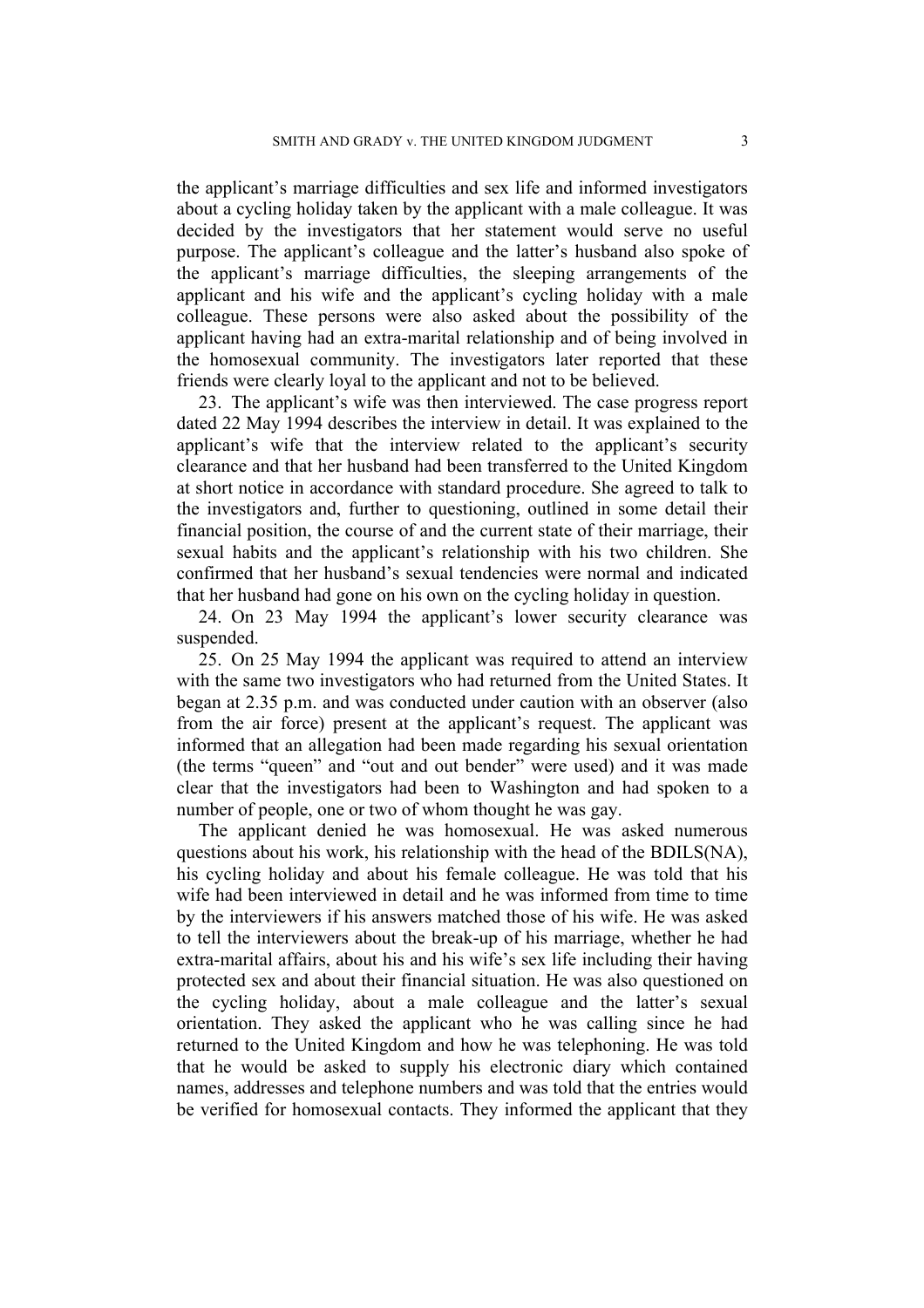the applicant's marriage difficulties and sex life and informed investigators about a cycling holiday taken by the applicant with a male colleague. It was decided by the investigators that her statement would serve no useful purpose. The applicant's colleague and the latter's husband also spoke of the applicant's marriage difficulties, the sleeping arrangements of the applicant and his wife and the applicant's cycling holiday with a male colleague. These persons were also asked about the possibility of the applicant having had an extra-marital relationship and of being involved in the homosexual community. The investigators later reported that these friends were clearly loyal to the applicant and not to be believed.

23. The applicant's wife was then interviewed. The case progress report dated 22 May 1994 describes the interview in detail. It was explained to the applicant's wife that the interview related to the applicant's security clearance and that her husband had been transferred to the United Kingdom at short notice in accordance with standard procedure. She agreed to talk to the investigators and, further to questioning, outlined in some detail their financial position, the course of and the current state of their marriage, their sexual habits and the applicant's relationship with his two children. She confirmed that her husband's sexual tendencies were normal and indicated that her husband had gone on his own on the cycling holiday in question.

24. On 23 May 1994 the applicant's lower security clearance was suspended.

25. On 25 May 1994 the applicant was required to attend an interview with the same two investigators who had returned from the United States. It began at 2.35 p.m. and was conducted under caution with an observer (also from the air force) present at the applicant's request. The applicant was informed that an allegation had been made regarding his sexual orientation (the terms "queen" and "out and out bender" were used) and it was made clear that the investigators had been to Washington and had spoken to a number of people, one or two of whom thought he was gay.

The applicant denied he was homosexual. He was asked numerous questions about his work, his relationship with the head of the BDILS(NA), his cycling holiday and about his female colleague. He was told that his wife had been interviewed in detail and he was informed from time to time by the interviewers if his answers matched those of his wife. He was asked to tell the interviewers about the break-up of his marriage, whether he had extra-marital affairs, about his and his wife's sex life including their having protected sex and about their financial situation. He was also questioned on the cycling holiday, about a male colleague and the latter's sexual orientation. They asked the applicant who he was calling since he had returned to the United Kingdom and how he was telephoning. He was told that he would be asked to supply his electronic diary which contained names, addresses and telephone numbers and was told that the entries would be verified for homosexual contacts. They informed the applicant that they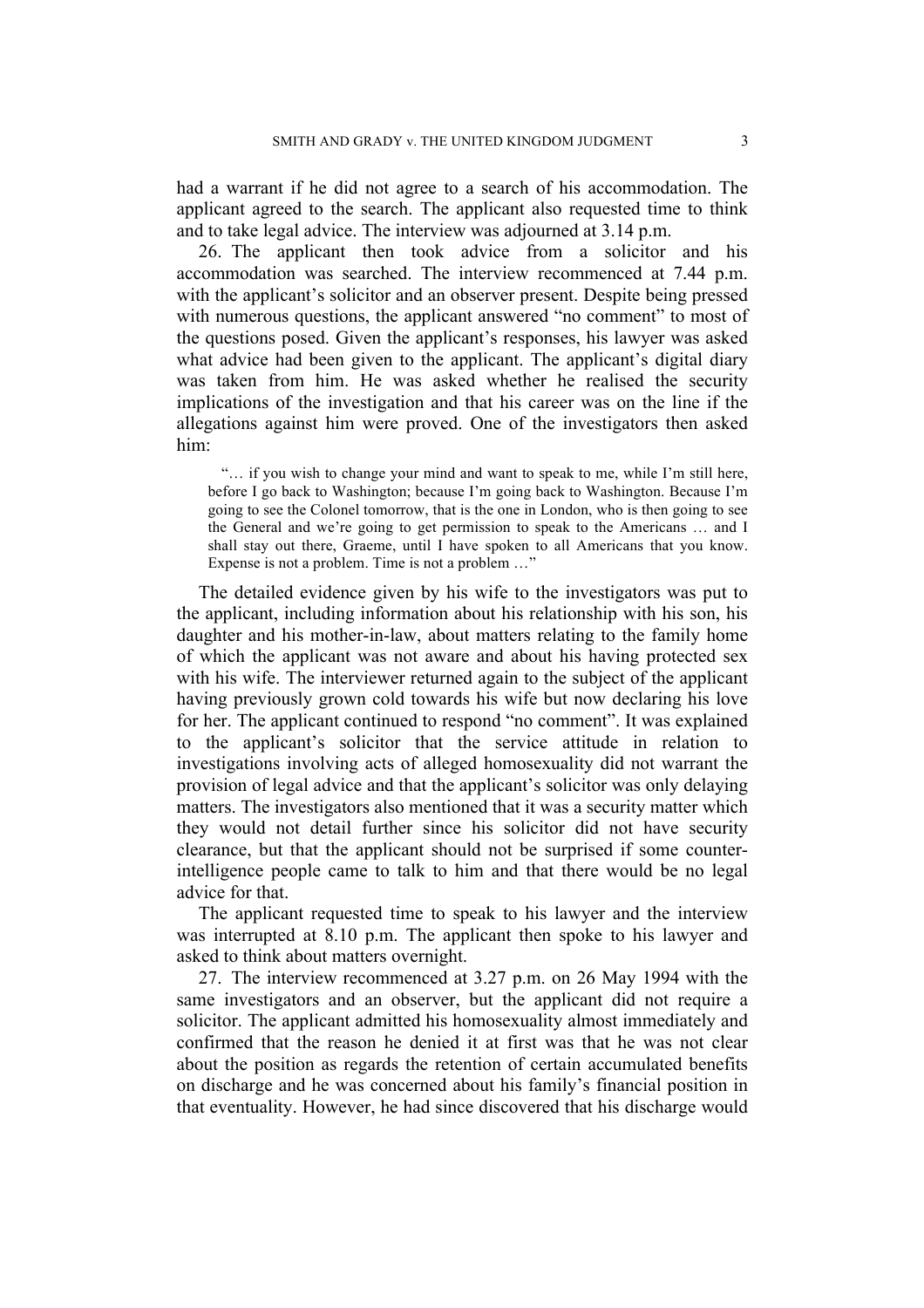had a warrant if he did not agree to a search of his accommodation. The applicant agreed to the search. The applicant also requested time to think and to take legal advice. The interview was adjourned at 3.14 p.m.

26. The applicant then took advice from a solicitor and his accommodation was searched. The interview recommenced at 7.44 p.m. with the applicant's solicitor and an observer present. Despite being pressed with numerous questions, the applicant answered "no comment" to most of the questions posed. Given the applicant's responses, his lawyer was asked what advice had been given to the applicant. The applicant's digital diary was taken from him. He was asked whether he realised the security implications of the investigation and that his career was on the line if the allegations against him were proved. One of the investigators then asked him:

"… if you wish to change your mind and want to speak to me, while I'm still here, before I go back to Washington; because I'm going back to Washington. Because I'm going to see the Colonel tomorrow, that is the one in London, who is then going to see the General and we're going to get permission to speak to the Americans … and I shall stay out there, Graeme, until I have spoken to all Americans that you know. Expense is not a problem. Time is not a problem …"

The detailed evidence given by his wife to the investigators was put to the applicant, including information about his relationship with his son, his daughter and his mother-in-law, about matters relating to the family home of which the applicant was not aware and about his having protected sex with his wife. The interviewer returned again to the subject of the applicant having previously grown cold towards his wife but now declaring his love for her. The applicant continued to respond "no comment". It was explained to the applicant's solicitor that the service attitude in relation to investigations involving acts of alleged homosexuality did not warrant the provision of legal advice and that the applicant's solicitor was only delaying matters. The investigators also mentioned that it was a security matter which they would not detail further since his solicitor did not have security clearance, but that the applicant should not be surprised if some counterintelligence people came to talk to him and that there would be no legal advice for that.

The applicant requested time to speak to his lawyer and the interview was interrupted at 8.10 p.m. The applicant then spoke to his lawyer and asked to think about matters overnight.

27. The interview recommenced at 3.27 p.m. on 26 May 1994 with the same investigators and an observer, but the applicant did not require a solicitor. The applicant admitted his homosexuality almost immediately and confirmed that the reason he denied it at first was that he was not clear about the position as regards the retention of certain accumulated benefits on discharge and he was concerned about his family's financial position in that eventuality. However, he had since discovered that his discharge would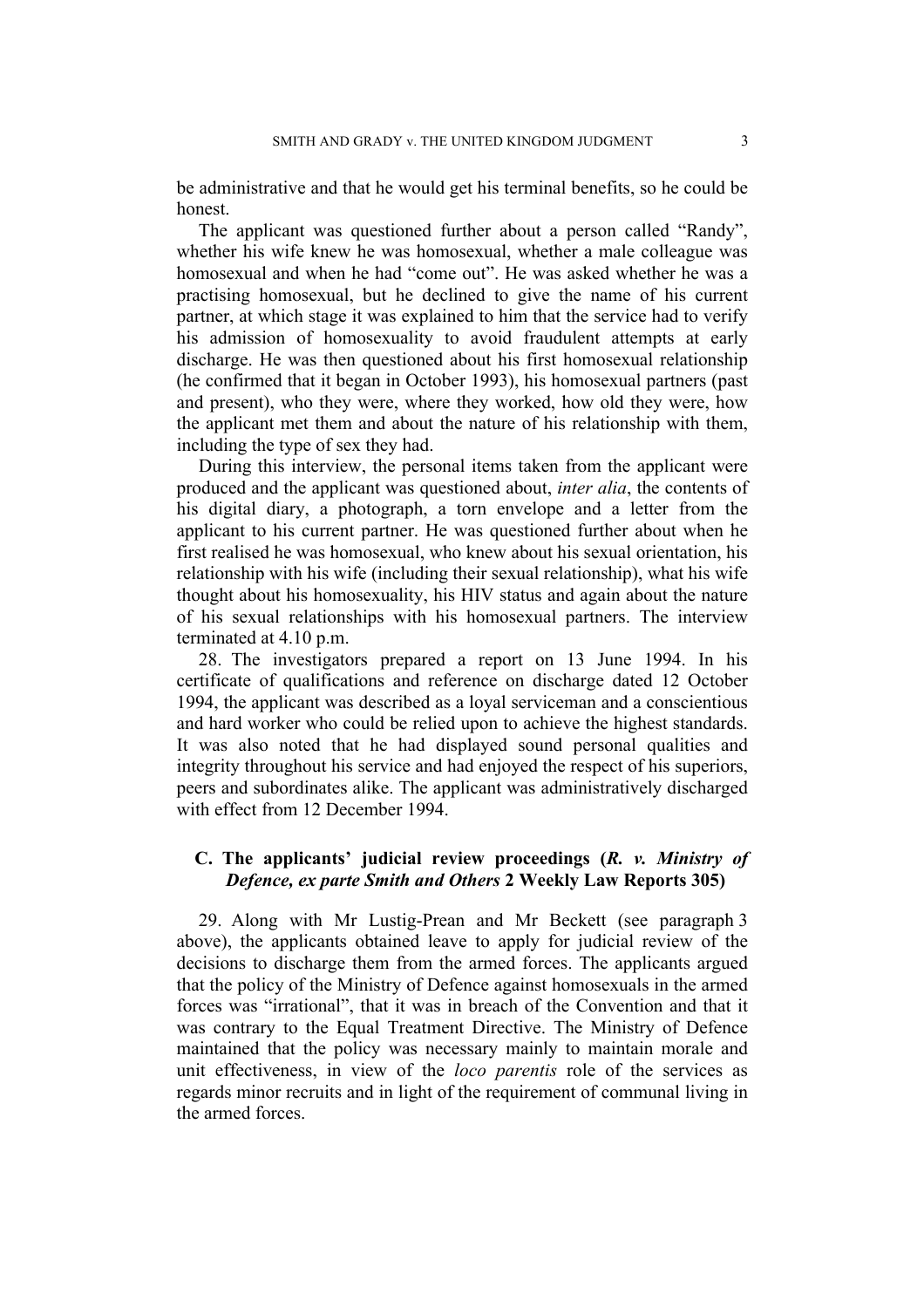be administrative and that he would get his terminal benefits, so he could be honest.

The applicant was questioned further about a person called "Randy", whether his wife knew he was homosexual, whether a male colleague was homosexual and when he had "come out". He was asked whether he was a practising homosexual, but he declined to give the name of his current partner, at which stage it was explained to him that the service had to verify his admission of homosexuality to avoid fraudulent attempts at early discharge. He was then questioned about his first homosexual relationship (he confirmed that it began in October 1993), his homosexual partners (past and present), who they were, where they worked, how old they were, how the applicant met them and about the nature of his relationship with them, including the type of sex they had.

During this interview, the personal items taken from the applicant were produced and the applicant was questioned about, *inter alia*, the contents of his digital diary, a photograph, a torn envelope and a letter from the applicant to his current partner. He was questioned further about when he first realised he was homosexual, who knew about his sexual orientation, his relationship with his wife (including their sexual relationship), what his wife thought about his homosexuality, his HIV status and again about the nature of his sexual relationships with his homosexual partners. The interview terminated at 4.10 p.m.

28. The investigators prepared a report on 13 June 1994. In his certificate of qualifications and reference on discharge dated 12 October 1994, the applicant was described as a loyal serviceman and a conscientious and hard worker who could be relied upon to achieve the highest standards. It was also noted that he had displayed sound personal qualities and integrity throughout his service and had enjoyed the respect of his superiors, peers and subordinates alike. The applicant was administratively discharged with effect from 12 December 1994.

## **C. The applicants' judicial review proceedings (***R. v. Ministry of Defence, ex parte Smith and Others* **2 Weekly Law Reports 305)**

29. Along with Mr Lustig-Prean and Mr Beckett (see paragraph 3 above), the applicants obtained leave to apply for judicial review of the decisions to discharge them from the armed forces. The applicants argued that the policy of the Ministry of Defence against homosexuals in the armed forces was "irrational", that it was in breach of the Convention and that it was contrary to the Equal Treatment Directive. The Ministry of Defence maintained that the policy was necessary mainly to maintain morale and unit effectiveness, in view of the *loco parentis* role of the services as regards minor recruits and in light of the requirement of communal living in the armed forces.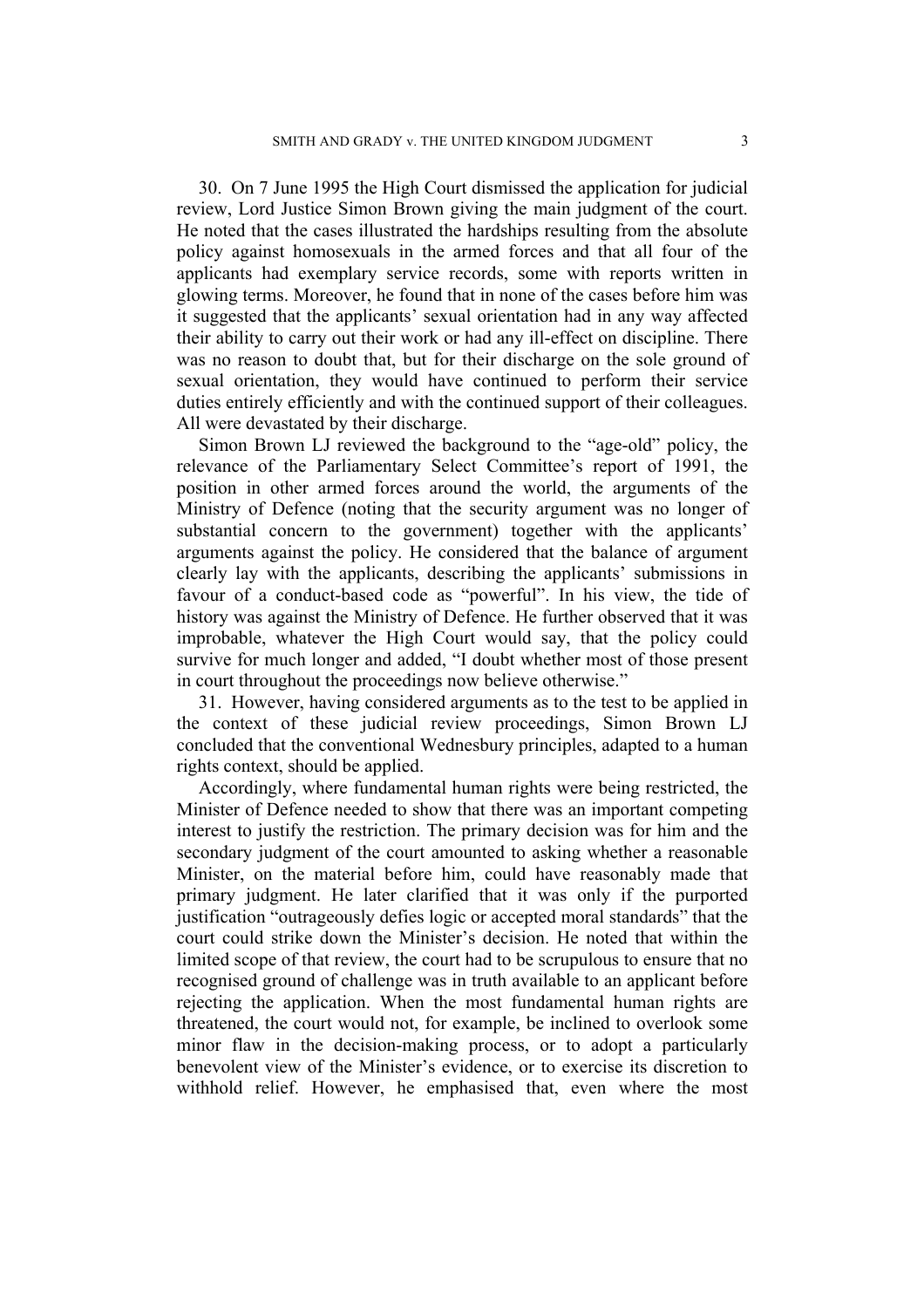30. On 7 June 1995 the High Court dismissed the application for judicial review, Lord Justice Simon Brown giving the main judgment of the court. He noted that the cases illustrated the hardships resulting from the absolute policy against homosexuals in the armed forces and that all four of the applicants had exemplary service records, some with reports written in glowing terms. Moreover, he found that in none of the cases before him was it suggested that the applicants' sexual orientation had in any way affected their ability to carry out their work or had any ill-effect on discipline. There was no reason to doubt that, but for their discharge on the sole ground of sexual orientation, they would have continued to perform their service duties entirely efficiently and with the continued support of their colleagues. All were devastated by their discharge.

Simon Brown LJ reviewed the background to the "age-old" policy, the relevance of the Parliamentary Select Committee's report of 1991, the position in other armed forces around the world, the arguments of the Ministry of Defence (noting that the security argument was no longer of substantial concern to the government) together with the applicants' arguments against the policy. He considered that the balance of argument clearly lay with the applicants, describing the applicants' submissions in favour of a conduct-based code as "powerful". In his view, the tide of history was against the Ministry of Defence. He further observed that it was improbable, whatever the High Court would say, that the policy could survive for much longer and added, "I doubt whether most of those present in court throughout the proceedings now believe otherwise."

31. However, having considered arguments as to the test to be applied in the context of these judicial review proceedings, Simon Brown LJ concluded that the conventional Wednesbury principles, adapted to a human rights context, should be applied.

Accordingly, where fundamental human rights were being restricted, the Minister of Defence needed to show that there was an important competing interest to justify the restriction. The primary decision was for him and the secondary judgment of the court amounted to asking whether a reasonable Minister, on the material before him, could have reasonably made that primary judgment. He later clarified that it was only if the purported justification "outrageously defies logic or accepted moral standards" that the court could strike down the Minister's decision. He noted that within the limited scope of that review, the court had to be scrupulous to ensure that no recognised ground of challenge was in truth available to an applicant before rejecting the application. When the most fundamental human rights are threatened, the court would not, for example, be inclined to overlook some minor flaw in the decision-making process, or to adopt a particularly benevolent view of the Minister's evidence, or to exercise its discretion to withhold relief. However, he emphasised that, even where the most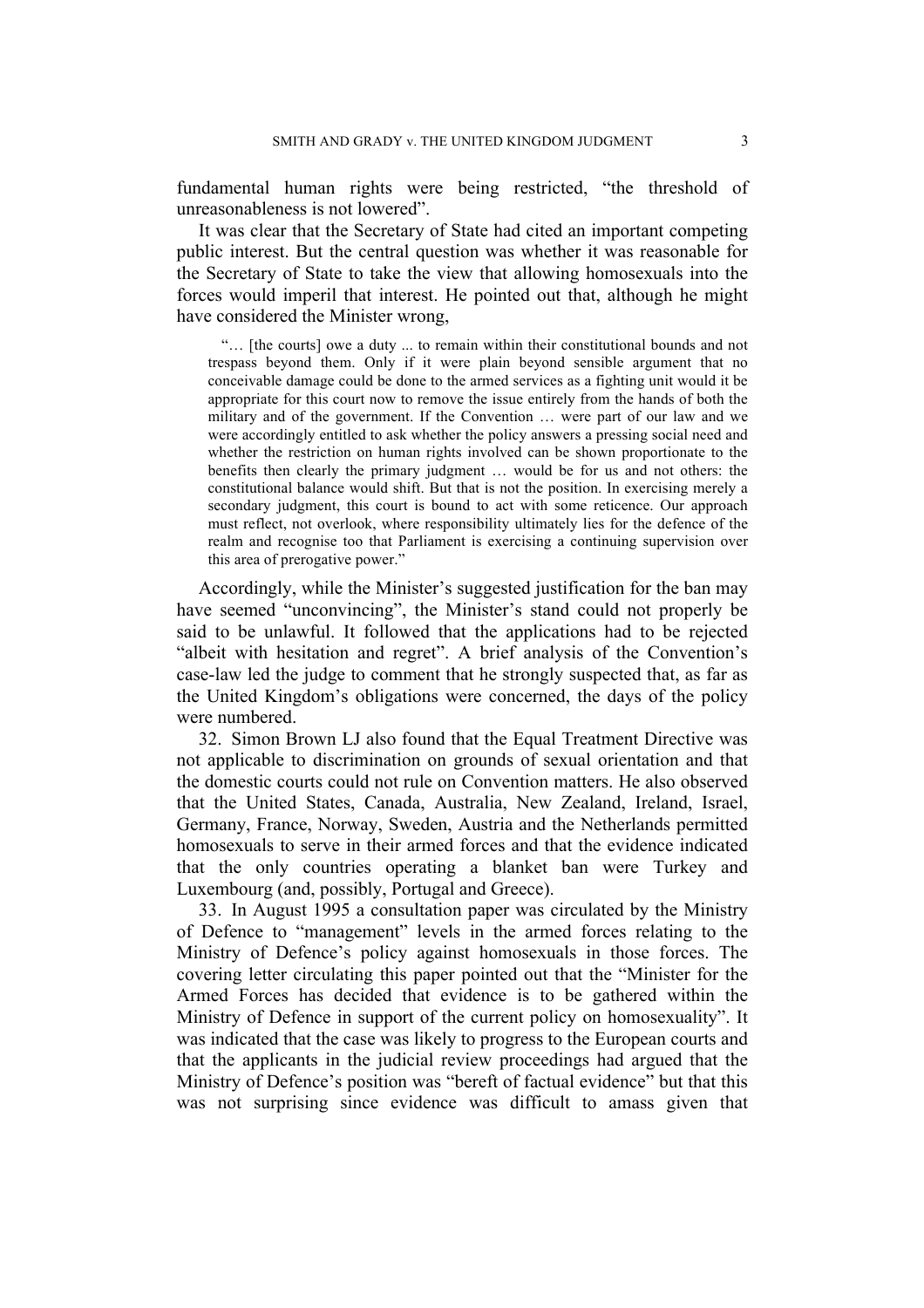fundamental human rights were being restricted, "the threshold of unreasonableness is not lowered".

It was clear that the Secretary of State had cited an important competing public interest. But the central question was whether it was reasonable for the Secretary of State to take the view that allowing homosexuals into the forces would imperil that interest. He pointed out that, although he might have considered the Minister wrong,

"… [the courts] owe a duty ... to remain within their constitutional bounds and not trespass beyond them. Only if it were plain beyond sensible argument that no conceivable damage could be done to the armed services as a fighting unit would it be appropriate for this court now to remove the issue entirely from the hands of both the military and of the government. If the Convention … were part of our law and we were accordingly entitled to ask whether the policy answers a pressing social need and whether the restriction on human rights involved can be shown proportionate to the benefits then clearly the primary judgment … would be for us and not others: the constitutional balance would shift. But that is not the position. In exercising merely a secondary judgment, this court is bound to act with some reticence. Our approach must reflect, not overlook, where responsibility ultimately lies for the defence of the realm and recognise too that Parliament is exercising a continuing supervision over this area of prerogative power."

Accordingly, while the Minister's suggested justification for the ban may have seemed "unconvincing", the Minister's stand could not properly be said to be unlawful. It followed that the applications had to be rejected "albeit with hesitation and regret". A brief analysis of the Convention's case-law led the judge to comment that he strongly suspected that, as far as the United Kingdom's obligations were concerned, the days of the policy were numbered.

32. Simon Brown LJ also found that the Equal Treatment Directive was not applicable to discrimination on grounds of sexual orientation and that the domestic courts could not rule on Convention matters. He also observed that the United States, Canada, Australia, New Zealand, Ireland, Israel, Germany, France, Norway, Sweden, Austria and the Netherlands permitted homosexuals to serve in their armed forces and that the evidence indicated that the only countries operating a blanket ban were Turkey and Luxembourg (and, possibly, Portugal and Greece).

33. In August 1995 a consultation paper was circulated by the Ministry of Defence to "management" levels in the armed forces relating to the Ministry of Defence's policy against homosexuals in those forces. The covering letter circulating this paper pointed out that the "Minister for the Armed Forces has decided that evidence is to be gathered within the Ministry of Defence in support of the current policy on homosexuality". It was indicated that the case was likely to progress to the European courts and that the applicants in the judicial review proceedings had argued that the Ministry of Defence's position was "bereft of factual evidence" but that this was not surprising since evidence was difficult to amass given that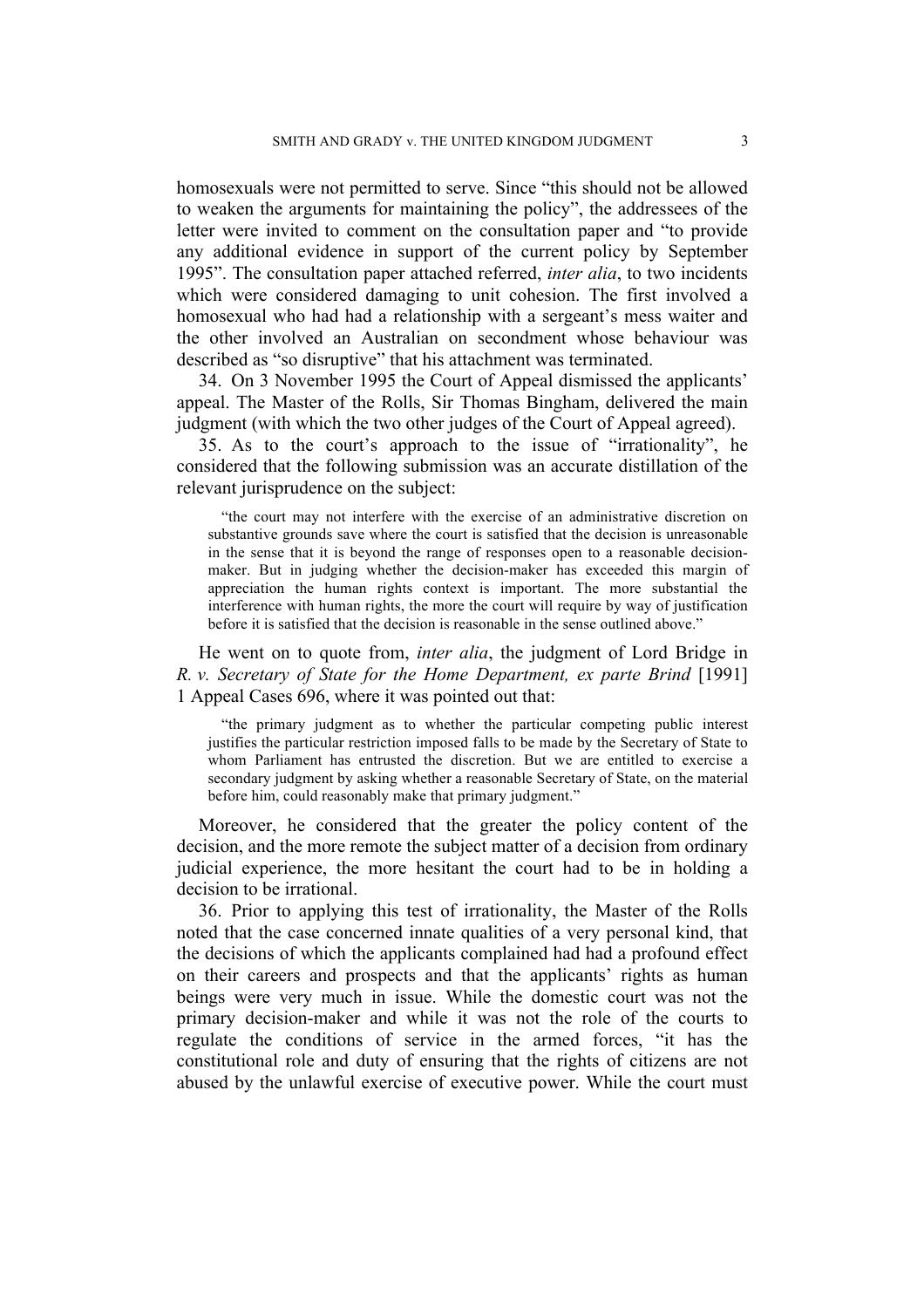homosexuals were not permitted to serve. Since "this should not be allowed to weaken the arguments for maintaining the policy", the addressees of the letter were invited to comment on the consultation paper and "to provide any additional evidence in support of the current policy by September 1995". The consultation paper attached referred, *inter alia*, to two incidents which were considered damaging to unit cohesion. The first involved a homosexual who had had a relationship with a sergeant's mess waiter and the other involved an Australian on secondment whose behaviour was described as "so disruptive" that his attachment was terminated.

34. On 3 November 1995 the Court of Appeal dismissed the applicants' appeal. The Master of the Rolls, Sir Thomas Bingham, delivered the main judgment (with which the two other judges of the Court of Appeal agreed).

35. As to the court's approach to the issue of "irrationality", he considered that the following submission was an accurate distillation of the relevant jurisprudence on the subject:

"the court may not interfere with the exercise of an administrative discretion on substantive grounds save where the court is satisfied that the decision is unreasonable in the sense that it is beyond the range of responses open to a reasonable decisionmaker. But in judging whether the decision-maker has exceeded this margin of appreciation the human rights context is important. The more substantial the interference with human rights, the more the court will require by way of justification before it is satisfied that the decision is reasonable in the sense outlined above."

He went on to quote from, *inter alia*, the judgment of Lord Bridge in *R. v. Secretary of State for the Home Department, ex parte Brind* [1991] 1 Appeal Cases 696, where it was pointed out that:

"the primary judgment as to whether the particular competing public interest justifies the particular restriction imposed falls to be made by the Secretary of State to whom Parliament has entrusted the discretion. But we are entitled to exercise a secondary judgment by asking whether a reasonable Secretary of State, on the material before him, could reasonably make that primary judgment."

Moreover, he considered that the greater the policy content of the decision, and the more remote the subject matter of a decision from ordinary judicial experience, the more hesitant the court had to be in holding a decision to be irrational.

36. Prior to applying this test of irrationality, the Master of the Rolls noted that the case concerned innate qualities of a very personal kind, that the decisions of which the applicants complained had had a profound effect on their careers and prospects and that the applicants' rights as human beings were very much in issue. While the domestic court was not the primary decision-maker and while it was not the role of the courts to regulate the conditions of service in the armed forces, "it has the constitutional role and duty of ensuring that the rights of citizens are not abused by the unlawful exercise of executive power. While the court must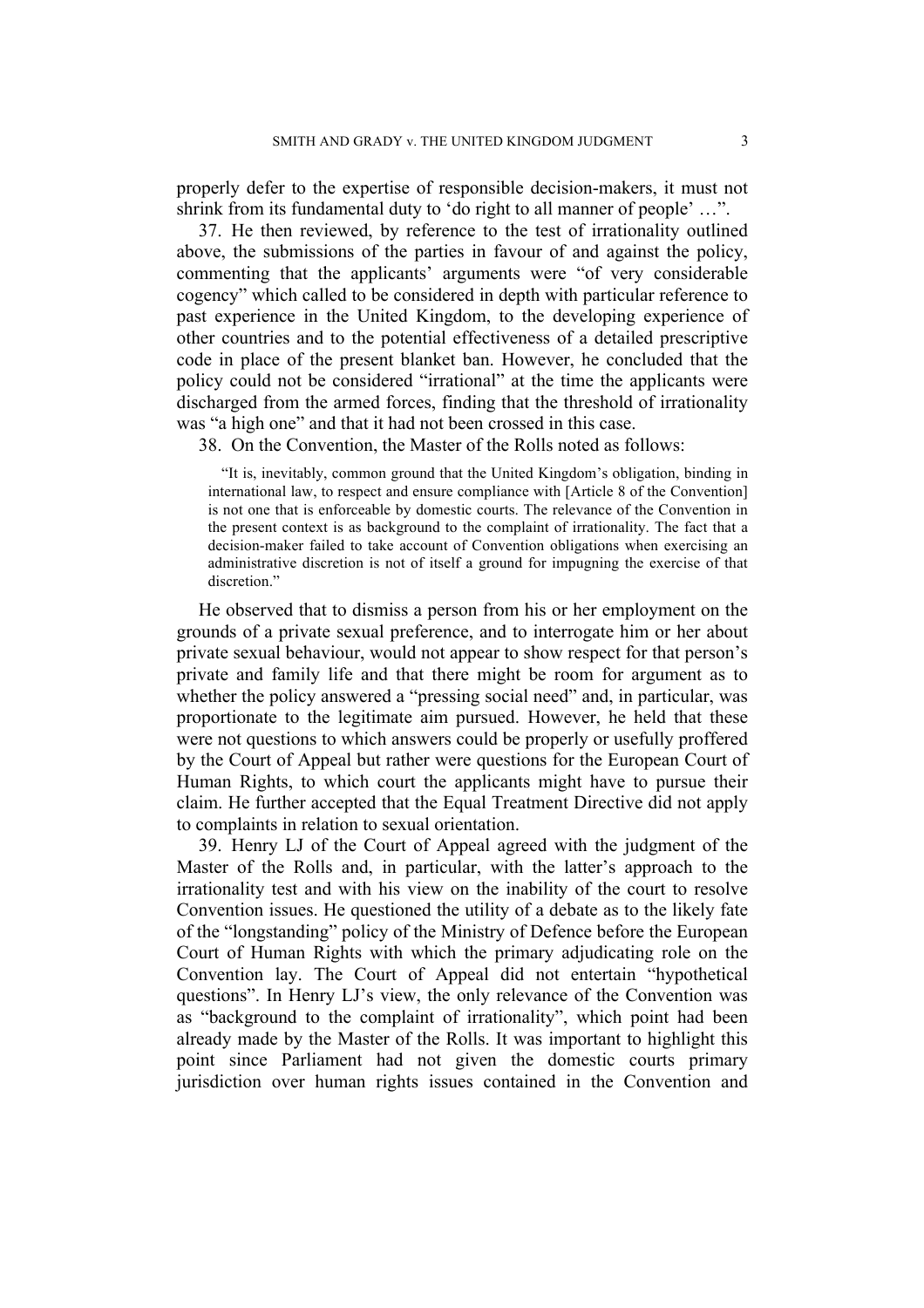properly defer to the expertise of responsible decision-makers, it must not shrink from its fundamental duty to 'do right to all manner of people' …".

37. He then reviewed, by reference to the test of irrationality outlined above, the submissions of the parties in favour of and against the policy, commenting that the applicants' arguments were "of very considerable cogency" which called to be considered in depth with particular reference to past experience in the United Kingdom, to the developing experience of other countries and to the potential effectiveness of a detailed prescriptive code in place of the present blanket ban. However, he concluded that the policy could not be considered "irrational" at the time the applicants were discharged from the armed forces, finding that the threshold of irrationality was "a high one" and that it had not been crossed in this case.

38. On the Convention, the Master of the Rolls noted as follows:

"It is, inevitably, common ground that the United Kingdom's obligation, binding in international law, to respect and ensure compliance with [Article 8 of the Convention] is not one that is enforceable by domestic courts. The relevance of the Convention in the present context is as background to the complaint of irrationality. The fact that a decision-maker failed to take account of Convention obligations when exercising an administrative discretion is not of itself a ground for impugning the exercise of that discretion."

He observed that to dismiss a person from his or her employment on the grounds of a private sexual preference, and to interrogate him or her about private sexual behaviour, would not appear to show respect for that person's private and family life and that there might be room for argument as to whether the policy answered a "pressing social need" and, in particular, was proportionate to the legitimate aim pursued. However, he held that these were not questions to which answers could be properly or usefully proffered by the Court of Appeal but rather were questions for the European Court of Human Rights, to which court the applicants might have to pursue their claim. He further accepted that the Equal Treatment Directive did not apply to complaints in relation to sexual orientation.

39. Henry LJ of the Court of Appeal agreed with the judgment of the Master of the Rolls and, in particular, with the latter's approach to the irrationality test and with his view on the inability of the court to resolve Convention issues. He questioned the utility of a debate as to the likely fate of the "longstanding" policy of the Ministry of Defence before the European Court of Human Rights with which the primary adjudicating role on the Convention lay. The Court of Appeal did not entertain "hypothetical questions". In Henry LJ's view, the only relevance of the Convention was as "background to the complaint of irrationality", which point had been already made by the Master of the Rolls. It was important to highlight this point since Parliament had not given the domestic courts primary jurisdiction over human rights issues contained in the Convention and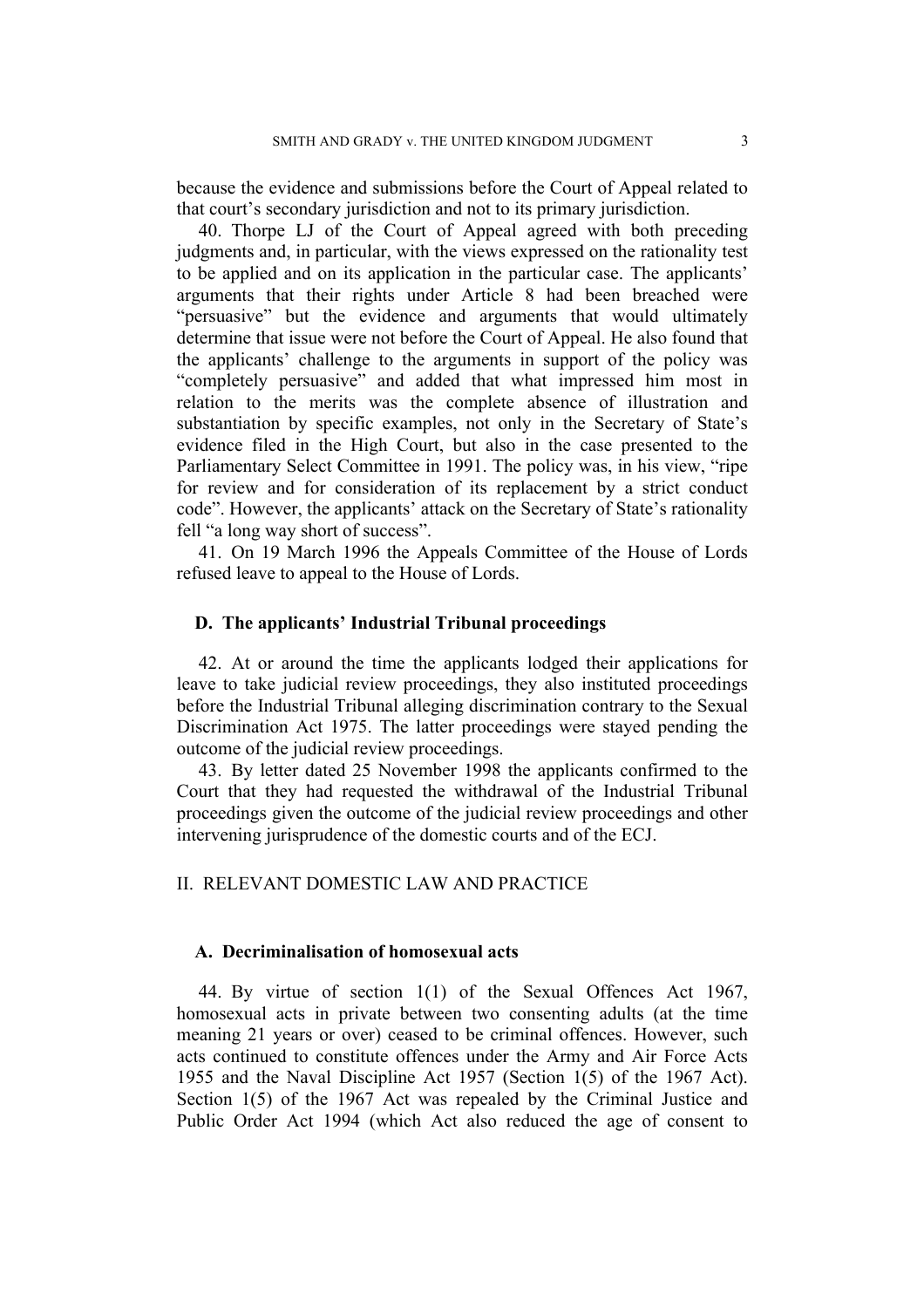because the evidence and submissions before the Court of Appeal related to that court's secondary jurisdiction and not to its primary jurisdiction.

40. Thorpe LJ of the Court of Appeal agreed with both preceding judgments and, in particular, with the views expressed on the rationality test to be applied and on its application in the particular case. The applicants' arguments that their rights under Article 8 had been breached were "persuasive" but the evidence and arguments that would ultimately determine that issue were not before the Court of Appeal. He also found that the applicants' challenge to the arguments in support of the policy was "completely persuasive" and added that what impressed him most in relation to the merits was the complete absence of illustration and substantiation by specific examples, not only in the Secretary of State's evidence filed in the High Court, but also in the case presented to the Parliamentary Select Committee in 1991. The policy was, in his view, "ripe for review and for consideration of its replacement by a strict conduct code". However, the applicants' attack on the Secretary of State's rationality fell "a long way short of success".

41. On 19 March 1996 the Appeals Committee of the House of Lords refused leave to appeal to the House of Lords.

#### **D. The applicants' Industrial Tribunal proceedings**

42. At or around the time the applicants lodged their applications for leave to take judicial review proceedings, they also instituted proceedings before the Industrial Tribunal alleging discrimination contrary to the Sexual Discrimination Act 1975. The latter proceedings were stayed pending the outcome of the judicial review proceedings.

43. By letter dated 25 November 1998 the applicants confirmed to the Court that they had requested the withdrawal of the Industrial Tribunal proceedings given the outcome of the judicial review proceedings and other intervening jurisprudence of the domestic courts and of the ECJ.

## II. RELEVANT DOMESTIC LAW AND PRACTICE

#### **A. Decriminalisation of homosexual acts**

44. By virtue of section 1(1) of the Sexual Offences Act 1967, homosexual acts in private between two consenting adults (at the time meaning 21 years or over) ceased to be criminal offences. However, such acts continued to constitute offences under the Army and Air Force Acts 1955 and the Naval Discipline Act 1957 (Section 1(5) of the 1967 Act). Section 1(5) of the 1967 Act was repealed by the Criminal Justice and Public Order Act 1994 (which Act also reduced the age of consent to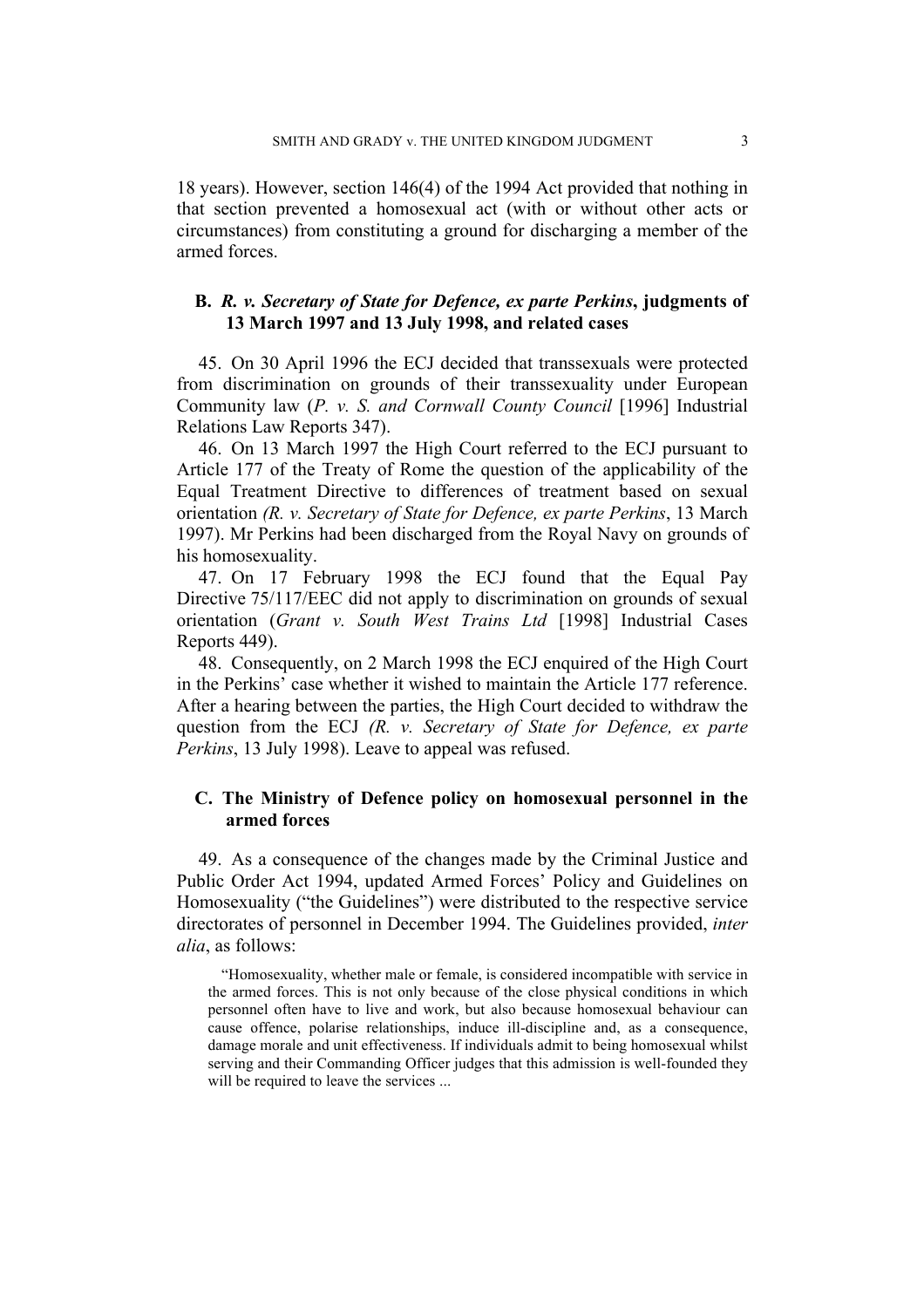18 years). However, section 146(4) of the 1994 Act provided that nothing in that section prevented a homosexual act (with or without other acts or circumstances) from constituting a ground for discharging a member of the armed forces.

## **B.** *R. v. Secretary of State for Defence, ex parte Perkins***, judgments of 13 March 1997 and 13 July 1998, and related cases**

45. On 30 April 1996 the ECJ decided that transsexuals were protected from discrimination on grounds of their transsexuality under European Community law (*P. v. S. and Cornwall County Council* [1996] Industrial Relations Law Reports 347).

46. On 13 March 1997 the High Court referred to the ECJ pursuant to Article 177 of the Treaty of Rome the question of the applicability of the Equal Treatment Directive to differences of treatment based on sexual orientation *(R. v. Secretary of State for Defence, ex parte Perkins*, 13 March 1997). Mr Perkins had been discharged from the Royal Navy on grounds of his homosexuality.

47. On 17 February 1998 the ECJ found that the Equal Pay Directive 75/117/EEC did not apply to discrimination on grounds of sexual orientation (*Grant v. South West Trains Ltd* [1998] Industrial Cases Reports 449).

48. Consequently, on 2 March 1998 the ECJ enquired of the High Court in the Perkins' case whether it wished to maintain the Article 177 reference. After a hearing between the parties, the High Court decided to withdraw the question from the ECJ *(R. v. Secretary of State for Defence, ex parte Perkins*, 13 July 1998). Leave to appeal was refused.

## **C. The Ministry of Defence policy on homosexual personnel in the armed forces**

49. As a consequence of the changes made by the Criminal Justice and Public Order Act 1994, updated Armed Forces' Policy and Guidelines on Homosexuality ("the Guidelines") were distributed to the respective service directorates of personnel in December 1994. The Guidelines provided, *inter alia*, as follows:

"Homosexuality, whether male or female, is considered incompatible with service in the armed forces. This is not only because of the close physical conditions in which personnel often have to live and work, but also because homosexual behaviour can cause offence, polarise relationships, induce ill-discipline and, as a consequence, damage morale and unit effectiveness. If individuals admit to being homosexual whilst serving and their Commanding Officer judges that this admission is well-founded they will be required to leave the services ...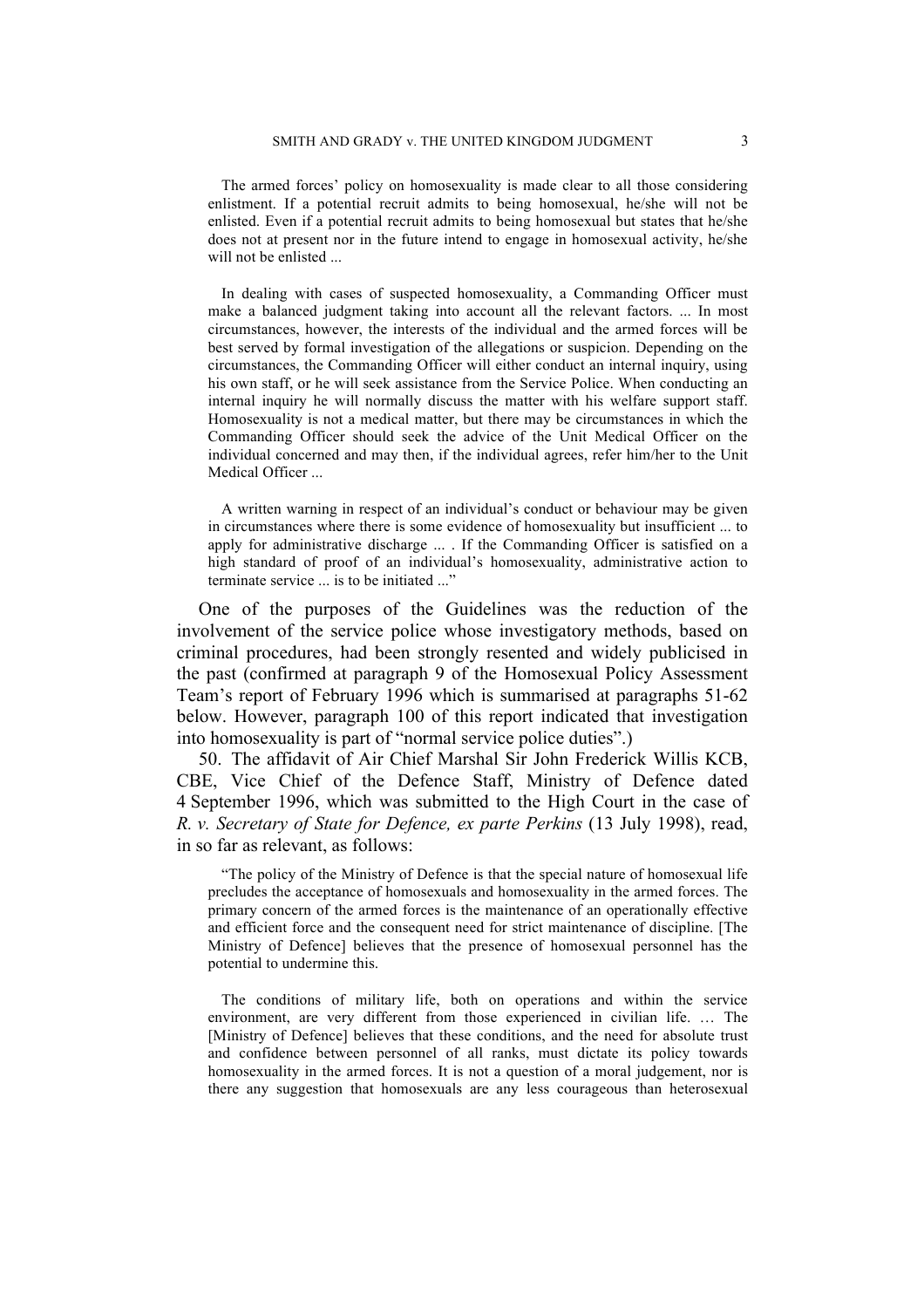The armed forces' policy on homosexuality is made clear to all those considering enlistment. If a potential recruit admits to being homosexual, he/she will not be enlisted. Even if a potential recruit admits to being homosexual but states that he/she does not at present nor in the future intend to engage in homosexual activity, he/she will not be enlisted ...

In dealing with cases of suspected homosexuality, a Commanding Officer must make a balanced judgment taking into account all the relevant factors. ... In most circumstances, however, the interests of the individual and the armed forces will be best served by formal investigation of the allegations or suspicion. Depending on the circumstances, the Commanding Officer will either conduct an internal inquiry, using his own staff, or he will seek assistance from the Service Police. When conducting an internal inquiry he will normally discuss the matter with his welfare support staff. Homosexuality is not a medical matter, but there may be circumstances in which the Commanding Officer should seek the advice of the Unit Medical Officer on the individual concerned and may then, if the individual agrees, refer him/her to the Unit Medical Officer ...

A written warning in respect of an individual's conduct or behaviour may be given in circumstances where there is some evidence of homosexuality but insufficient ... to apply for administrative discharge ... . If the Commanding Officer is satisfied on a high standard of proof of an individual's homosexuality, administrative action to terminate service ... is to be initiated ..."

One of the purposes of the Guidelines was the reduction of the involvement of the service police whose investigatory methods, based on criminal procedures, had been strongly resented and widely publicised in the past (confirmed at paragraph 9 of the Homosexual Policy Assessment Team's report of February 1996 which is summarised at paragraphs 51-62 below. However, paragraph 100 of this report indicated that investigation into homosexuality is part of "normal service police duties".)

50. The affidavit of Air Chief Marshal Sir John Frederick Willis KCB, CBE, Vice Chief of the Defence Staff, Ministry of Defence dated 4 September 1996, which was submitted to the High Court in the case of *R. v. Secretary of State for Defence, ex parte Perkins* (13 July 1998), read, in so far as relevant, as follows:

"The policy of the Ministry of Defence is that the special nature of homosexual life precludes the acceptance of homosexuals and homosexuality in the armed forces. The primary concern of the armed forces is the maintenance of an operationally effective and efficient force and the consequent need for strict maintenance of discipline. [The Ministry of Defence] believes that the presence of homosexual personnel has the potential to undermine this.

The conditions of military life, both on operations and within the service environment, are very different from those experienced in civilian life. … The [Ministry of Defence] believes that these conditions, and the need for absolute trust and confidence between personnel of all ranks, must dictate its policy towards homosexuality in the armed forces. It is not a question of a moral judgement, nor is there any suggestion that homosexuals are any less courageous than heterosexual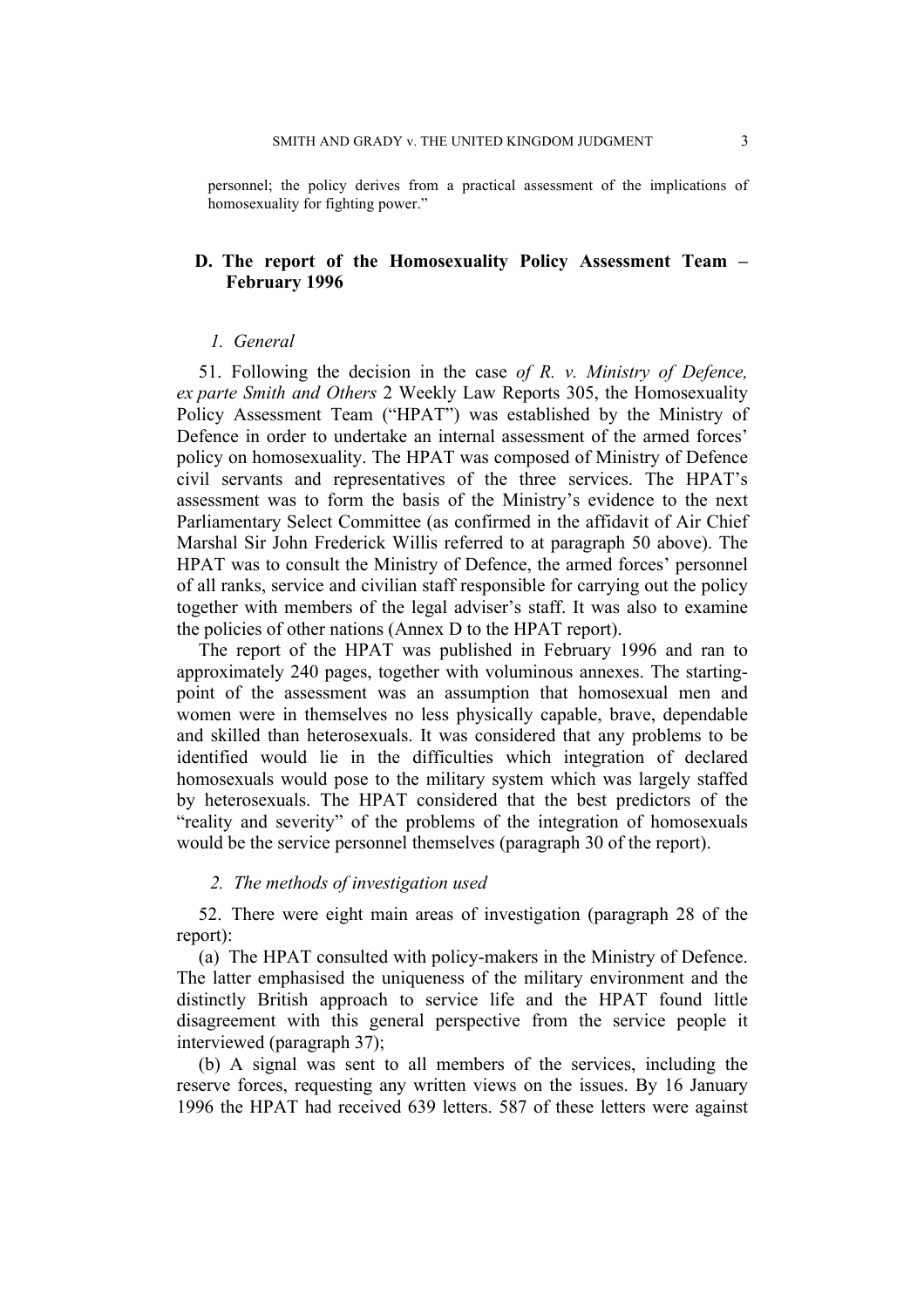personnel; the policy derives from a practical assessment of the implications of homosexuality for fighting power."

### **D. The report of the Homosexuality Policy Assessment Team – February 1996**

## *1. General*

51. Following the decision in the case *of R. v. Ministry of Defence, ex parte Smith and Others* 2 Weekly Law Reports 305, the Homosexuality Policy Assessment Team ("HPAT") was established by the Ministry of Defence in order to undertake an internal assessment of the armed forces' policy on homosexuality. The HPAT was composed of Ministry of Defence civil servants and representatives of the three services. The HPAT's assessment was to form the basis of the Ministry's evidence to the next Parliamentary Select Committee (as confirmed in the affidavit of Air Chief Marshal Sir John Frederick Willis referred to at paragraph 50 above). The HPAT was to consult the Ministry of Defence, the armed forces' personnel of all ranks, service and civilian staff responsible for carrying out the policy together with members of the legal adviser's staff. It was also to examine the policies of other nations (Annex D to the HPAT report).

The report of the HPAT was published in February 1996 and ran to approximately 240 pages, together with voluminous annexes. The startingpoint of the assessment was an assumption that homosexual men and women were in themselves no less physically capable, brave, dependable and skilled than heterosexuals. It was considered that any problems to be identified would lie in the difficulties which integration of declared homosexuals would pose to the military system which was largely staffed by heterosexuals. The HPAT considered that the best predictors of the "reality and severity" of the problems of the integration of homosexuals would be the service personnel themselves (paragraph 30 of the report).

#### *2. The methods of investigation used*

52. There were eight main areas of investigation (paragraph 28 of the report):

(a) The HPAT consulted with policy-makers in the Ministry of Defence. The latter emphasised the uniqueness of the military environment and the distinctly British approach to service life and the HPAT found little disagreement with this general perspective from the service people it interviewed (paragraph 37);

(b) A signal was sent to all members of the services, including the reserve forces, requesting any written views on the issues. By 16 January 1996 the HPAT had received 639 letters. 587 of these letters were against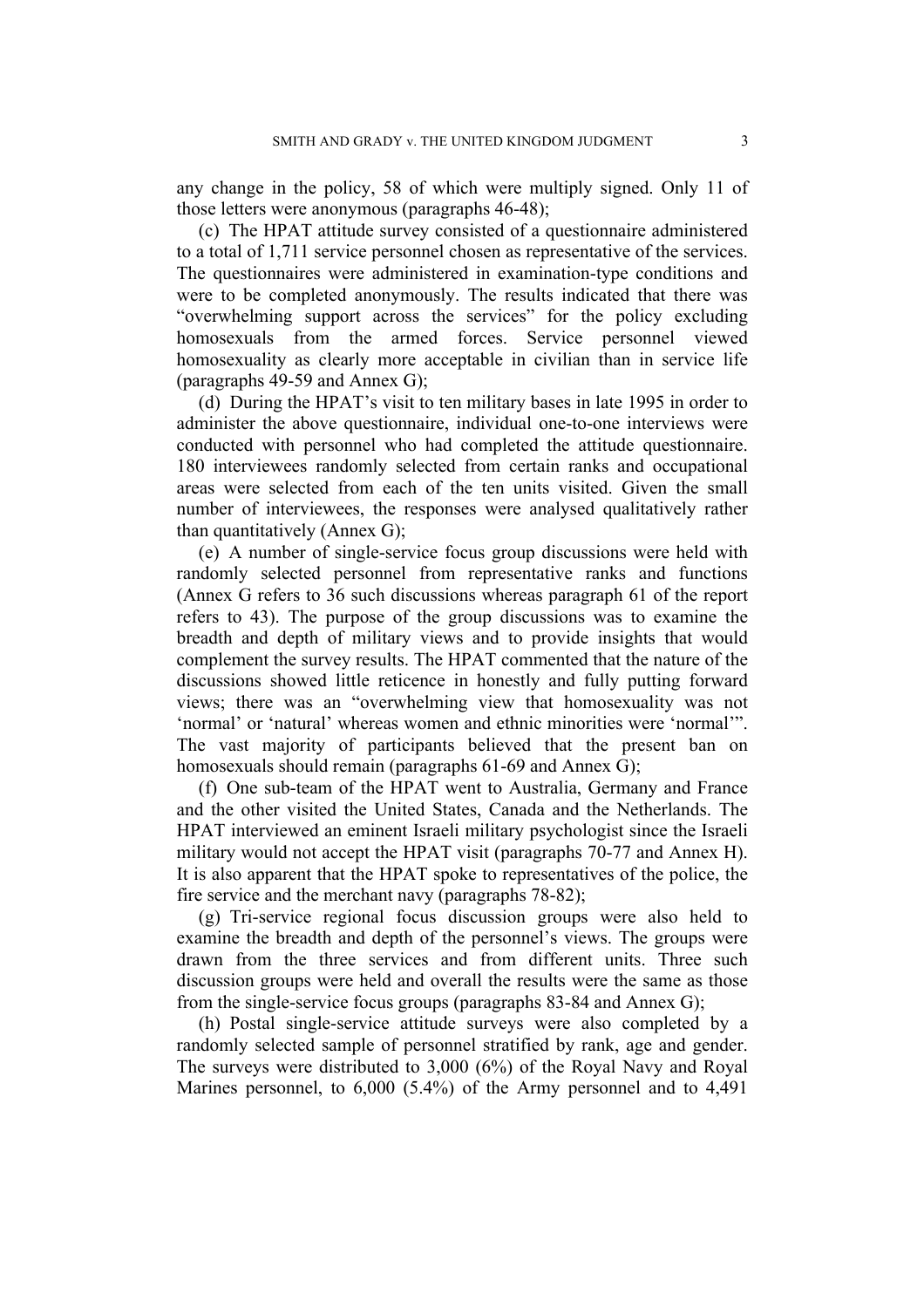any change in the policy, 58 of which were multiply signed. Only 11 of those letters were anonymous (paragraphs 46-48);

(c) The HPAT attitude survey consisted of a questionnaire administered to a total of 1,711 service personnel chosen as representative of the services. The questionnaires were administered in examination-type conditions and were to be completed anonymously. The results indicated that there was "overwhelming support across the services" for the policy excluding homosexuals from the armed forces. Service personnel viewed homosexuality as clearly more acceptable in civilian than in service life (paragraphs 49-59 and Annex G);

(d) During the HPAT's visit to ten military bases in late 1995 in order to administer the above questionnaire, individual one-to-one interviews were conducted with personnel who had completed the attitude questionnaire. 180 interviewees randomly selected from certain ranks and occupational areas were selected from each of the ten units visited. Given the small number of interviewees, the responses were analysed qualitatively rather than quantitatively (Annex G);

(e) A number of single-service focus group discussions were held with randomly selected personnel from representative ranks and functions (Annex G refers to 36 such discussions whereas paragraph 61 of the report refers to 43). The purpose of the group discussions was to examine the breadth and depth of military views and to provide insights that would complement the survey results. The HPAT commented that the nature of the discussions showed little reticence in honestly and fully putting forward views; there was an "overwhelming view that homosexuality was not 'normal' or 'natural' whereas women and ethnic minorities were 'normal'". The vast majority of participants believed that the present ban on homosexuals should remain (paragraphs 61-69 and Annex G);

(f) One sub-team of the HPAT went to Australia, Germany and France and the other visited the United States, Canada and the Netherlands. The HPAT interviewed an eminent Israeli military psychologist since the Israeli military would not accept the HPAT visit (paragraphs 70-77 and Annex H). It is also apparent that the HPAT spoke to representatives of the police, the fire service and the merchant navy (paragraphs 78-82);

(g) Tri-service regional focus discussion groups were also held to examine the breadth and depth of the personnel's views. The groups were drawn from the three services and from different units. Three such discussion groups were held and overall the results were the same as those from the single-service focus groups (paragraphs 83-84 and Annex G);

(h) Postal single-service attitude surveys were also completed by a randomly selected sample of personnel stratified by rank, age and gender. The surveys were distributed to 3,000 (6%) of the Royal Navy and Royal Marines personnel, to 6,000 (5.4%) of the Army personnel and to 4,491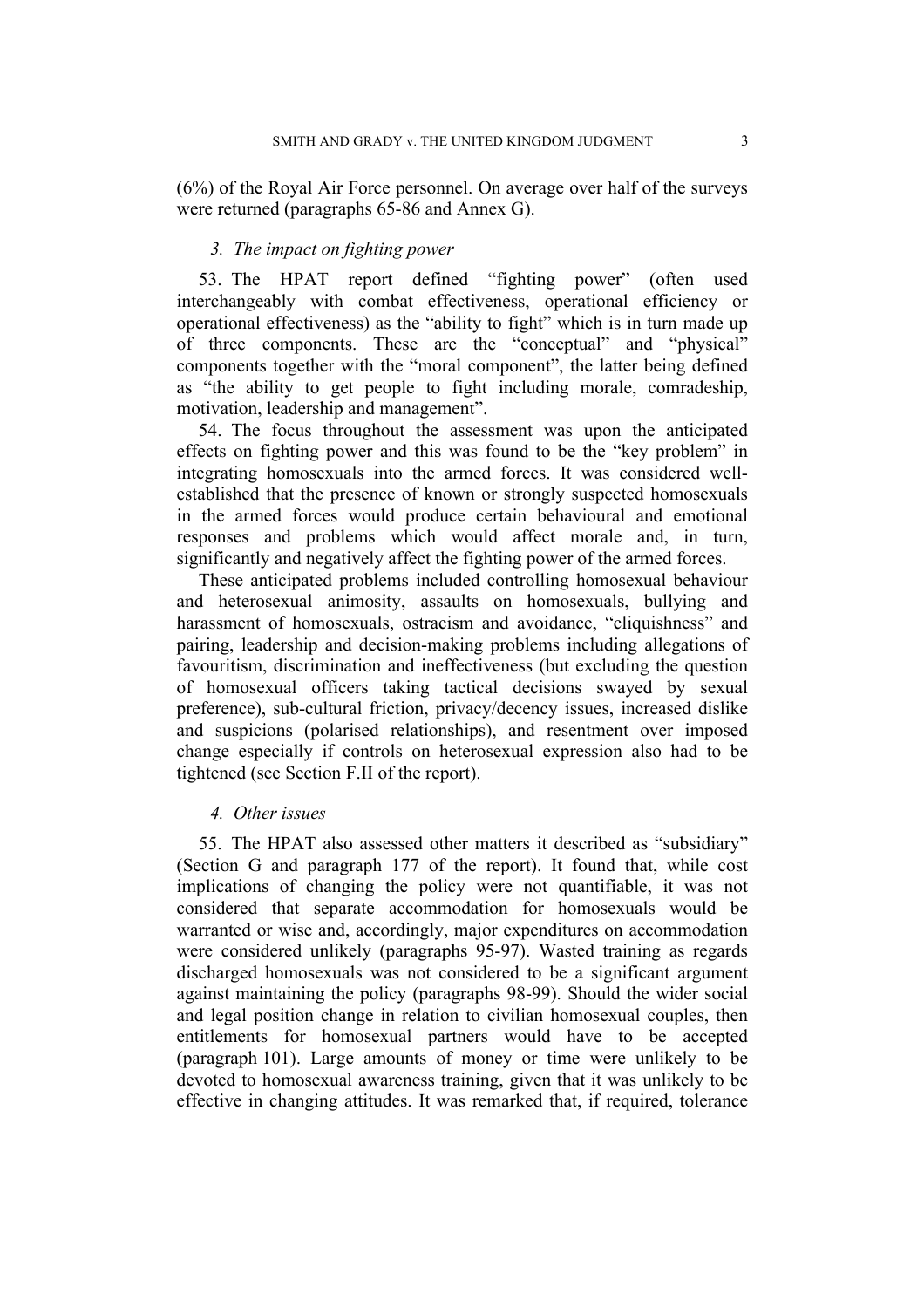(6%) of the Royal Air Force personnel. On average over half of the surveys were returned (paragraphs 65-86 and Annex G).

#### *3. The impact on fighting power*

53. The HPAT report defined "fighting power" (often used interchangeably with combat effectiveness, operational efficiency or operational effectiveness) as the "ability to fight" which is in turn made up of three components. These are the "conceptual" and "physical" components together with the "moral component", the latter being defined as "the ability to get people to fight including morale, comradeship, motivation, leadership and management".

54. The focus throughout the assessment was upon the anticipated effects on fighting power and this was found to be the "key problem" in integrating homosexuals into the armed forces. It was considered wellestablished that the presence of known or strongly suspected homosexuals in the armed forces would produce certain behavioural and emotional responses and problems which would affect morale and, in turn, significantly and negatively affect the fighting power of the armed forces.

These anticipated problems included controlling homosexual behaviour and heterosexual animosity, assaults on homosexuals, bullying and harassment of homosexuals, ostracism and avoidance, "cliquishness" and pairing, leadership and decision-making problems including allegations of favouritism, discrimination and ineffectiveness (but excluding the question of homosexual officers taking tactical decisions swayed by sexual preference), sub-cultural friction, privacy/decency issues, increased dislike and suspicions (polarised relationships), and resentment over imposed change especially if controls on heterosexual expression also had to be tightened (see Section F.II of the report).

#### *4. Other issues*

55. The HPAT also assessed other matters it described as "subsidiary" (Section G and paragraph 177 of the report). It found that, while cost implications of changing the policy were not quantifiable, it was not considered that separate accommodation for homosexuals would be warranted or wise and, accordingly, major expenditures on accommodation were considered unlikely (paragraphs 95-97). Wasted training as regards discharged homosexuals was not considered to be a significant argument against maintaining the policy (paragraphs 98-99). Should the wider social and legal position change in relation to civilian homosexual couples, then entitlements for homosexual partners would have to be accepted (paragraph 101). Large amounts of money or time were unlikely to be devoted to homosexual awareness training, given that it was unlikely to be effective in changing attitudes. It was remarked that, if required, tolerance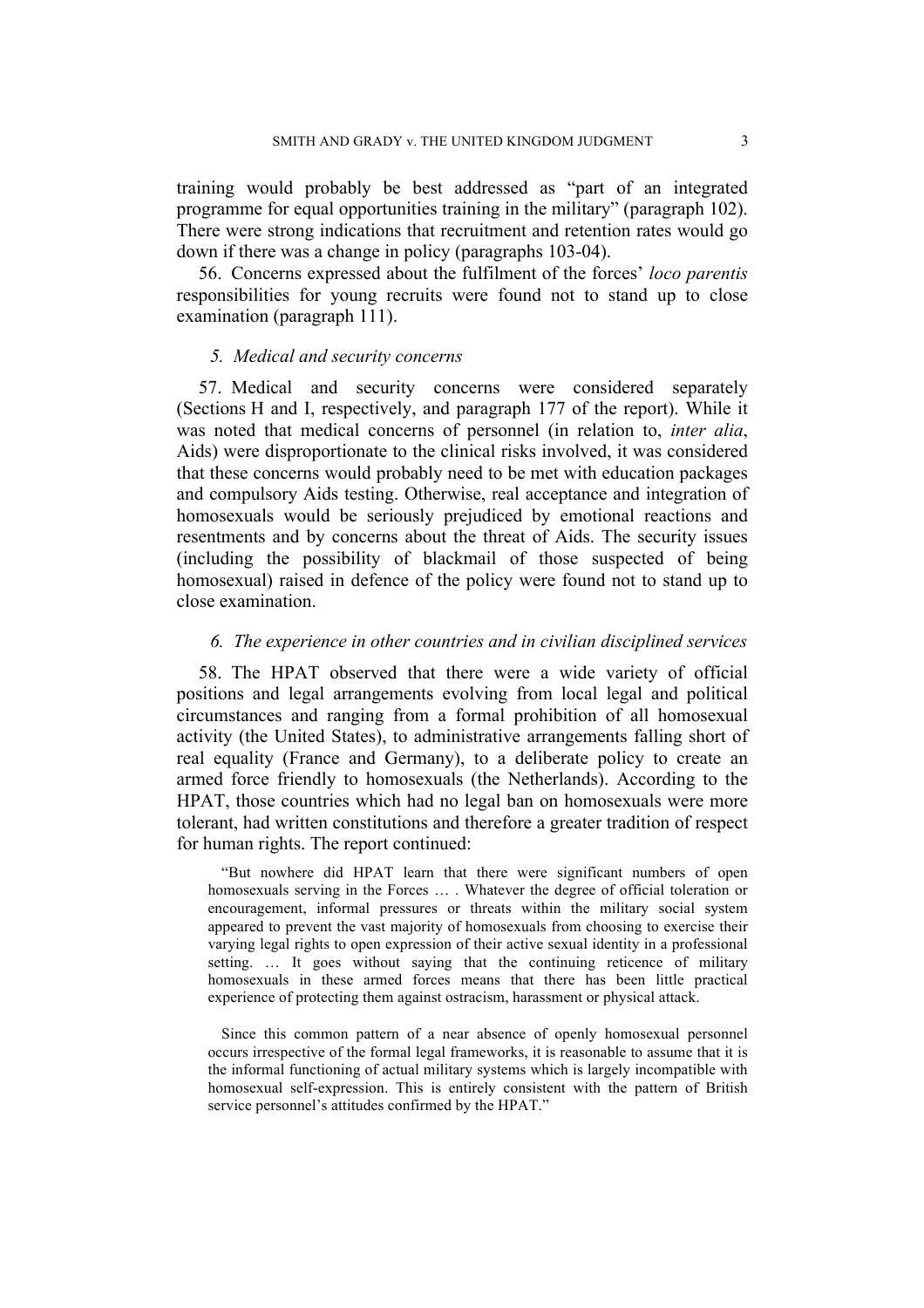training would probably be best addressed as "part of an integrated programme for equal opportunities training in the military" (paragraph 102). There were strong indications that recruitment and retention rates would go down if there was a change in policy (paragraphs 103-04).

56. Concerns expressed about the fulfilment of the forces' *loco parentis* responsibilities for young recruits were found not to stand up to close examination (paragraph 111).

#### *5. Medical and security concerns*

57. Medical and security concerns were considered separately (Sections H and I, respectively, and paragraph 177 of the report). While it was noted that medical concerns of personnel (in relation to, *inter alia*, Aids) were disproportionate to the clinical risks involved, it was considered that these concerns would probably need to be met with education packages and compulsory Aids testing. Otherwise, real acceptance and integration of homosexuals would be seriously prejudiced by emotional reactions and resentments and by concerns about the threat of Aids. The security issues (including the possibility of blackmail of those suspected of being homosexual) raised in defence of the policy were found not to stand up to close examination.

#### *6. The experience in other countries and in civilian disciplined services*

58. The HPAT observed that there were a wide variety of official positions and legal arrangements evolving from local legal and political circumstances and ranging from a formal prohibition of all homosexual activity (the United States), to administrative arrangements falling short of real equality (France and Germany), to a deliberate policy to create an armed force friendly to homosexuals (the Netherlands). According to the HPAT, those countries which had no legal ban on homosexuals were more tolerant, had written constitutions and therefore a greater tradition of respect for human rights. The report continued:

"But nowhere did HPAT learn that there were significant numbers of open homosexuals serving in the Forces … . Whatever the degree of official toleration or encouragement, informal pressures or threats within the military social system appeared to prevent the vast majority of homosexuals from choosing to exercise their varying legal rights to open expression of their active sexual identity in a professional setting. … It goes without saying that the continuing reticence of military homosexuals in these armed forces means that there has been little practical experience of protecting them against ostracism, harassment or physical attack.

Since this common pattern of a near absence of openly homosexual personnel occurs irrespective of the formal legal frameworks, it is reasonable to assume that it is the informal functioning of actual military systems which is largely incompatible with homosexual self-expression. This is entirely consistent with the pattern of British service personnel's attitudes confirmed by the HPAT."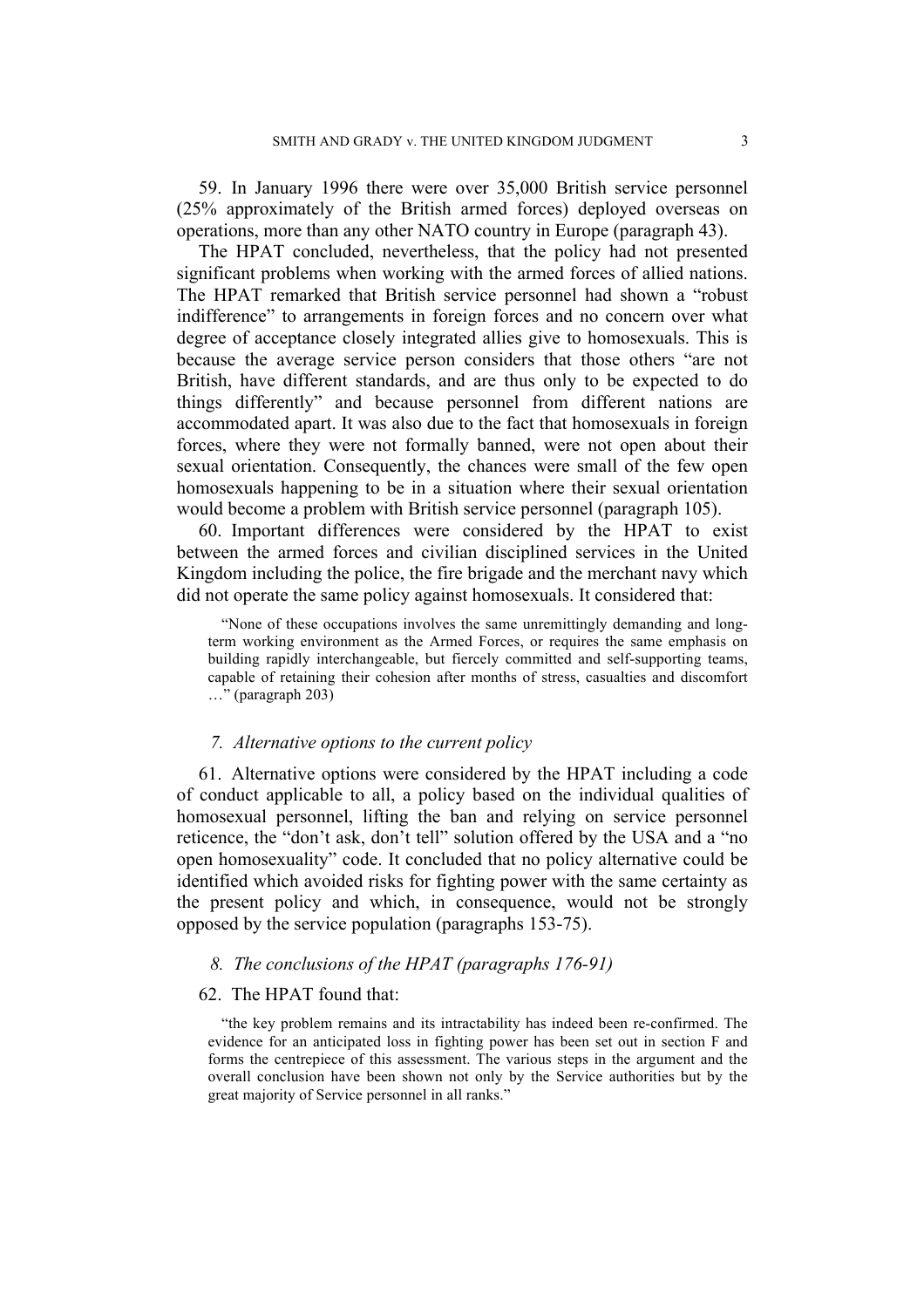59. In January 1996 there were over 35,000 British service personnel (25% approximately of the British armed forces) deployed overseas on operations, more than any other NATO country in Europe (paragraph 43).

The HPAT concluded, nevertheless, that the policy had not presented significant problems when working with the armed forces of allied nations. The HPAT remarked that British service personnel had shown a "robust indifference" to arrangements in foreign forces and no concern over what degree of acceptance closely integrated allies give to homosexuals. This is because the average service person considers that those others "are not British, have different standards, and are thus only to be expected to do things differently" and because personnel from different nations are accommodated apart. It was also due to the fact that homosexuals in foreign forces, where they were not formally banned, were not open about their sexual orientation. Consequently, the chances were small of the few open homosexuals happening to be in a situation where their sexual orientation would become a problem with British service personnel (paragraph 105).

60. Important differences were considered by the HPAT to exist between the armed forces and civilian disciplined services in the United Kingdom including the police, the fire brigade and the merchant navy which did not operate the same policy against homosexuals. It considered that:

"None of these occupations involves the same unremittingly demanding and longterm working environment as the Armed Forces, or requires the same emphasis on building rapidly interchangeable, but fiercely committed and self-supporting teams, capable of retaining their cohesion after months of stress, casualties and discomfort …" (paragraph 203)

### *7. Alternative options to the current policy*

61. Alternative options were considered by the HPAT including a code of conduct applicable to all, a policy based on the individual qualities of homosexual personnel, lifting the ban and relying on service personnel reticence, the "don't ask, don't tell" solution offered by the USA and a "no open homosexuality" code. It concluded that no policy alternative could be identified which avoided risks for fighting power with the same certainty as the present policy and which, in consequence, would not be strongly opposed by the service population (paragraphs 153-75).

#### *8. The conclusions of the HPAT (paragraphs 176-91)*

#### 62. The HPAT found that:

"the key problem remains and its intractability has indeed been re-confirmed. The evidence for an anticipated loss in fighting power has been set out in section F and forms the centrepiece of this assessment. The various steps in the argument and the overall conclusion have been shown not only by the Service authorities but by the great majority of Service personnel in all ranks."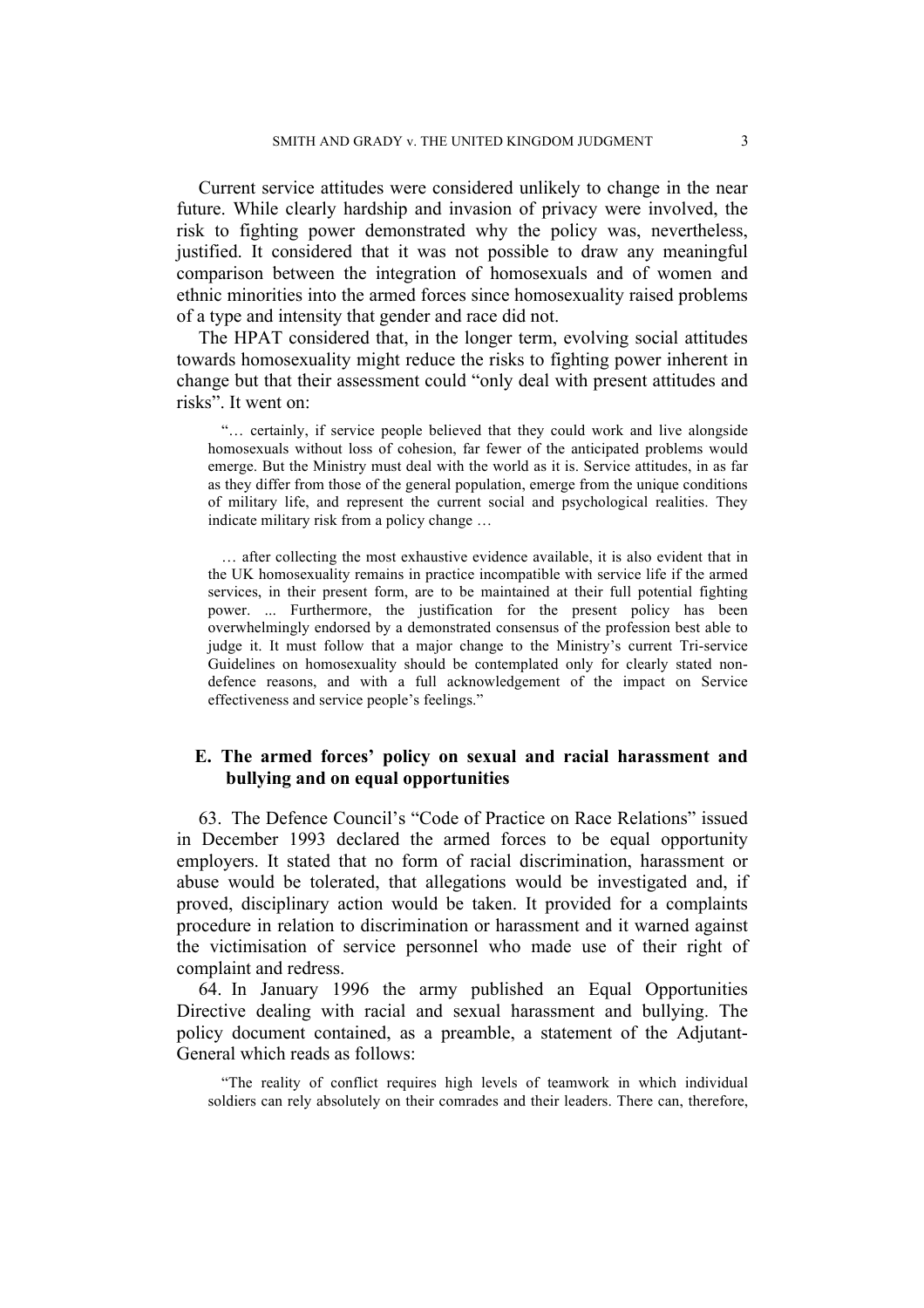Current service attitudes were considered unlikely to change in the near future. While clearly hardship and invasion of privacy were involved, the risk to fighting power demonstrated why the policy was, nevertheless, justified. It considered that it was not possible to draw any meaningful comparison between the integration of homosexuals and of women and ethnic minorities into the armed forces since homosexuality raised problems of a type and intensity that gender and race did not.

The HPAT considered that, in the longer term, evolving social attitudes towards homosexuality might reduce the risks to fighting power inherent in change but that their assessment could "only deal with present attitudes and risks". It went on:

"… certainly, if service people believed that they could work and live alongside homosexuals without loss of cohesion, far fewer of the anticipated problems would emerge. But the Ministry must deal with the world as it is. Service attitudes, in as far as they differ from those of the general population, emerge from the unique conditions of military life, and represent the current social and psychological realities. They indicate military risk from a policy change …

… after collecting the most exhaustive evidence available, it is also evident that in the UK homosexuality remains in practice incompatible with service life if the armed services, in their present form, are to be maintained at their full potential fighting power. ... Furthermore, the justification for the present policy has been overwhelmingly endorsed by a demonstrated consensus of the profession best able to judge it. It must follow that a major change to the Ministry's current Tri-service Guidelines on homosexuality should be contemplated only for clearly stated nondefence reasons, and with a full acknowledgement of the impact on Service effectiveness and service people's feelings."

## **E. The armed forces' policy on sexual and racial harassment and bullying and on equal opportunities**

63. The Defence Council's "Code of Practice on Race Relations" issued in December 1993 declared the armed forces to be equal opportunity employers. It stated that no form of racial discrimination, harassment or abuse would be tolerated, that allegations would be investigated and, if proved, disciplinary action would be taken. It provided for a complaints procedure in relation to discrimination or harassment and it warned against the victimisation of service personnel who made use of their right of complaint and redress.

64. In January 1996 the army published an Equal Opportunities Directive dealing with racial and sexual harassment and bullying. The policy document contained, as a preamble, a statement of the Adjutant-General which reads as follows:

"The reality of conflict requires high levels of teamwork in which individual soldiers can rely absolutely on their comrades and their leaders. There can, therefore,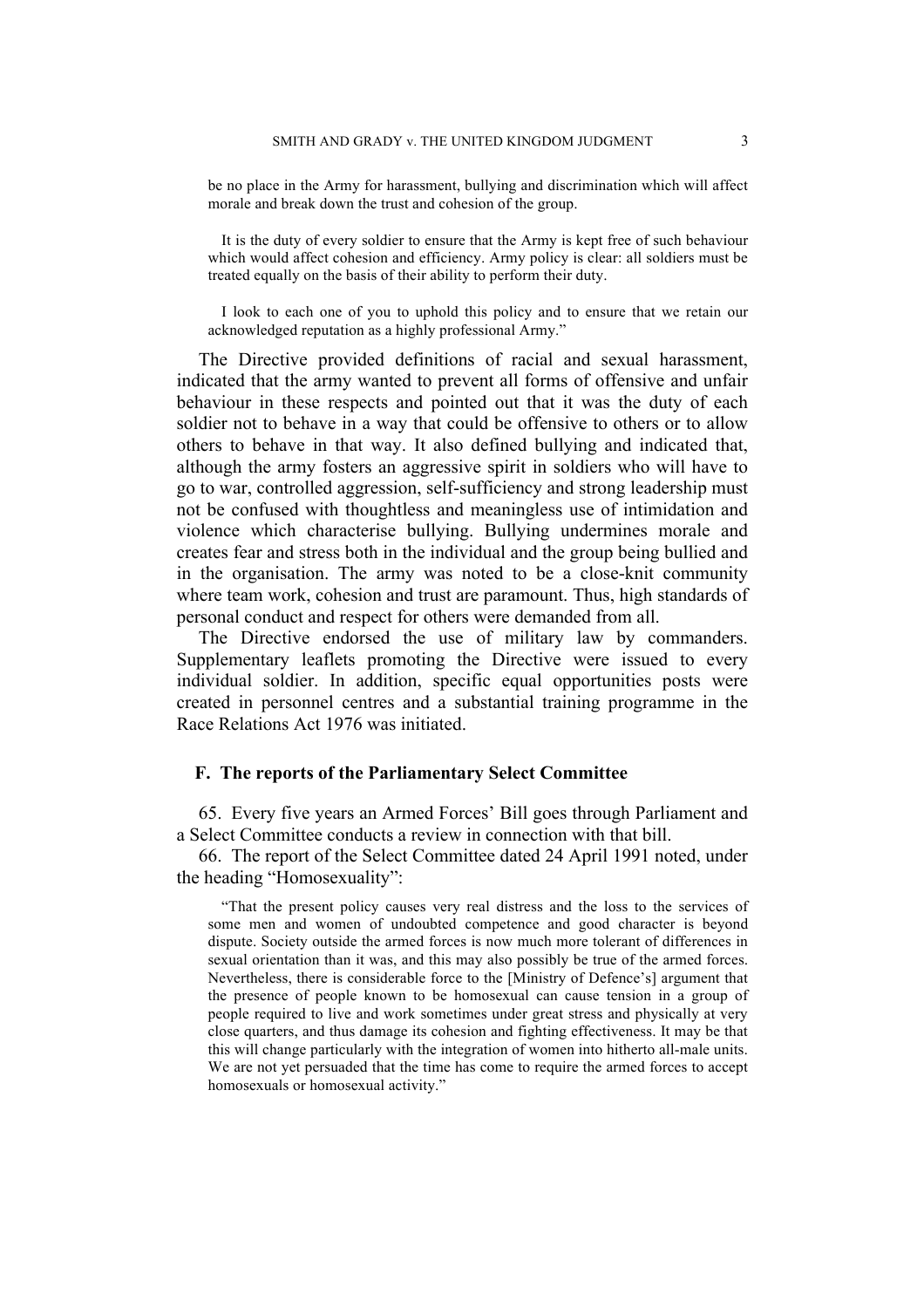be no place in the Army for harassment, bullying and discrimination which will affect morale and break down the trust and cohesion of the group.

It is the duty of every soldier to ensure that the Army is kept free of such behaviour which would affect cohesion and efficiency. Army policy is clear: all soldiers must be treated equally on the basis of their ability to perform their duty.

I look to each one of you to uphold this policy and to ensure that we retain our acknowledged reputation as a highly professional Army."

The Directive provided definitions of racial and sexual harassment, indicated that the army wanted to prevent all forms of offensive and unfair behaviour in these respects and pointed out that it was the duty of each soldier not to behave in a way that could be offensive to others or to allow others to behave in that way. It also defined bullying and indicated that, although the army fosters an aggressive spirit in soldiers who will have to go to war, controlled aggression, self-sufficiency and strong leadership must not be confused with thoughtless and meaningless use of intimidation and violence which characterise bullying. Bullying undermines morale and creates fear and stress both in the individual and the group being bullied and in the organisation. The army was noted to be a close-knit community where team work, cohesion and trust are paramount. Thus, high standards of personal conduct and respect for others were demanded from all.

The Directive endorsed the use of military law by commanders. Supplementary leaflets promoting the Directive were issued to every individual soldier. In addition, specific equal opportunities posts were created in personnel centres and a substantial training programme in the Race Relations Act 1976 was initiated.

#### **F. The reports of the Parliamentary Select Committee**

65. Every five years an Armed Forces' Bill goes through Parliament and a Select Committee conducts a review in connection with that bill.

66. The report of the Select Committee dated 24 April 1991 noted, under the heading "Homosexuality":

"That the present policy causes very real distress and the loss to the services of some men and women of undoubted competence and good character is beyond dispute. Society outside the armed forces is now much more tolerant of differences in sexual orientation than it was, and this may also possibly be true of the armed forces. Nevertheless, there is considerable force to the [Ministry of Defence's] argument that the presence of people known to be homosexual can cause tension in a group of people required to live and work sometimes under great stress and physically at very close quarters, and thus damage its cohesion and fighting effectiveness. It may be that this will change particularly with the integration of women into hitherto all-male units. We are not yet persuaded that the time has come to require the armed forces to accept homosexuals or homosexual activity."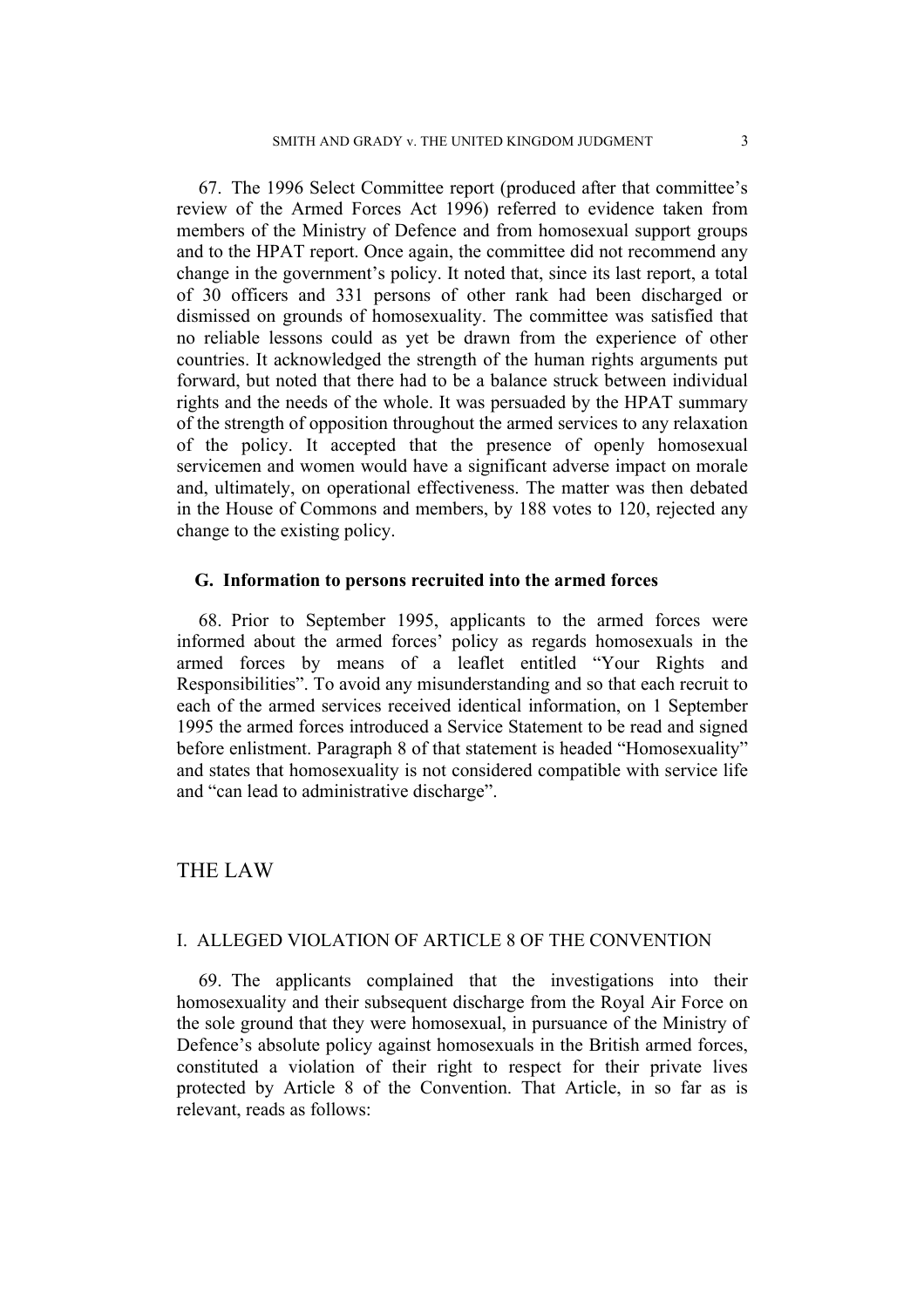67. The 1996 Select Committee report (produced after that committee's review of the Armed Forces Act 1996) referred to evidence taken from members of the Ministry of Defence and from homosexual support groups and to the HPAT report. Once again, the committee did not recommend any change in the government's policy. It noted that, since its last report, a total of 30 officers and 331 persons of other rank had been discharged or dismissed on grounds of homosexuality. The committee was satisfied that no reliable lessons could as yet be drawn from the experience of other countries. It acknowledged the strength of the human rights arguments put forward, but noted that there had to be a balance struck between individual rights and the needs of the whole. It was persuaded by the HPAT summary of the strength of opposition throughout the armed services to any relaxation of the policy. It accepted that the presence of openly homosexual servicemen and women would have a significant adverse impact on morale and, ultimately, on operational effectiveness. The matter was then debated in the House of Commons and members, by 188 votes to 120, rejected any change to the existing policy.

#### **G. Information to persons recruited into the armed forces**

68. Prior to September 1995, applicants to the armed forces were informed about the armed forces' policy as regards homosexuals in the armed forces by means of a leaflet entitled "Your Rights and Responsibilities". To avoid any misunderstanding and so that each recruit to each of the armed services received identical information, on 1 September 1995 the armed forces introduced a Service Statement to be read and signed before enlistment. Paragraph 8 of that statement is headed "Homosexuality" and states that homosexuality is not considered compatible with service life and "can lead to administrative discharge".

## THE LAW

#### I. ALLEGED VIOLATION OF ARTICLE 8 OF THE CONVENTION

69. The applicants complained that the investigations into their homosexuality and their subsequent discharge from the Royal Air Force on the sole ground that they were homosexual, in pursuance of the Ministry of Defence's absolute policy against homosexuals in the British armed forces, constituted a violation of their right to respect for their private lives protected by Article 8 of the Convention. That Article, in so far as is relevant, reads as follows: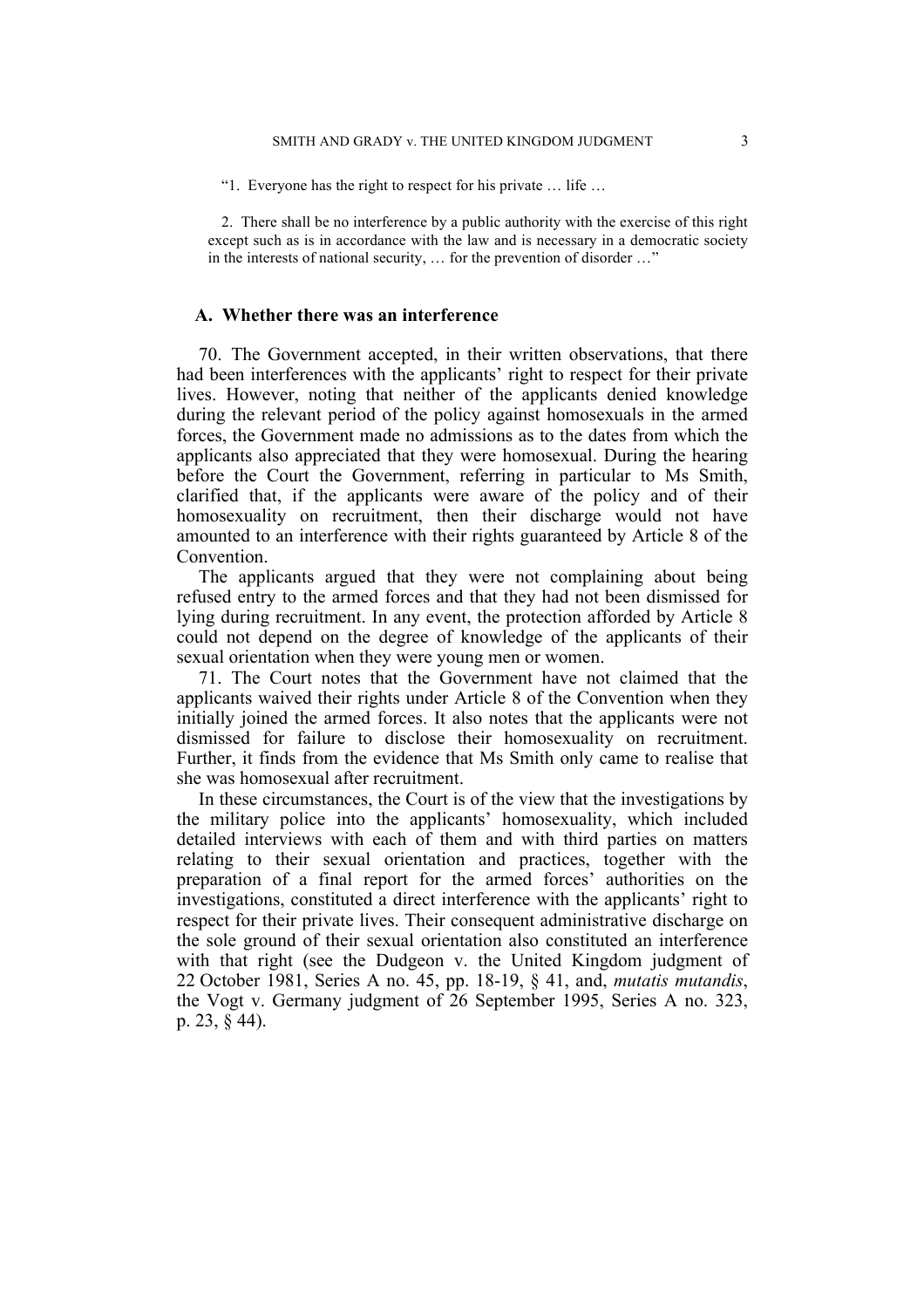"1. Everyone has the right to respect for his private … life …

2. There shall be no interference by a public authority with the exercise of this right except such as is in accordance with the law and is necessary in a democratic society in the interests of national security, … for the prevention of disorder …"

#### **A. Whether there was an interference**

70. The Government accepted, in their written observations, that there had been interferences with the applicants' right to respect for their private lives. However, noting that neither of the applicants denied knowledge during the relevant period of the policy against homosexuals in the armed forces, the Government made no admissions as to the dates from which the applicants also appreciated that they were homosexual. During the hearing before the Court the Government, referring in particular to Ms Smith, clarified that, if the applicants were aware of the policy and of their homosexuality on recruitment, then their discharge would not have amounted to an interference with their rights guaranteed by Article 8 of the Convention.

The applicants argued that they were not complaining about being refused entry to the armed forces and that they had not been dismissed for lying during recruitment. In any event, the protection afforded by Article 8 could not depend on the degree of knowledge of the applicants of their sexual orientation when they were young men or women.

71. The Court notes that the Government have not claimed that the applicants waived their rights under Article 8 of the Convention when they initially joined the armed forces. It also notes that the applicants were not dismissed for failure to disclose their homosexuality on recruitment. Further, it finds from the evidence that Ms Smith only came to realise that she was homosexual after recruitment.

In these circumstances, the Court is of the view that the investigations by the military police into the applicants' homosexuality, which included detailed interviews with each of them and with third parties on matters relating to their sexual orientation and practices, together with the preparation of a final report for the armed forces' authorities on the investigations, constituted a direct interference with the applicants' right to respect for their private lives. Their consequent administrative discharge on the sole ground of their sexual orientation also constituted an interference with that right (see the Dudgeon v. the United Kingdom judgment of 22 October 1981, Series A no. 45, pp. 18-19, § 41, and, *mutatis mutandis*, the Vogt v. Germany judgment of 26 September 1995, Series A no. 323, p. 23, § 44).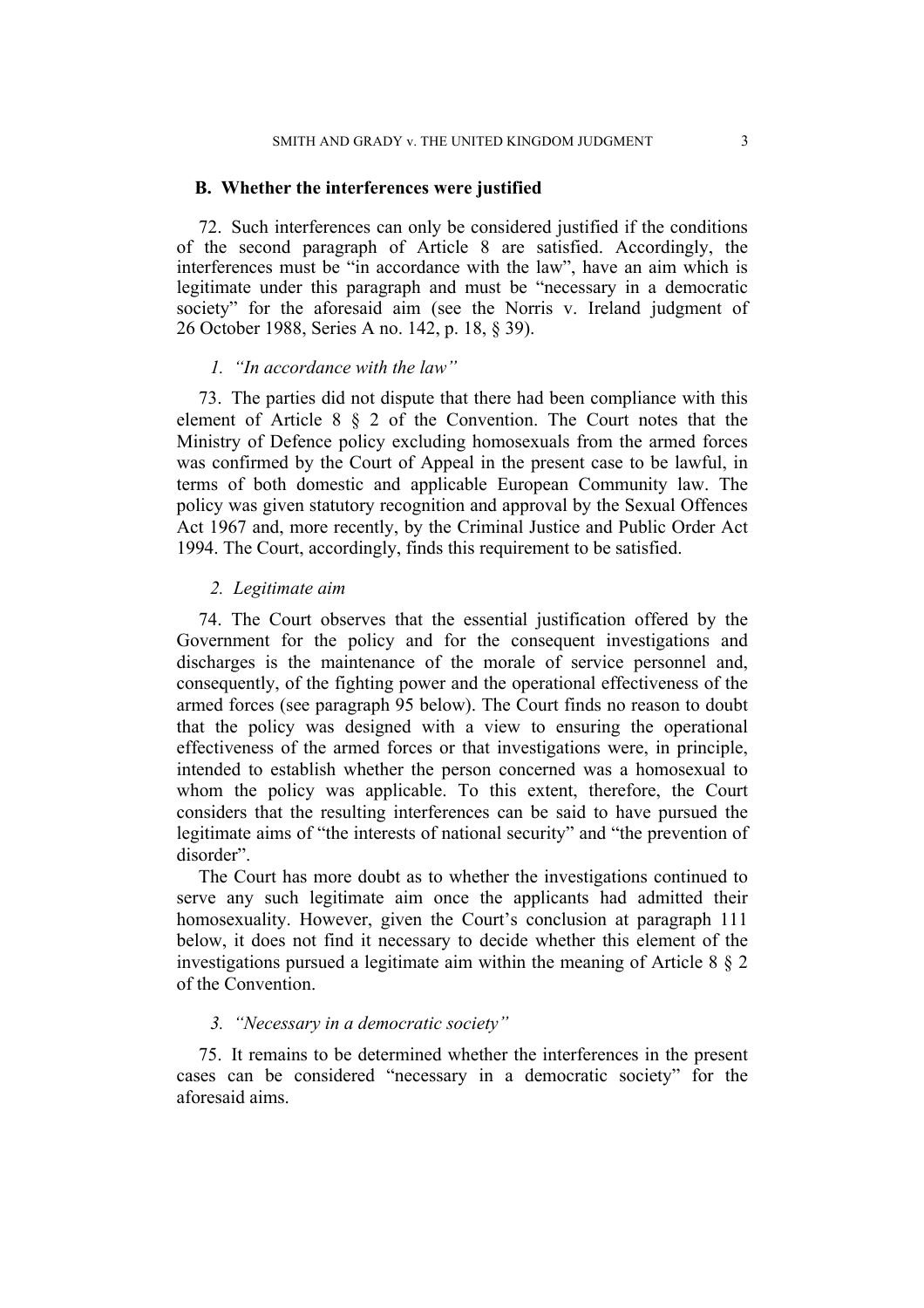## **B. Whether the interferences were justified**

72. Such interferences can only be considered justified if the conditions of the second paragraph of Article 8 are satisfied. Accordingly, the interferences must be "in accordance with the law", have an aim which is legitimate under this paragraph and must be "necessary in a democratic society" for the aforesaid aim (see the Norris v. Ireland judgment of 26 October 1988, Series A no. 142, p. 18, § 39).

## *1. "In accordance with the law"*

73. The parties did not dispute that there had been compliance with this element of Article 8 § 2 of the Convention. The Court notes that the Ministry of Defence policy excluding homosexuals from the armed forces was confirmed by the Court of Appeal in the present case to be lawful, in terms of both domestic and applicable European Community law. The policy was given statutory recognition and approval by the Sexual Offences Act 1967 and, more recently, by the Criminal Justice and Public Order Act 1994. The Court, accordingly, finds this requirement to be satisfied.

## *2. Legitimate aim*

74. The Court observes that the essential justification offered by the Government for the policy and for the consequent investigations and discharges is the maintenance of the morale of service personnel and, consequently, of the fighting power and the operational effectiveness of the armed forces (see paragraph 95 below). The Court finds no reason to doubt that the policy was designed with a view to ensuring the operational effectiveness of the armed forces or that investigations were, in principle, intended to establish whether the person concerned was a homosexual to whom the policy was applicable. To this extent, therefore, the Court considers that the resulting interferences can be said to have pursued the legitimate aims of "the interests of national security" and "the prevention of disorder".

The Court has more doubt as to whether the investigations continued to serve any such legitimate aim once the applicants had admitted their homosexuality. However, given the Court's conclusion at paragraph 111 below, it does not find it necessary to decide whether this element of the investigations pursued a legitimate aim within the meaning of Article 8 § 2 of the Convention.

#### *3. "Necessary in a democratic society"*

75. It remains to be determined whether the interferences in the present cases can be considered "necessary in a democratic society" for the aforesaid aims.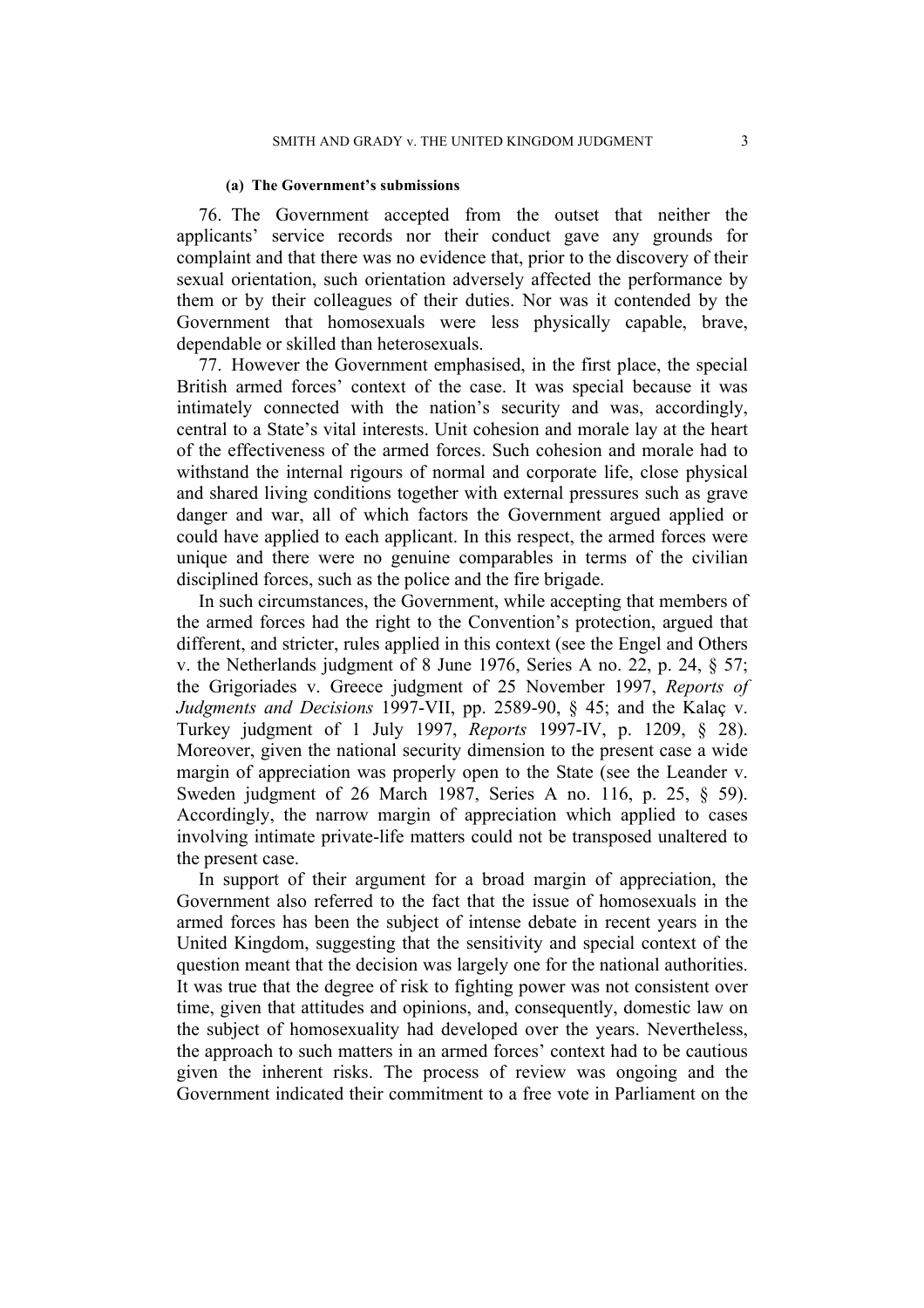#### **(a) The Government's submissions**

76. The Government accepted from the outset that neither the applicants' service records nor their conduct gave any grounds for complaint and that there was no evidence that, prior to the discovery of their sexual orientation, such orientation adversely affected the performance by them or by their colleagues of their duties. Nor was it contended by the Government that homosexuals were less physically capable, brave, dependable or skilled than heterosexuals.

77. However the Government emphasised, in the first place, the special British armed forces' context of the case. It was special because it was intimately connected with the nation's security and was, accordingly, central to a State's vital interests. Unit cohesion and morale lay at the heart of the effectiveness of the armed forces. Such cohesion and morale had to withstand the internal rigours of normal and corporate life, close physical and shared living conditions together with external pressures such as grave danger and war, all of which factors the Government argued applied or could have applied to each applicant. In this respect, the armed forces were unique and there were no genuine comparables in terms of the civilian disciplined forces, such as the police and the fire brigade.

In such circumstances, the Government, while accepting that members of the armed forces had the right to the Convention's protection, argued that different, and stricter, rules applied in this context (see the Engel and Others v. the Netherlands judgment of 8 June 1976, Series A no. 22, p. 24, § 57; the Grigoriades v. Greece judgment of 25 November 1997, *Reports of Judgments and Decisions* 1997-VII, pp. 2589-90, § 45; and the Kalaç v. Turkey judgment of 1 July 1997, *Reports* 1997-IV, p. 1209, § 28). Moreover, given the national security dimension to the present case a wide margin of appreciation was properly open to the State (see the Leander v. Sweden judgment of 26 March 1987, Series A no. 116, p. 25, § 59). Accordingly, the narrow margin of appreciation which applied to cases involving intimate private-life matters could not be transposed unaltered to the present case.

In support of their argument for a broad margin of appreciation, the Government also referred to the fact that the issue of homosexuals in the armed forces has been the subject of intense debate in recent years in the United Kingdom, suggesting that the sensitivity and special context of the question meant that the decision was largely one for the national authorities. It was true that the degree of risk to fighting power was not consistent over time, given that attitudes and opinions, and, consequently, domestic law on the subject of homosexuality had developed over the years. Nevertheless, the approach to such matters in an armed forces' context had to be cautious given the inherent risks. The process of review was ongoing and the Government indicated their commitment to a free vote in Parliament on the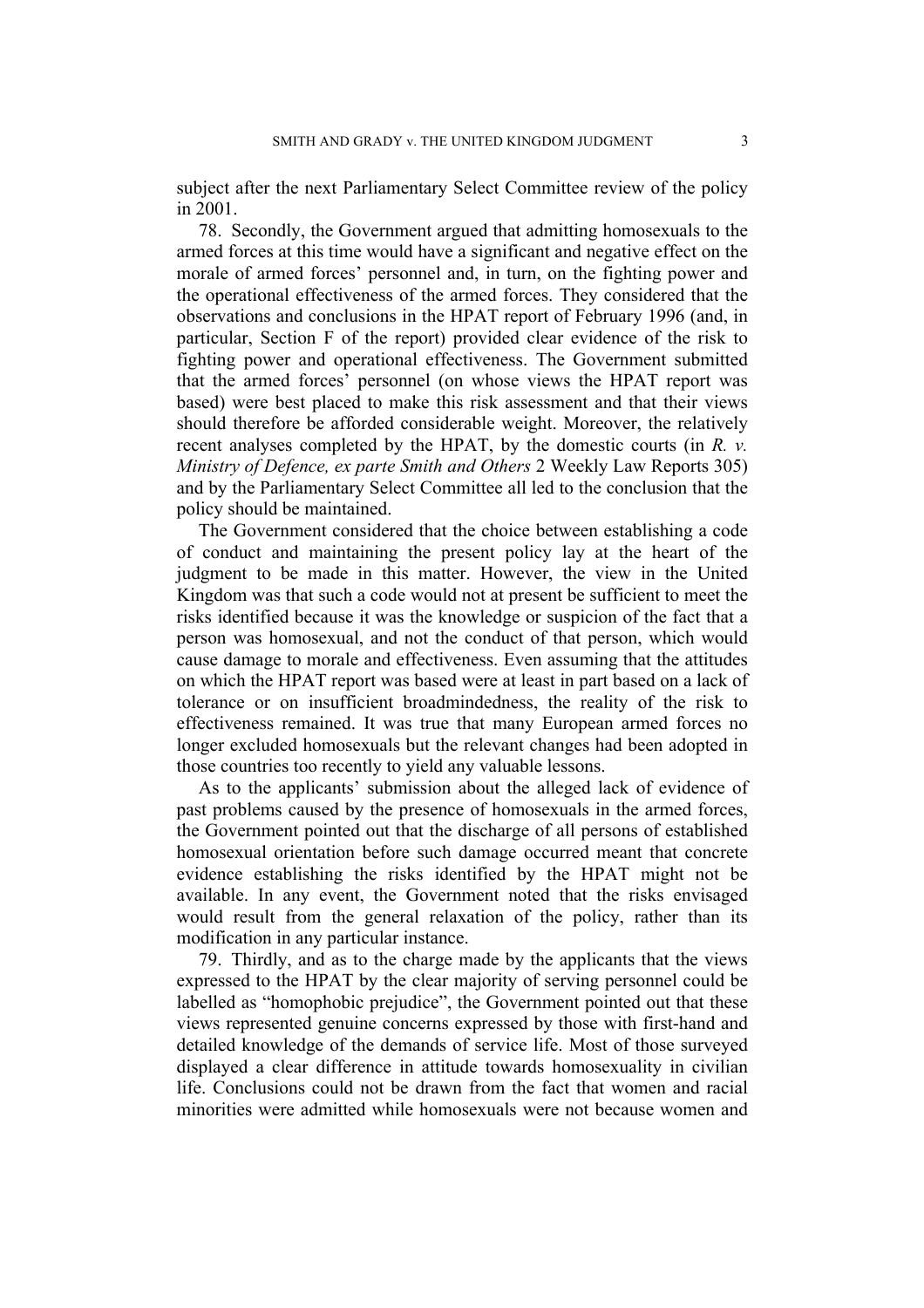subject after the next Parliamentary Select Committee review of the policy in 2001.

78. Secondly, the Government argued that admitting homosexuals to the armed forces at this time would have a significant and negative effect on the morale of armed forces' personnel and, in turn, on the fighting power and the operational effectiveness of the armed forces. They considered that the observations and conclusions in the HPAT report of February 1996 (and, in particular, Section F of the report) provided clear evidence of the risk to fighting power and operational effectiveness. The Government submitted that the armed forces' personnel (on whose views the HPAT report was based) were best placed to make this risk assessment and that their views should therefore be afforded considerable weight. Moreover, the relatively recent analyses completed by the HPAT, by the domestic courts (in *R. v. Ministry of Defence, ex parte Smith and Others* 2 Weekly Law Reports 305) and by the Parliamentary Select Committee all led to the conclusion that the policy should be maintained.

The Government considered that the choice between establishing a code of conduct and maintaining the present policy lay at the heart of the judgment to be made in this matter. However, the view in the United Kingdom was that such a code would not at present be sufficient to meet the risks identified because it was the knowledge or suspicion of the fact that a person was homosexual, and not the conduct of that person, which would cause damage to morale and effectiveness. Even assuming that the attitudes on which the HPAT report was based were at least in part based on a lack of tolerance or on insufficient broadmindedness, the reality of the risk to effectiveness remained. It was true that many European armed forces no longer excluded homosexuals but the relevant changes had been adopted in those countries too recently to yield any valuable lessons.

As to the applicants' submission about the alleged lack of evidence of past problems caused by the presence of homosexuals in the armed forces, the Government pointed out that the discharge of all persons of established homosexual orientation before such damage occurred meant that concrete evidence establishing the risks identified by the HPAT might not be available. In any event, the Government noted that the risks envisaged would result from the general relaxation of the policy, rather than its modification in any particular instance.

79. Thirdly, and as to the charge made by the applicants that the views expressed to the HPAT by the clear majority of serving personnel could be labelled as "homophobic prejudice", the Government pointed out that these views represented genuine concerns expressed by those with first-hand and detailed knowledge of the demands of service life. Most of those surveyed displayed a clear difference in attitude towards homosexuality in civilian life. Conclusions could not be drawn from the fact that women and racial minorities were admitted while homosexuals were not because women and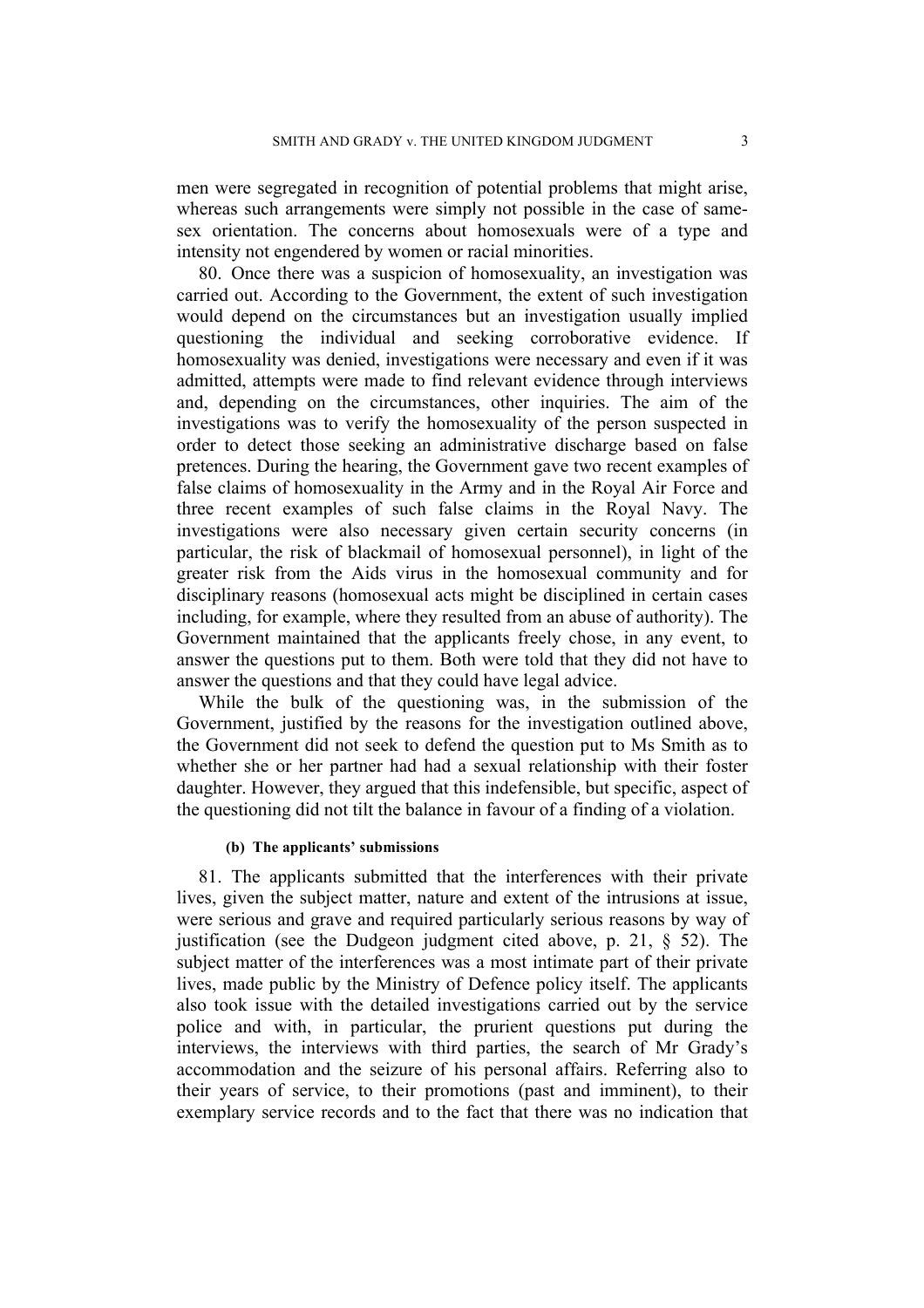men were segregated in recognition of potential problems that might arise, whereas such arrangements were simply not possible in the case of samesex orientation. The concerns about homosexuals were of a type and intensity not engendered by women or racial minorities.

80. Once there was a suspicion of homosexuality, an investigation was carried out. According to the Government, the extent of such investigation would depend on the circumstances but an investigation usually implied questioning the individual and seeking corroborative evidence. If homosexuality was denied, investigations were necessary and even if it was admitted, attempts were made to find relevant evidence through interviews and, depending on the circumstances, other inquiries. The aim of the investigations was to verify the homosexuality of the person suspected in order to detect those seeking an administrative discharge based on false pretences. During the hearing, the Government gave two recent examples of false claims of homosexuality in the Army and in the Royal Air Force and three recent examples of such false claims in the Royal Navy. The investigations were also necessary given certain security concerns (in particular, the risk of blackmail of homosexual personnel), in light of the greater risk from the Aids virus in the homosexual community and for disciplinary reasons (homosexual acts might be disciplined in certain cases including, for example, where they resulted from an abuse of authority). The Government maintained that the applicants freely chose, in any event, to answer the questions put to them. Both were told that they did not have to answer the questions and that they could have legal advice.

While the bulk of the questioning was, in the submission of the Government, justified by the reasons for the investigation outlined above, the Government did not seek to defend the question put to Ms Smith as to whether she or her partner had had a sexual relationship with their foster daughter. However, they argued that this indefensible, but specific, aspect of the questioning did not tilt the balance in favour of a finding of a violation.

#### **(b) The applicants' submissions**

81. The applicants submitted that the interferences with their private lives, given the subject matter, nature and extent of the intrusions at issue, were serious and grave and required particularly serious reasons by way of justification (see the Dudgeon judgment cited above, p. 21, § 52). The subject matter of the interferences was a most intimate part of their private lives, made public by the Ministry of Defence policy itself. The applicants also took issue with the detailed investigations carried out by the service police and with, in particular, the prurient questions put during the interviews, the interviews with third parties, the search of Mr Grady's accommodation and the seizure of his personal affairs. Referring also to their years of service, to their promotions (past and imminent), to their exemplary service records and to the fact that there was no indication that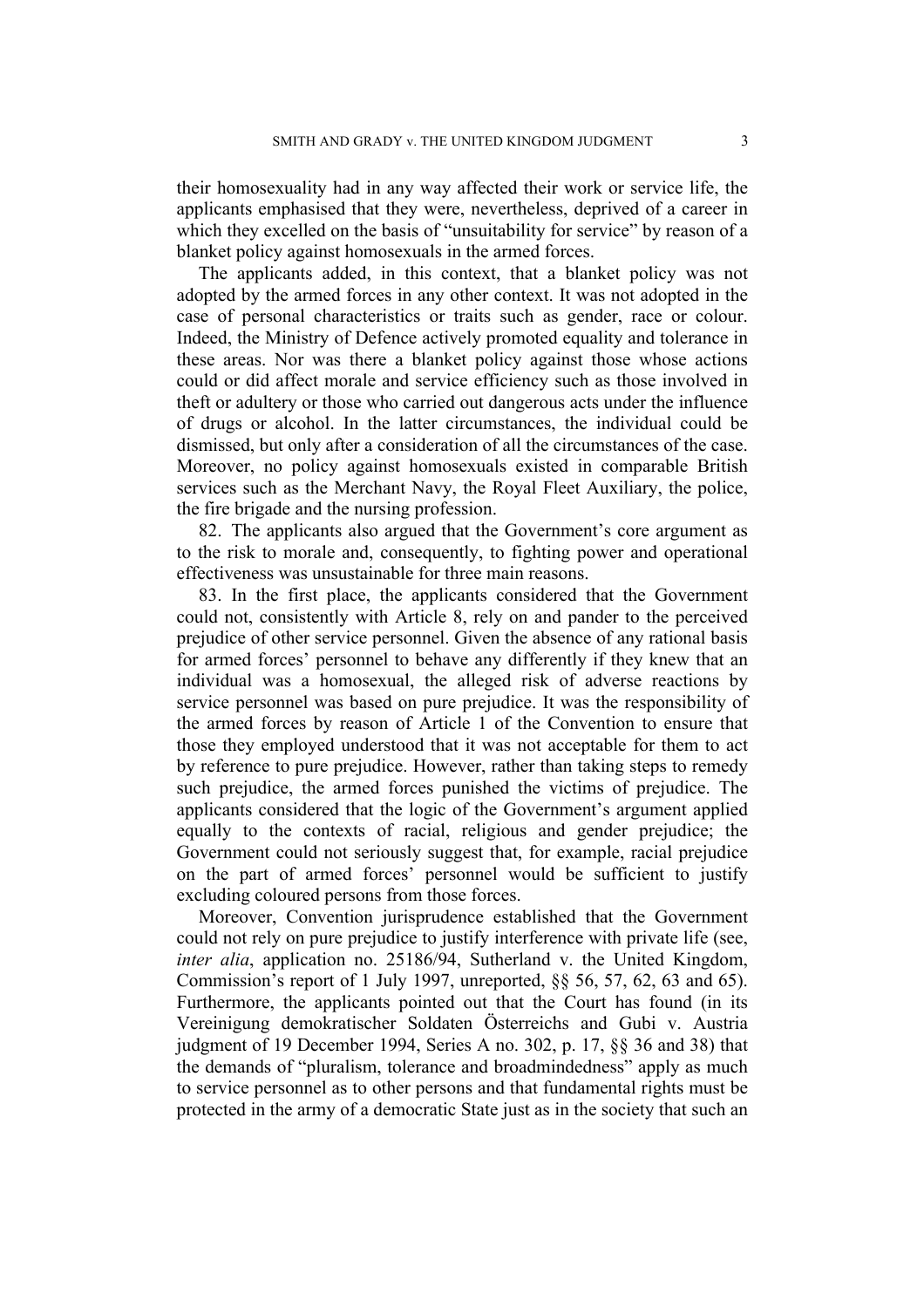their homosexuality had in any way affected their work or service life, the applicants emphasised that they were, nevertheless, deprived of a career in which they excelled on the basis of "unsuitability for service" by reason of a blanket policy against homosexuals in the armed forces.

The applicants added, in this context, that a blanket policy was not adopted by the armed forces in any other context. It was not adopted in the case of personal characteristics or traits such as gender, race or colour. Indeed, the Ministry of Defence actively promoted equality and tolerance in these areas. Nor was there a blanket policy against those whose actions could or did affect morale and service efficiency such as those involved in theft or adultery or those who carried out dangerous acts under the influence of drugs or alcohol. In the latter circumstances, the individual could be dismissed, but only after a consideration of all the circumstances of the case. Moreover, no policy against homosexuals existed in comparable British services such as the Merchant Navy, the Royal Fleet Auxiliary, the police, the fire brigade and the nursing profession.

82. The applicants also argued that the Government's core argument as to the risk to morale and, consequently, to fighting power and operational effectiveness was unsustainable for three main reasons.

83. In the first place, the applicants considered that the Government could not, consistently with Article 8, rely on and pander to the perceived prejudice of other service personnel. Given the absence of any rational basis for armed forces' personnel to behave any differently if they knew that an individual was a homosexual, the alleged risk of adverse reactions by service personnel was based on pure prejudice. It was the responsibility of the armed forces by reason of Article 1 of the Convention to ensure that those they employed understood that it was not acceptable for them to act by reference to pure prejudice. However, rather than taking steps to remedy such prejudice, the armed forces punished the victims of prejudice. The applicants considered that the logic of the Government's argument applied equally to the contexts of racial, religious and gender prejudice; the Government could not seriously suggest that, for example, racial prejudice on the part of armed forces' personnel would be sufficient to justify excluding coloured persons from those forces.

Moreover, Convention jurisprudence established that the Government could not rely on pure prejudice to justify interference with private life (see, *inter alia*, application no. 25186/94, Sutherland v. the United Kingdom, Commission's report of 1 July 1997, unreported, §§ 56, 57, 62, 63 and 65). Furthermore, the applicants pointed out that the Court has found (in its Vereinigung demokratischer Soldaten Österreichs and Gubi v. Austria judgment of 19 December 1994, Series A no. 302, p. 17, §§ 36 and 38) that the demands of "pluralism, tolerance and broadmindedness" apply as much to service personnel as to other persons and that fundamental rights must be protected in the army of a democratic State just as in the society that such an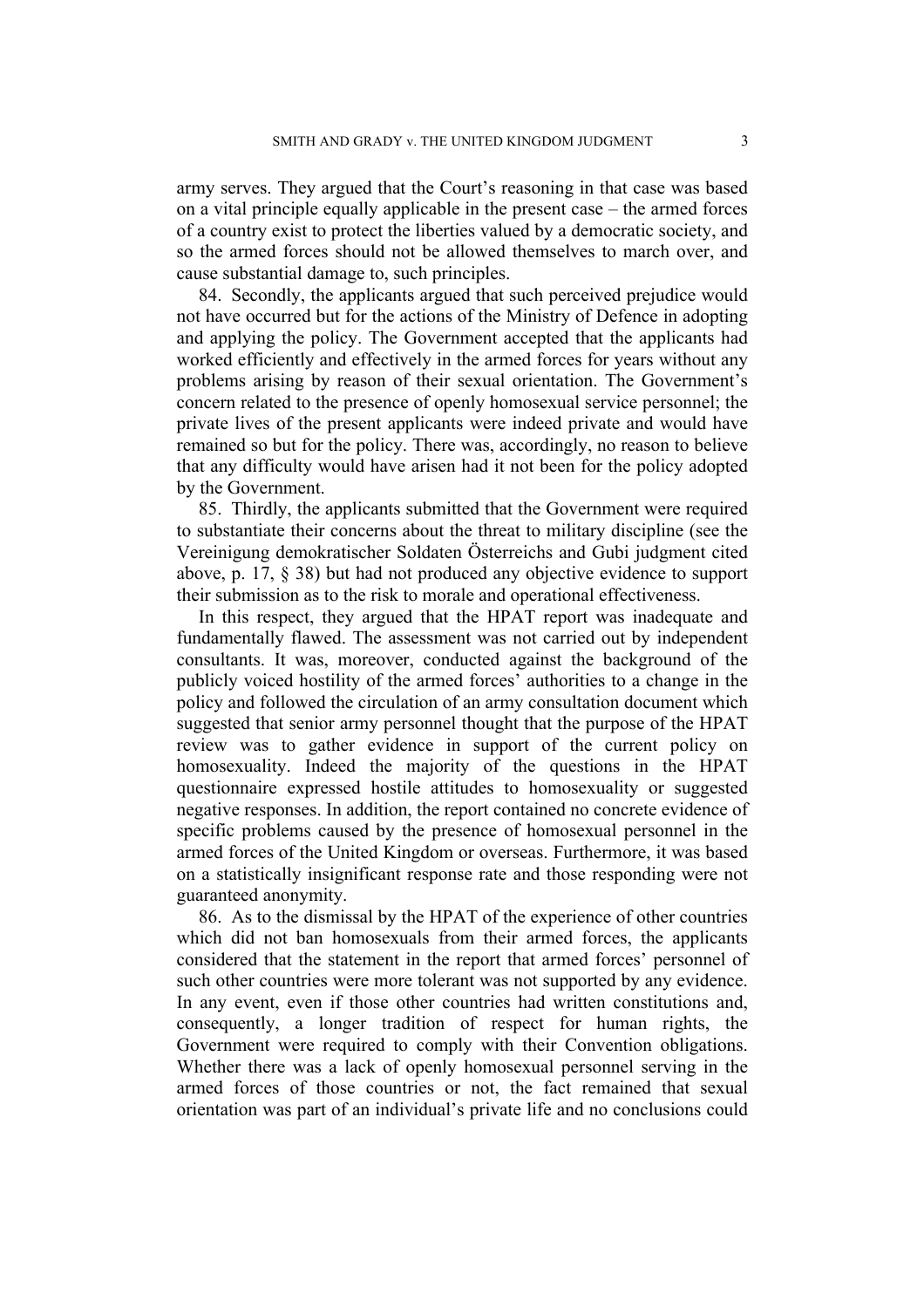army serves. They argued that the Court's reasoning in that case was based on a vital principle equally applicable in the present case – the armed forces of a country exist to protect the liberties valued by a democratic society, and so the armed forces should not be allowed themselves to march over, and cause substantial damage to, such principles.

84. Secondly, the applicants argued that such perceived prejudice would not have occurred but for the actions of the Ministry of Defence in adopting and applying the policy. The Government accepted that the applicants had worked efficiently and effectively in the armed forces for years without any problems arising by reason of their sexual orientation. The Government's concern related to the presence of openly homosexual service personnel; the private lives of the present applicants were indeed private and would have remained so but for the policy. There was, accordingly, no reason to believe that any difficulty would have arisen had it not been for the policy adopted by the Government.

85. Thirdly, the applicants submitted that the Government were required to substantiate their concerns about the threat to military discipline (see the Vereinigung demokratischer Soldaten Österreichs and Gubi judgment cited above, p. 17, § 38) but had not produced any objective evidence to support their submission as to the risk to morale and operational effectiveness.

In this respect, they argued that the HPAT report was inadequate and fundamentally flawed. The assessment was not carried out by independent consultants. It was, moreover, conducted against the background of the publicly voiced hostility of the armed forces' authorities to a change in the policy and followed the circulation of an army consultation document which suggested that senior army personnel thought that the purpose of the HPAT review was to gather evidence in support of the current policy on homosexuality. Indeed the majority of the questions in the HPAT questionnaire expressed hostile attitudes to homosexuality or suggested negative responses. In addition, the report contained no concrete evidence of specific problems caused by the presence of homosexual personnel in the armed forces of the United Kingdom or overseas. Furthermore, it was based on a statistically insignificant response rate and those responding were not guaranteed anonymity.

86. As to the dismissal by the HPAT of the experience of other countries which did not ban homosexuals from their armed forces, the applicants considered that the statement in the report that armed forces' personnel of such other countries were more tolerant was not supported by any evidence. In any event, even if those other countries had written constitutions and, consequently, a longer tradition of respect for human rights, the Government were required to comply with their Convention obligations. Whether there was a lack of openly homosexual personnel serving in the armed forces of those countries or not, the fact remained that sexual orientation was part of an individual's private life and no conclusions could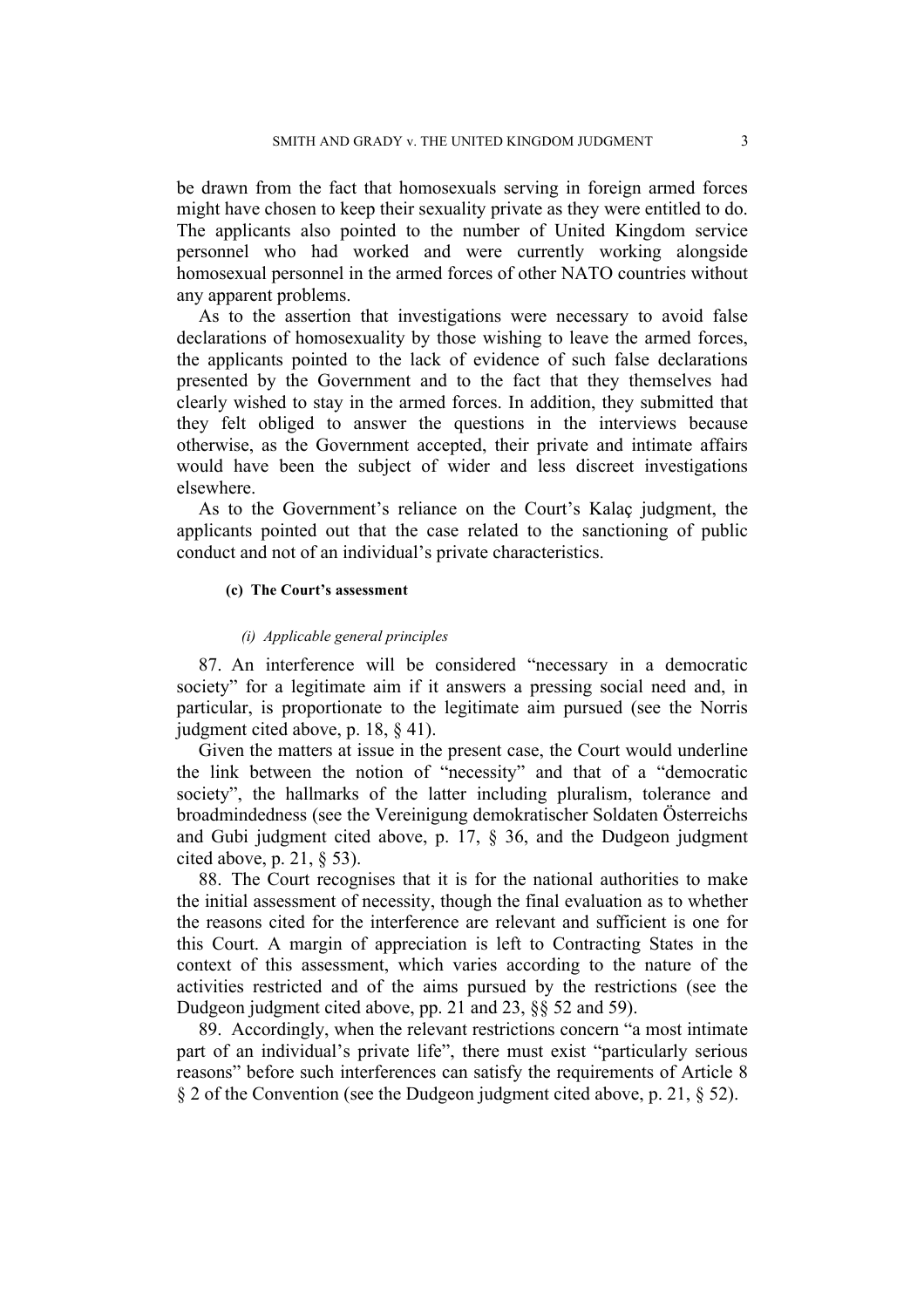be drawn from the fact that homosexuals serving in foreign armed forces might have chosen to keep their sexuality private as they were entitled to do. The applicants also pointed to the number of United Kingdom service personnel who had worked and were currently working alongside homosexual personnel in the armed forces of other NATO countries without any apparent problems.

As to the assertion that investigations were necessary to avoid false declarations of homosexuality by those wishing to leave the armed forces, the applicants pointed to the lack of evidence of such false declarations presented by the Government and to the fact that they themselves had clearly wished to stay in the armed forces. In addition, they submitted that they felt obliged to answer the questions in the interviews because otherwise, as the Government accepted, their private and intimate affairs would have been the subject of wider and less discreet investigations elsewhere.

As to the Government's reliance on the Court's Kalaç judgment, the applicants pointed out that the case related to the sanctioning of public conduct and not of an individual's private characteristics.

#### **(c) The Court's assessment**

#### *(i) Applicable general principles*

87. An interference will be considered "necessary in a democratic society" for a legitimate aim if it answers a pressing social need and, in particular, is proportionate to the legitimate aim pursued (see the Norris judgment cited above, p. 18, § 41).

Given the matters at issue in the present case, the Court would underline the link between the notion of "necessity" and that of a "democratic society", the hallmarks of the latter including pluralism, tolerance and broadmindedness (see the Vereinigung demokratischer Soldaten Österreichs and Gubi judgment cited above, p. 17, § 36, and the Dudgeon judgment cited above, p. 21, § 53).

88. The Court recognises that it is for the national authorities to make the initial assessment of necessity, though the final evaluation as to whether the reasons cited for the interference are relevant and sufficient is one for this Court. A margin of appreciation is left to Contracting States in the context of this assessment, which varies according to the nature of the activities restricted and of the aims pursued by the restrictions (see the Dudgeon judgment cited above, pp. 21 and 23, §§ 52 and 59).

89. Accordingly, when the relevant restrictions concern "a most intimate part of an individual's private life", there must exist "particularly serious reasons" before such interferences can satisfy the requirements of Article 8 § 2 of the Convention (see the Dudgeon judgment cited above, p. 21, § 52).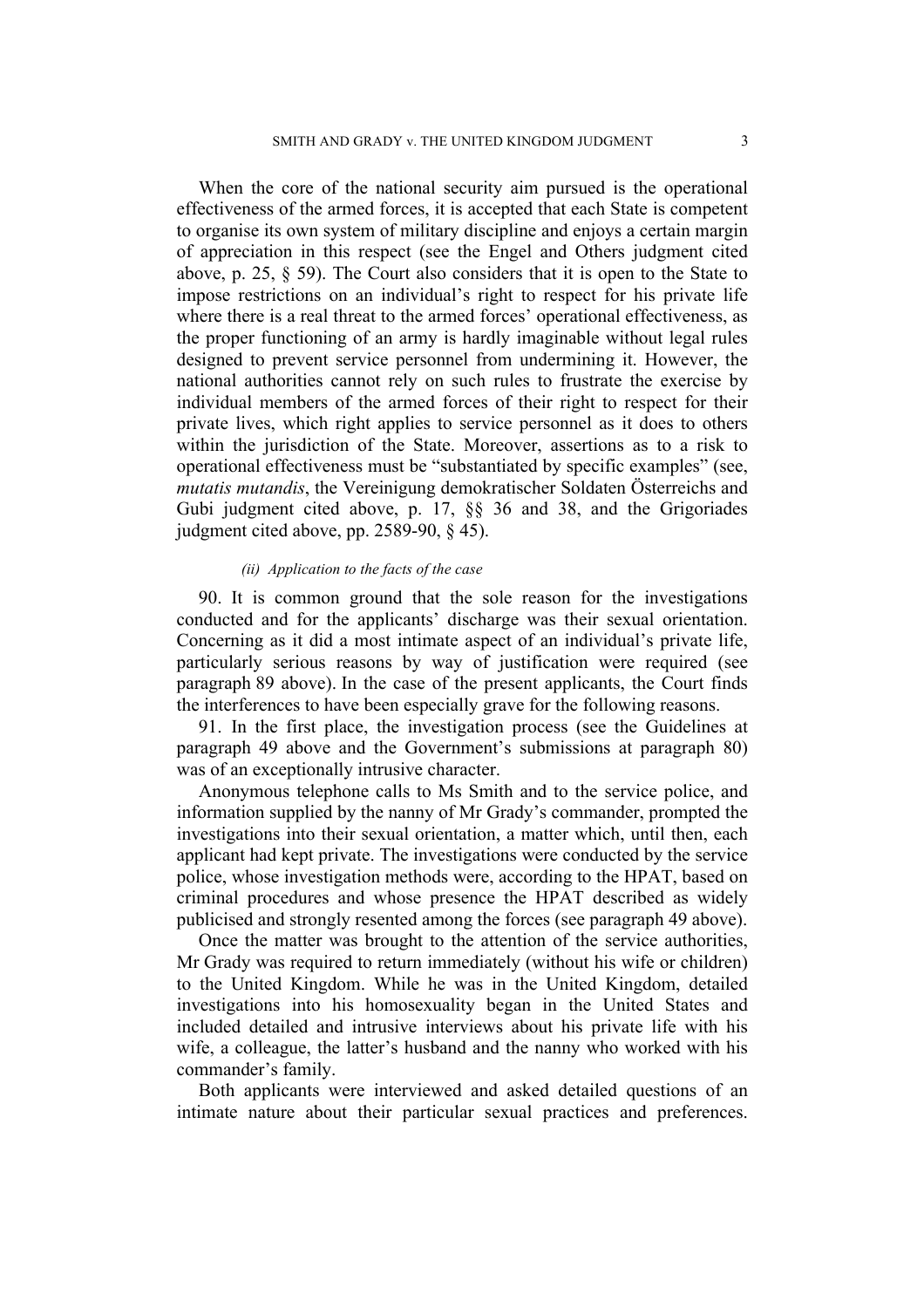When the core of the national security aim pursued is the operational effectiveness of the armed forces, it is accepted that each State is competent to organise its own system of military discipline and enjoys a certain margin of appreciation in this respect (see the Engel and Others judgment cited above, p. 25, § 59). The Court also considers that it is open to the State to impose restrictions on an individual's right to respect for his private life where there is a real threat to the armed forces' operational effectiveness, as the proper functioning of an army is hardly imaginable without legal rules designed to prevent service personnel from undermining it. However, the national authorities cannot rely on such rules to frustrate the exercise by individual members of the armed forces of their right to respect for their private lives, which right applies to service personnel as it does to others within the jurisdiction of the State. Moreover, assertions as to a risk to operational effectiveness must be "substantiated by specific examples" (see, *mutatis mutandis*, the Vereinigung demokratischer Soldaten Österreichs and Gubi judgment cited above, p. 17, §§ 36 and 38, and the Grigoriades judgment cited above, pp. 2589-90, § 45).

#### *(ii) Application to the facts of the case*

90. It is common ground that the sole reason for the investigations conducted and for the applicants' discharge was their sexual orientation. Concerning as it did a most intimate aspect of an individual's private life, particularly serious reasons by way of justification were required (see paragraph 89 above). In the case of the present applicants, the Court finds the interferences to have been especially grave for the following reasons.

91. In the first place, the investigation process (see the Guidelines at paragraph 49 above and the Government's submissions at paragraph 80) was of an exceptionally intrusive character.

Anonymous telephone calls to Ms Smith and to the service police, and information supplied by the nanny of Mr Grady's commander, prompted the investigations into their sexual orientation, a matter which, until then, each applicant had kept private. The investigations were conducted by the service police, whose investigation methods were, according to the HPAT, based on criminal procedures and whose presence the HPAT described as widely publicised and strongly resented among the forces (see paragraph 49 above).

Once the matter was brought to the attention of the service authorities, Mr Grady was required to return immediately (without his wife or children) to the United Kingdom. While he was in the United Kingdom, detailed investigations into his homosexuality began in the United States and included detailed and intrusive interviews about his private life with his wife, a colleague, the latter's husband and the nanny who worked with his commander's family.

Both applicants were interviewed and asked detailed questions of an intimate nature about their particular sexual practices and preferences.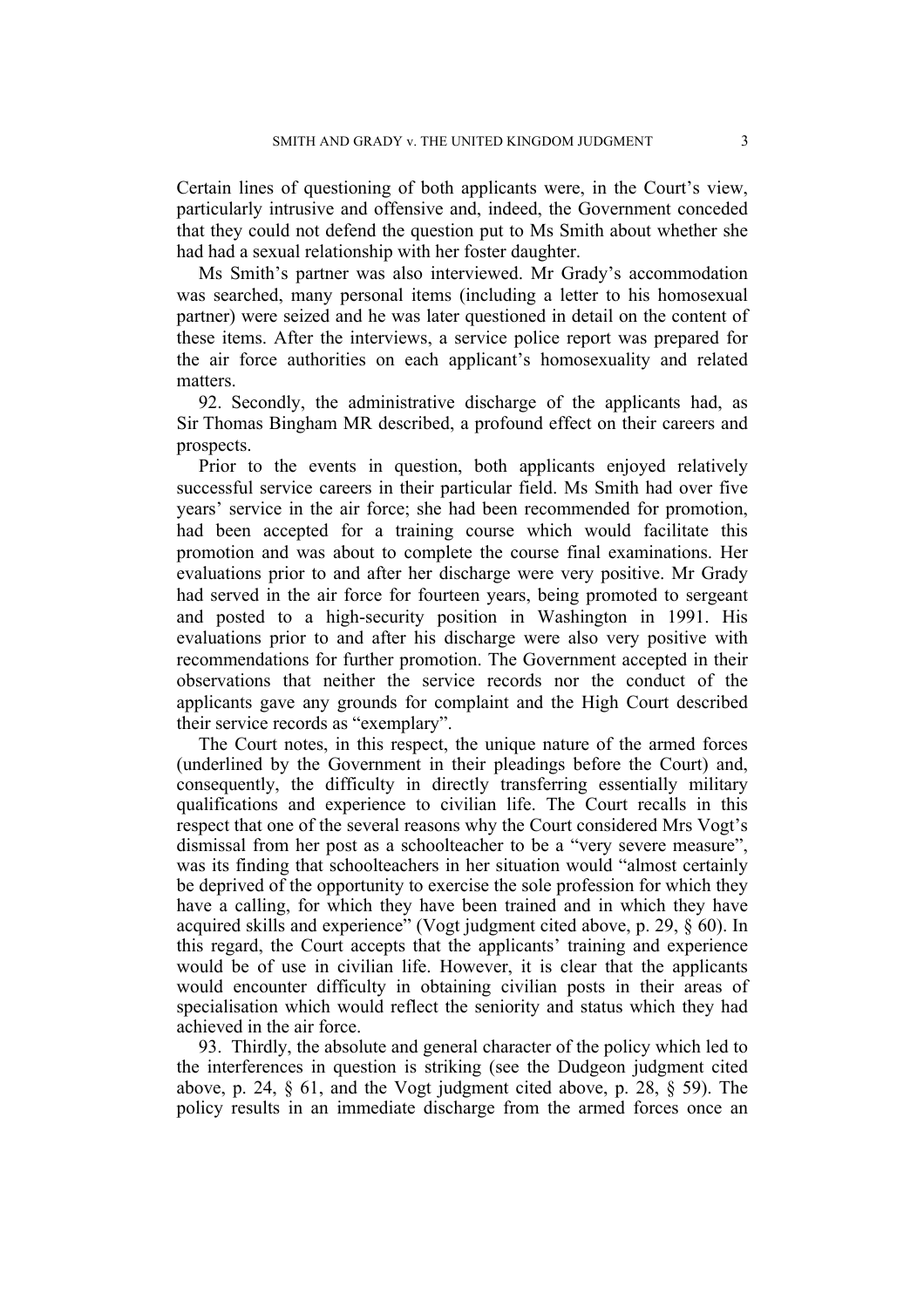Certain lines of questioning of both applicants were, in the Court's view, particularly intrusive and offensive and, indeed, the Government conceded that they could not defend the question put to Ms Smith about whether she had had a sexual relationship with her foster daughter.

Ms Smith's partner was also interviewed. Mr Grady's accommodation was searched, many personal items (including a letter to his homosexual partner) were seized and he was later questioned in detail on the content of these items. After the interviews, a service police report was prepared for the air force authorities on each applicant's homosexuality and related matters.

92. Secondly, the administrative discharge of the applicants had, as Sir Thomas Bingham MR described, a profound effect on their careers and prospects.

Prior to the events in question, both applicants enjoyed relatively successful service careers in their particular field. Ms Smith had over five years' service in the air force; she had been recommended for promotion, had been accepted for a training course which would facilitate this promotion and was about to complete the course final examinations. Her evaluations prior to and after her discharge were very positive. Mr Grady had served in the air force for fourteen years, being promoted to sergeant and posted to a high-security position in Washington in 1991. His evaluations prior to and after his discharge were also very positive with recommendations for further promotion. The Government accepted in their observations that neither the service records nor the conduct of the applicants gave any grounds for complaint and the High Court described their service records as "exemplary".

The Court notes, in this respect, the unique nature of the armed forces (underlined by the Government in their pleadings before the Court) and, consequently, the difficulty in directly transferring essentially military qualifications and experience to civilian life. The Court recalls in this respect that one of the several reasons why the Court considered Mrs Vogt's dismissal from her post as a schoolteacher to be a "very severe measure", was its finding that schoolteachers in her situation would "almost certainly be deprived of the opportunity to exercise the sole profession for which they have a calling, for which they have been trained and in which they have acquired skills and experience" (Vogt judgment cited above, p. 29, § 60). In this regard, the Court accepts that the applicants' training and experience would be of use in civilian life. However, it is clear that the applicants would encounter difficulty in obtaining civilian posts in their areas of specialisation which would reflect the seniority and status which they had achieved in the air force.

93. Thirdly, the absolute and general character of the policy which led to the interferences in question is striking (see the Dudgeon judgment cited above, p. 24, § 61, and the Vogt judgment cited above, p. 28, § 59). The policy results in an immediate discharge from the armed forces once an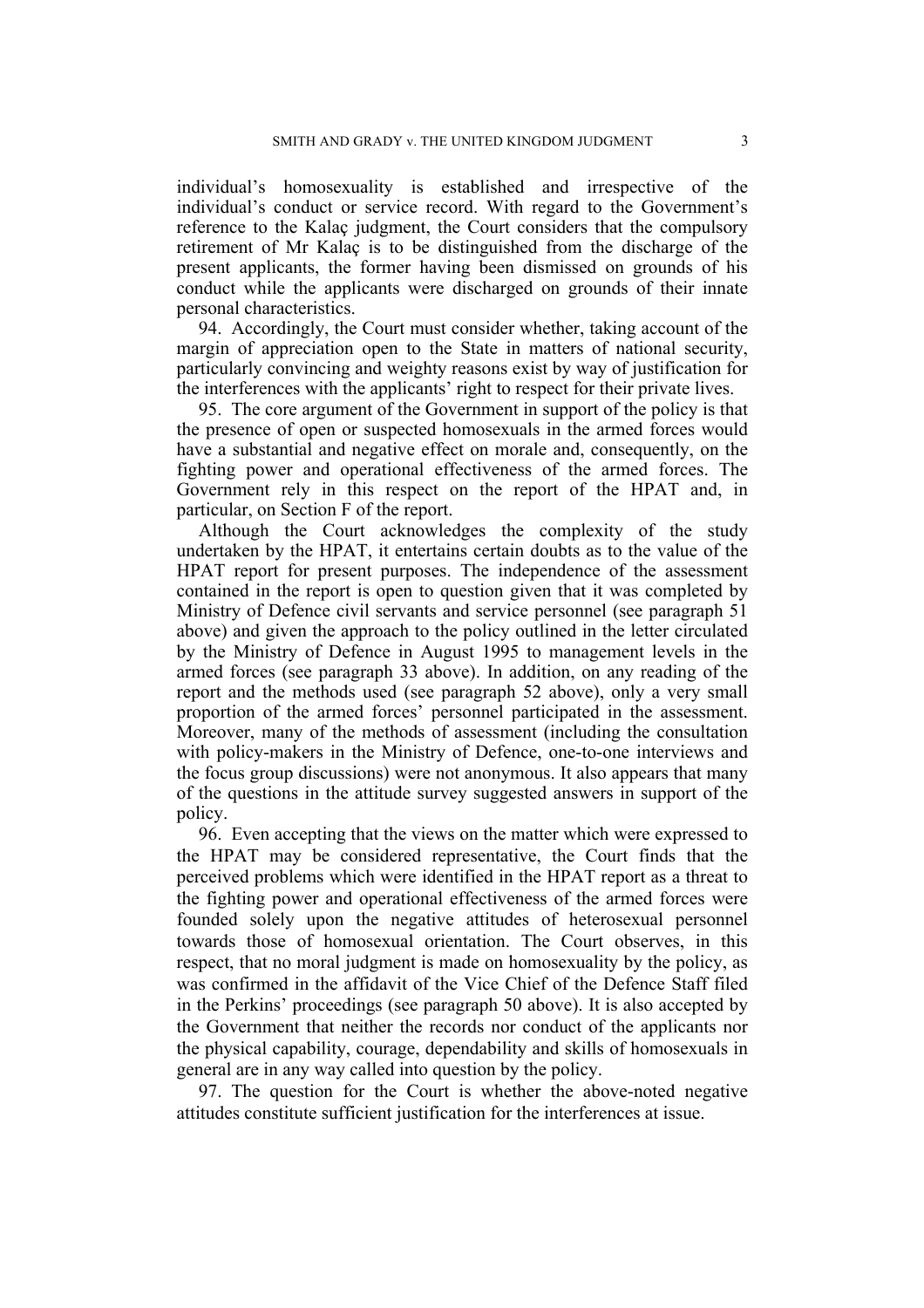individual's homosexuality is established and irrespective of the individual's conduct or service record. With regard to the Government's reference to the Kalaç judgment, the Court considers that the compulsory retirement of Mr Kalaç is to be distinguished from the discharge of the present applicants, the former having been dismissed on grounds of his conduct while the applicants were discharged on grounds of their innate personal characteristics.

94. Accordingly, the Court must consider whether, taking account of the margin of appreciation open to the State in matters of national security, particularly convincing and weighty reasons exist by way of justification for the interferences with the applicants' right to respect for their private lives.

95. The core argument of the Government in support of the policy is that the presence of open or suspected homosexuals in the armed forces would have a substantial and negative effect on morale and, consequently, on the fighting power and operational effectiveness of the armed forces. The Government rely in this respect on the report of the HPAT and, in particular, on Section F of the report.

Although the Court acknowledges the complexity of the study undertaken by the HPAT, it entertains certain doubts as to the value of the HPAT report for present purposes. The independence of the assessment contained in the report is open to question given that it was completed by Ministry of Defence civil servants and service personnel (see paragraph 51 above) and given the approach to the policy outlined in the letter circulated by the Ministry of Defence in August 1995 to management levels in the armed forces (see paragraph 33 above). In addition, on any reading of the report and the methods used (see paragraph 52 above), only a very small proportion of the armed forces' personnel participated in the assessment. Moreover, many of the methods of assessment (including the consultation with policy-makers in the Ministry of Defence, one-to-one interviews and the focus group discussions) were not anonymous. It also appears that many of the questions in the attitude survey suggested answers in support of the policy.

96. Even accepting that the views on the matter which were expressed to the HPAT may be considered representative, the Court finds that the perceived problems which were identified in the HPAT report as a threat to the fighting power and operational effectiveness of the armed forces were founded solely upon the negative attitudes of heterosexual personnel towards those of homosexual orientation. The Court observes, in this respect, that no moral judgment is made on homosexuality by the policy, as was confirmed in the affidavit of the Vice Chief of the Defence Staff filed in the Perkins' proceedings (see paragraph 50 above). It is also accepted by the Government that neither the records nor conduct of the applicants nor the physical capability, courage, dependability and skills of homosexuals in general are in any way called into question by the policy.

97. The question for the Court is whether the above-noted negative attitudes constitute sufficient justification for the interferences at issue.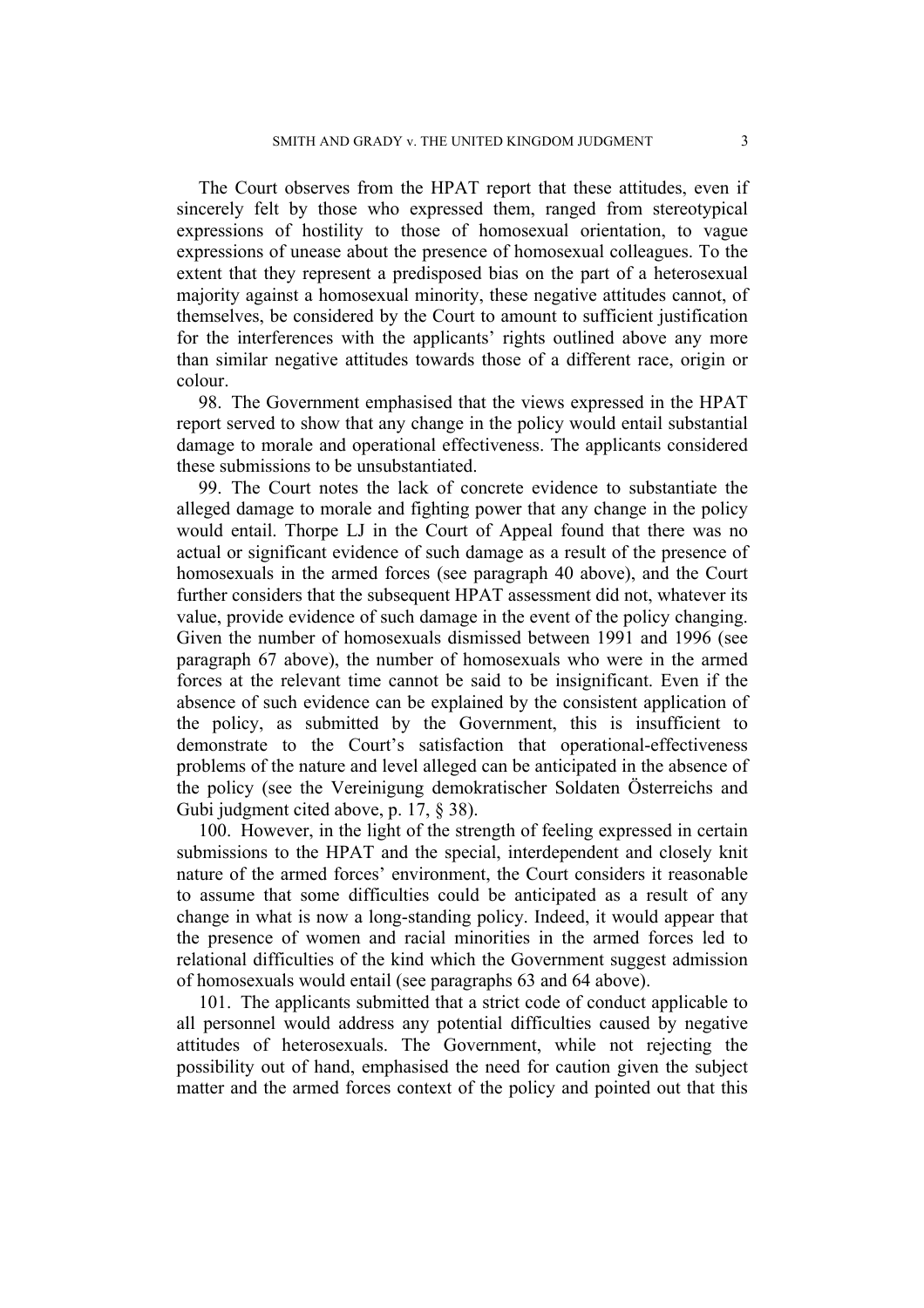The Court observes from the HPAT report that these attitudes, even if sincerely felt by those who expressed them, ranged from stereotypical expressions of hostility to those of homosexual orientation, to vague expressions of unease about the presence of homosexual colleagues. To the extent that they represent a predisposed bias on the part of a heterosexual majority against a homosexual minority, these negative attitudes cannot, of themselves, be considered by the Court to amount to sufficient justification for the interferences with the applicants' rights outlined above any more than similar negative attitudes towards those of a different race, origin or colour.

98. The Government emphasised that the views expressed in the HPAT report served to show that any change in the policy would entail substantial damage to morale and operational effectiveness. The applicants considered these submissions to be unsubstantiated.

99. The Court notes the lack of concrete evidence to substantiate the alleged damage to morale and fighting power that any change in the policy would entail. Thorpe LJ in the Court of Appeal found that there was no actual or significant evidence of such damage as a result of the presence of homosexuals in the armed forces (see paragraph 40 above), and the Court further considers that the subsequent HPAT assessment did not, whatever its value, provide evidence of such damage in the event of the policy changing. Given the number of homosexuals dismissed between 1991 and 1996 (see paragraph 67 above), the number of homosexuals who were in the armed forces at the relevant time cannot be said to be insignificant. Even if the absence of such evidence can be explained by the consistent application of the policy, as submitted by the Government, this is insufficient to demonstrate to the Court's satisfaction that operational-effectiveness problems of the nature and level alleged can be anticipated in the absence of the policy (see the Vereinigung demokratischer Soldaten Österreichs and Gubi judgment cited above, p. 17, § 38).

100. However, in the light of the strength of feeling expressed in certain submissions to the HPAT and the special, interdependent and closely knit nature of the armed forces' environment, the Court considers it reasonable to assume that some difficulties could be anticipated as a result of any change in what is now a long-standing policy. Indeed, it would appear that the presence of women and racial minorities in the armed forces led to relational difficulties of the kind which the Government suggest admission of homosexuals would entail (see paragraphs 63 and 64 above).

101. The applicants submitted that a strict code of conduct applicable to all personnel would address any potential difficulties caused by negative attitudes of heterosexuals. The Government, while not rejecting the possibility out of hand, emphasised the need for caution given the subject matter and the armed forces context of the policy and pointed out that this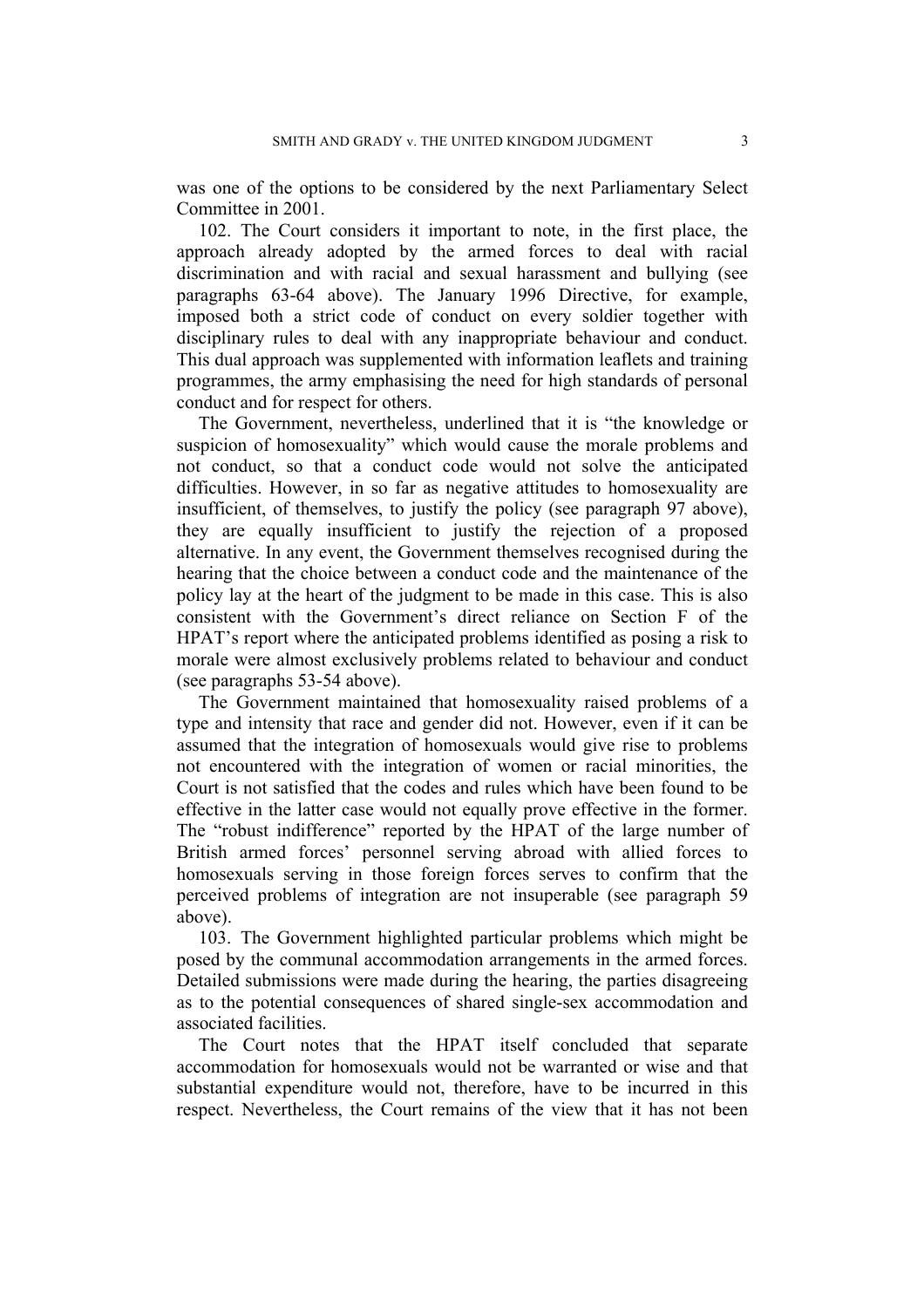was one of the options to be considered by the next Parliamentary Select Committee in 2001.

102. The Court considers it important to note, in the first place, the approach already adopted by the armed forces to deal with racial discrimination and with racial and sexual harassment and bullying (see paragraphs 63-64 above). The January 1996 Directive, for example, imposed both a strict code of conduct on every soldier together with disciplinary rules to deal with any inappropriate behaviour and conduct. This dual approach was supplemented with information leaflets and training programmes, the army emphasising the need for high standards of personal conduct and for respect for others.

The Government, nevertheless, underlined that it is "the knowledge or suspicion of homosexuality" which would cause the morale problems and not conduct, so that a conduct code would not solve the anticipated difficulties. However, in so far as negative attitudes to homosexuality are insufficient, of themselves, to justify the policy (see paragraph 97 above), they are equally insufficient to justify the rejection of a proposed alternative. In any event, the Government themselves recognised during the hearing that the choice between a conduct code and the maintenance of the policy lay at the heart of the judgment to be made in this case. This is also consistent with the Government's direct reliance on Section F of the HPAT's report where the anticipated problems identified as posing a risk to morale were almost exclusively problems related to behaviour and conduct (see paragraphs 53-54 above).

The Government maintained that homosexuality raised problems of a type and intensity that race and gender did not. However, even if it can be assumed that the integration of homosexuals would give rise to problems not encountered with the integration of women or racial minorities, the Court is not satisfied that the codes and rules which have been found to be effective in the latter case would not equally prove effective in the former. The "robust indifference" reported by the HPAT of the large number of British armed forces' personnel serving abroad with allied forces to homosexuals serving in those foreign forces serves to confirm that the perceived problems of integration are not insuperable (see paragraph 59 above).

103. The Government highlighted particular problems which might be posed by the communal accommodation arrangements in the armed forces. Detailed submissions were made during the hearing, the parties disagreeing as to the potential consequences of shared single-sex accommodation and associated facilities.

The Court notes that the HPAT itself concluded that separate accommodation for homosexuals would not be warranted or wise and that substantial expenditure would not, therefore, have to be incurred in this respect. Nevertheless, the Court remains of the view that it has not been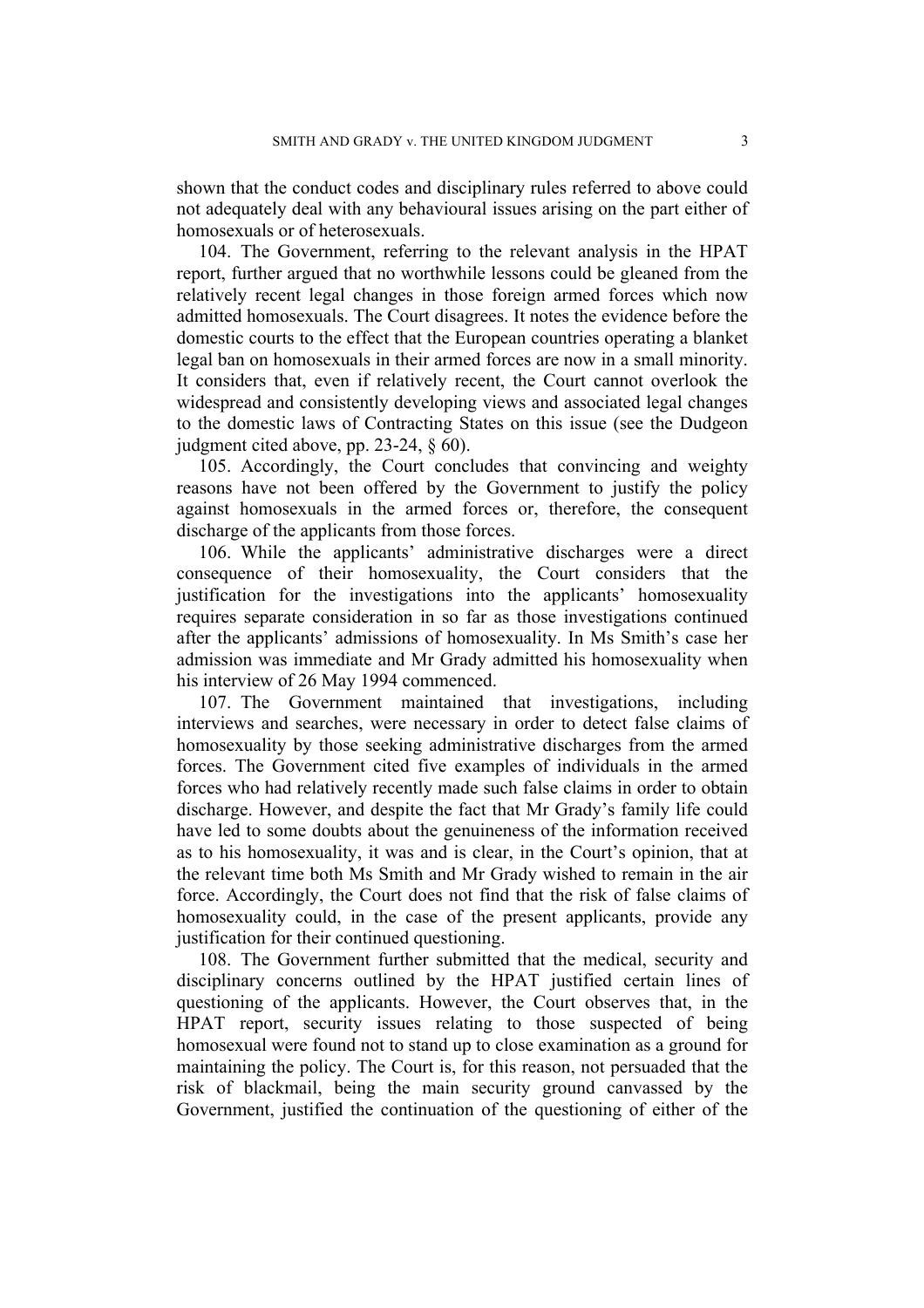shown that the conduct codes and disciplinary rules referred to above could not adequately deal with any behavioural issues arising on the part either of homosexuals or of heterosexuals.

104. The Government, referring to the relevant analysis in the HPAT report, further argued that no worthwhile lessons could be gleaned from the relatively recent legal changes in those foreign armed forces which now admitted homosexuals. The Court disagrees. It notes the evidence before the domestic courts to the effect that the European countries operating a blanket legal ban on homosexuals in their armed forces are now in a small minority. It considers that, even if relatively recent, the Court cannot overlook the widespread and consistently developing views and associated legal changes to the domestic laws of Contracting States on this issue (see the Dudgeon judgment cited above, pp. 23-24, § 60).

105. Accordingly, the Court concludes that convincing and weighty reasons have not been offered by the Government to justify the policy against homosexuals in the armed forces or, therefore, the consequent discharge of the applicants from those forces.

106. While the applicants' administrative discharges were a direct consequence of their homosexuality, the Court considers that the justification for the investigations into the applicants' homosexuality requires separate consideration in so far as those investigations continued after the applicants' admissions of homosexuality. In Ms Smith's case her admission was immediate and Mr Grady admitted his homosexuality when his interview of 26 May 1994 commenced.

107. The Government maintained that investigations, including interviews and searches, were necessary in order to detect false claims of homosexuality by those seeking administrative discharges from the armed forces. The Government cited five examples of individuals in the armed forces who had relatively recently made such false claims in order to obtain discharge. However, and despite the fact that Mr Grady's family life could have led to some doubts about the genuineness of the information received as to his homosexuality, it was and is clear, in the Court's opinion, that at the relevant time both Ms Smith and Mr Grady wished to remain in the air force. Accordingly, the Court does not find that the risk of false claims of homosexuality could, in the case of the present applicants, provide any justification for their continued questioning.

108. The Government further submitted that the medical, security and disciplinary concerns outlined by the HPAT justified certain lines of questioning of the applicants. However, the Court observes that, in the HPAT report, security issues relating to those suspected of being homosexual were found not to stand up to close examination as a ground for maintaining the policy. The Court is, for this reason, not persuaded that the risk of blackmail, being the main security ground canvassed by the Government, justified the continuation of the questioning of either of the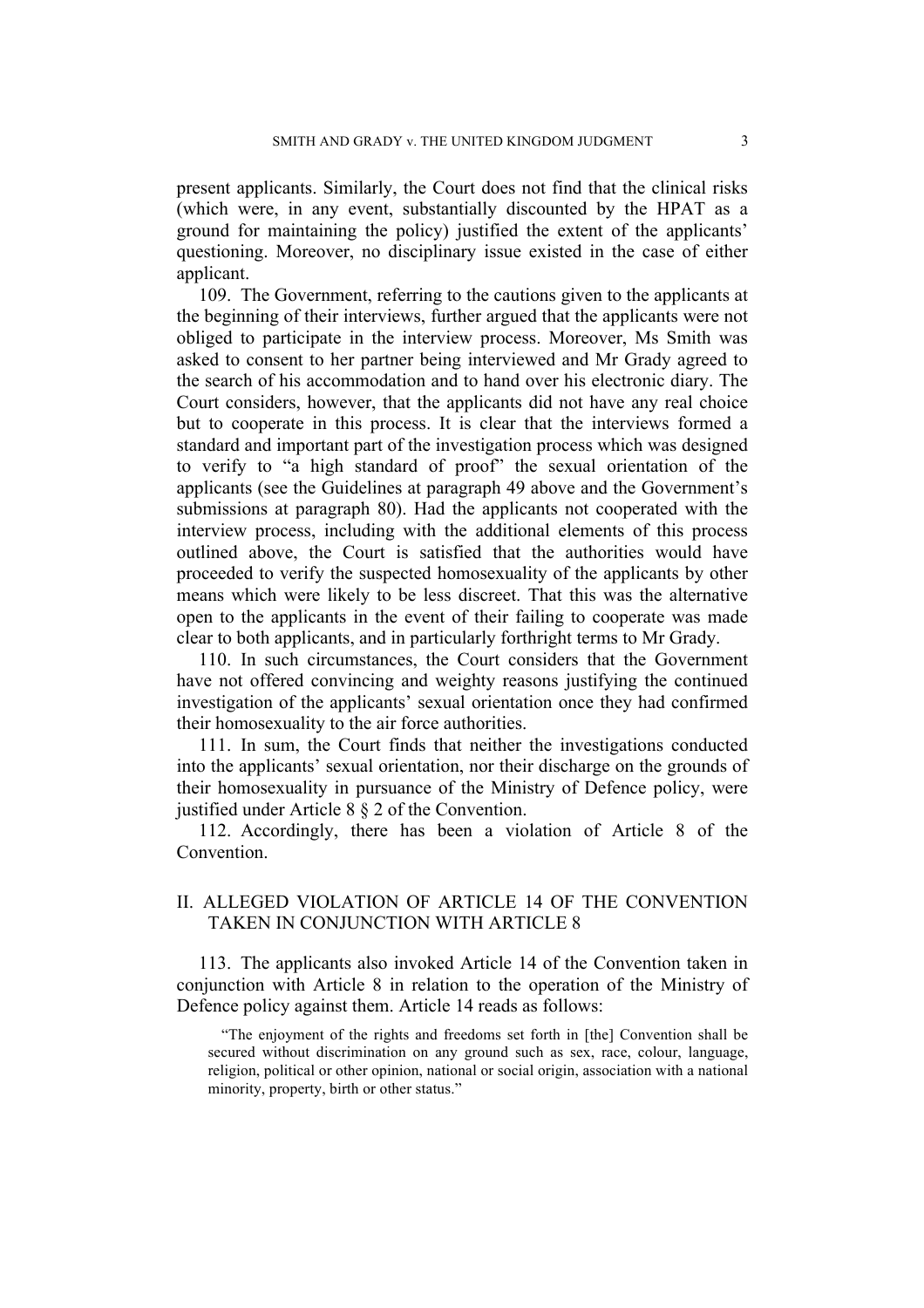present applicants. Similarly, the Court does not find that the clinical risks (which were, in any event, substantially discounted by the HPAT as a ground for maintaining the policy) justified the extent of the applicants' questioning. Moreover, no disciplinary issue existed in the case of either applicant.

109. The Government, referring to the cautions given to the applicants at the beginning of their interviews, further argued that the applicants were not obliged to participate in the interview process. Moreover, Ms Smith was asked to consent to her partner being interviewed and Mr Grady agreed to the search of his accommodation and to hand over his electronic diary. The Court considers, however, that the applicants did not have any real choice but to cooperate in this process. It is clear that the interviews formed a standard and important part of the investigation process which was designed to verify to "a high standard of proof" the sexual orientation of the applicants (see the Guidelines at paragraph 49 above and the Government's submissions at paragraph 80). Had the applicants not cooperated with the interview process, including with the additional elements of this process outlined above, the Court is satisfied that the authorities would have proceeded to verify the suspected homosexuality of the applicants by other means which were likely to be less discreet. That this was the alternative open to the applicants in the event of their failing to cooperate was made clear to both applicants, and in particularly forthright terms to Mr Grady.

110. In such circumstances, the Court considers that the Government have not offered convincing and weighty reasons justifying the continued investigation of the applicants' sexual orientation once they had confirmed their homosexuality to the air force authorities.

111. In sum, the Court finds that neither the investigations conducted into the applicants' sexual orientation, nor their discharge on the grounds of their homosexuality in pursuance of the Ministry of Defence policy, were justified under Article 8 § 2 of the Convention.

112. Accordingly, there has been a violation of Article 8 of the Convention.

## II. ALLEGED VIOLATION OF ARTICLE 14 OF THE CONVENTION TAKEN IN CONJUNCTION WITH ARTICLE 8

113. The applicants also invoked Article 14 of the Convention taken in conjunction with Article 8 in relation to the operation of the Ministry of Defence policy against them. Article 14 reads as follows:

"The enjoyment of the rights and freedoms set forth in [the] Convention shall be secured without discrimination on any ground such as sex, race, colour, language, religion, political or other opinion, national or social origin, association with a national minority, property, birth or other status."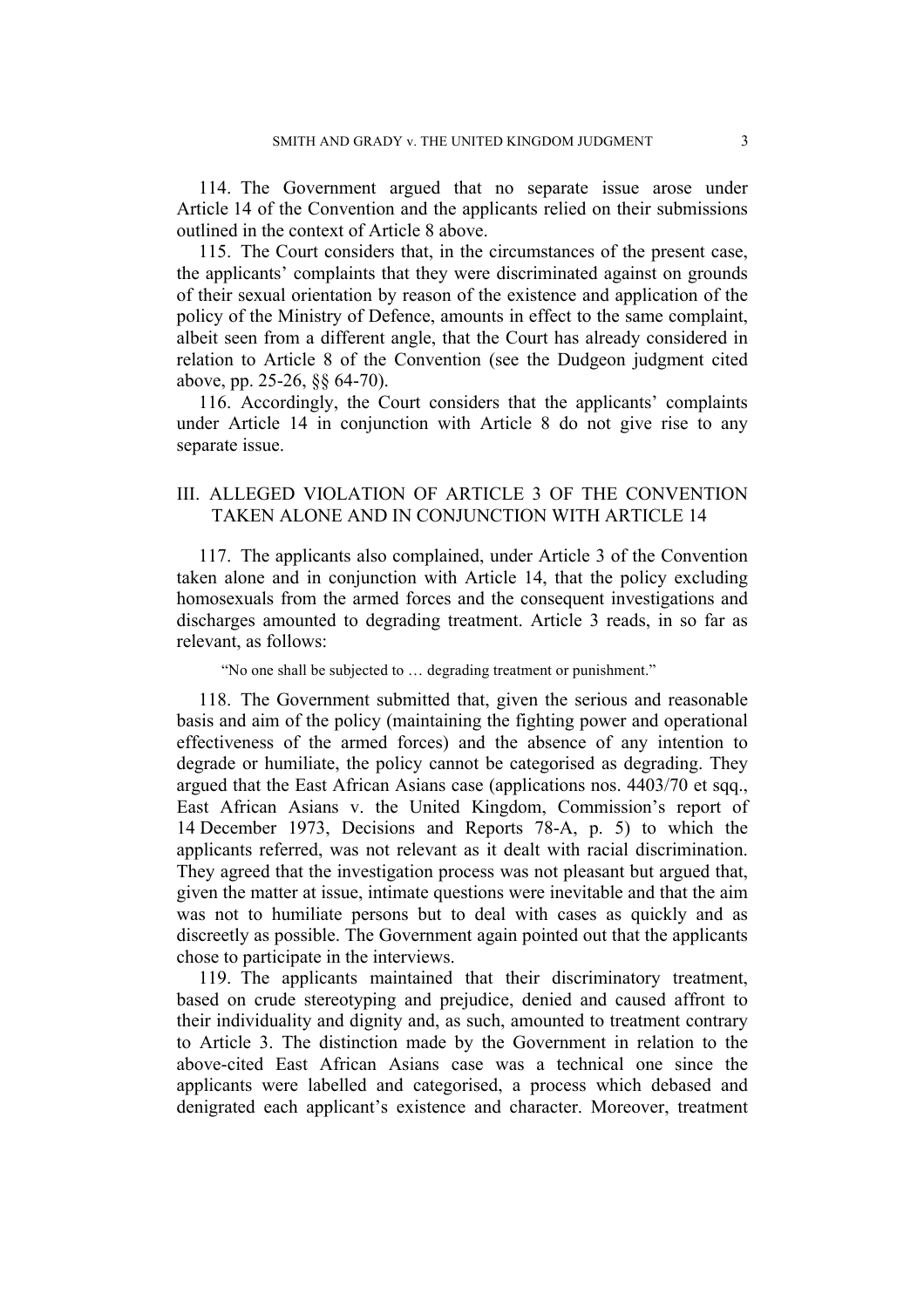114. The Government argued that no separate issue arose under Article 14 of the Convention and the applicants relied on their submissions outlined in the context of Article 8 above.

115. The Court considers that, in the circumstances of the present case, the applicants' complaints that they were discriminated against on grounds of their sexual orientation by reason of the existence and application of the policy of the Ministry of Defence, amounts in effect to the same complaint, albeit seen from a different angle, that the Court has already considered in relation to Article 8 of the Convention (see the Dudgeon judgment cited above, pp. 25-26, §§ 64-70).

116. Accordingly, the Court considers that the applicants' complaints under Article 14 in conjunction with Article 8 do not give rise to any separate issue.

## III. ALLEGED VIOLATION OF ARTICLE 3 OF THE CONVENTION TAKEN ALONE AND IN CONJUNCTION WITH ARTICLE 14

117. The applicants also complained, under Article 3 of the Convention taken alone and in conjunction with Article 14, that the policy excluding homosexuals from the armed forces and the consequent investigations and discharges amounted to degrading treatment. Article 3 reads, in so far as relevant, as follows:

"No one shall be subjected to … degrading treatment or punishment."

118. The Government submitted that, given the serious and reasonable basis and aim of the policy (maintaining the fighting power and operational effectiveness of the armed forces) and the absence of any intention to degrade or humiliate, the policy cannot be categorised as degrading. They argued that the East African Asians case (applications nos. 4403/70 et sqq., East African Asians v. the United Kingdom, Commission's report of 14 December 1973, Decisions and Reports 78-A, p. 5) to which the applicants referred, was not relevant as it dealt with racial discrimination. They agreed that the investigation process was not pleasant but argued that, given the matter at issue, intimate questions were inevitable and that the aim was not to humiliate persons but to deal with cases as quickly and as discreetly as possible. The Government again pointed out that the applicants chose to participate in the interviews.

119. The applicants maintained that their discriminatory treatment, based on crude stereotyping and prejudice, denied and caused affront to their individuality and dignity and, as such, amounted to treatment contrary to Article 3. The distinction made by the Government in relation to the above-cited East African Asians case was a technical one since the applicants were labelled and categorised, a process which debased and denigrated each applicant's existence and character. Moreover, treatment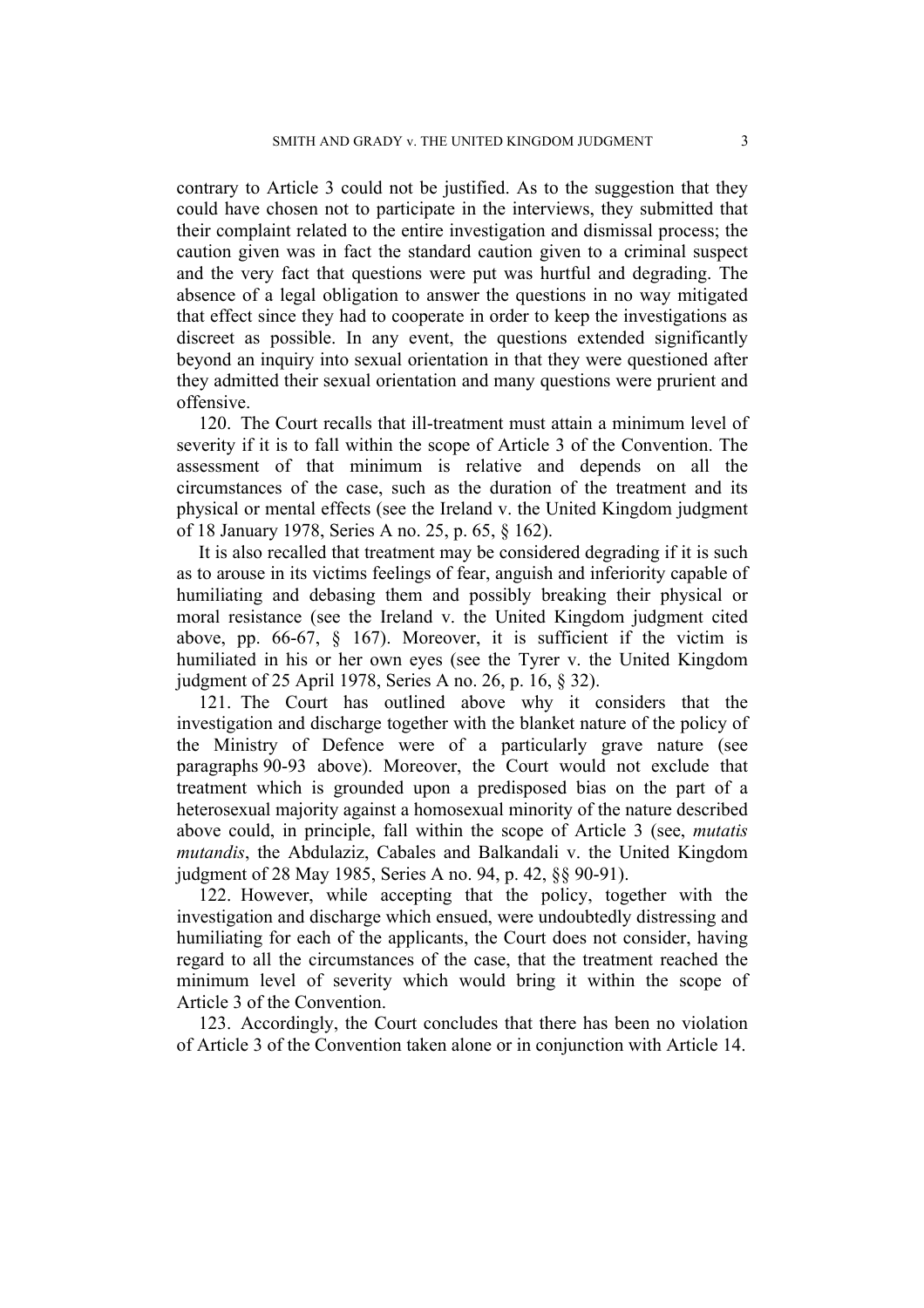contrary to Article 3 could not be justified. As to the suggestion that they could have chosen not to participate in the interviews, they submitted that their complaint related to the entire investigation and dismissal process; the caution given was in fact the standard caution given to a criminal suspect and the very fact that questions were put was hurtful and degrading. The absence of a legal obligation to answer the questions in no way mitigated that effect since they had to cooperate in order to keep the investigations as discreet as possible. In any event, the questions extended significantly beyond an inquiry into sexual orientation in that they were questioned after they admitted their sexual orientation and many questions were prurient and offensive.

120. The Court recalls that ill-treatment must attain a minimum level of severity if it is to fall within the scope of Article 3 of the Convention. The assessment of that minimum is relative and depends on all the circumstances of the case, such as the duration of the treatment and its physical or mental effects (see the Ireland v. the United Kingdom judgment of 18 January 1978, Series A no. 25, p. 65, § 162).

It is also recalled that treatment may be considered degrading if it is such as to arouse in its victims feelings of fear, anguish and inferiority capable of humiliating and debasing them and possibly breaking their physical or moral resistance (see the Ireland v. the United Kingdom judgment cited above, pp. 66-67, § 167). Moreover, it is sufficient if the victim is humiliated in his or her own eyes (see the Tyrer v. the United Kingdom judgment of 25 April 1978, Series A no. 26, p. 16, § 32).

121. The Court has outlined above why it considers that the investigation and discharge together with the blanket nature of the policy of the Ministry of Defence were of a particularly grave nature (see paragraphs 90-93 above). Moreover, the Court would not exclude that treatment which is grounded upon a predisposed bias on the part of a heterosexual majority against a homosexual minority of the nature described above could, in principle, fall within the scope of Article 3 (see, *mutatis mutandis*, the Abdulaziz, Cabales and Balkandali v. the United Kingdom judgment of 28 May 1985, Series A no. 94, p. 42, §§ 90-91).

122. However, while accepting that the policy, together with the investigation and discharge which ensued, were undoubtedly distressing and humiliating for each of the applicants, the Court does not consider, having regard to all the circumstances of the case, that the treatment reached the minimum level of severity which would bring it within the scope of Article 3 of the Convention.

123. Accordingly, the Court concludes that there has been no violation of Article 3 of the Convention taken alone or in conjunction with Article 14.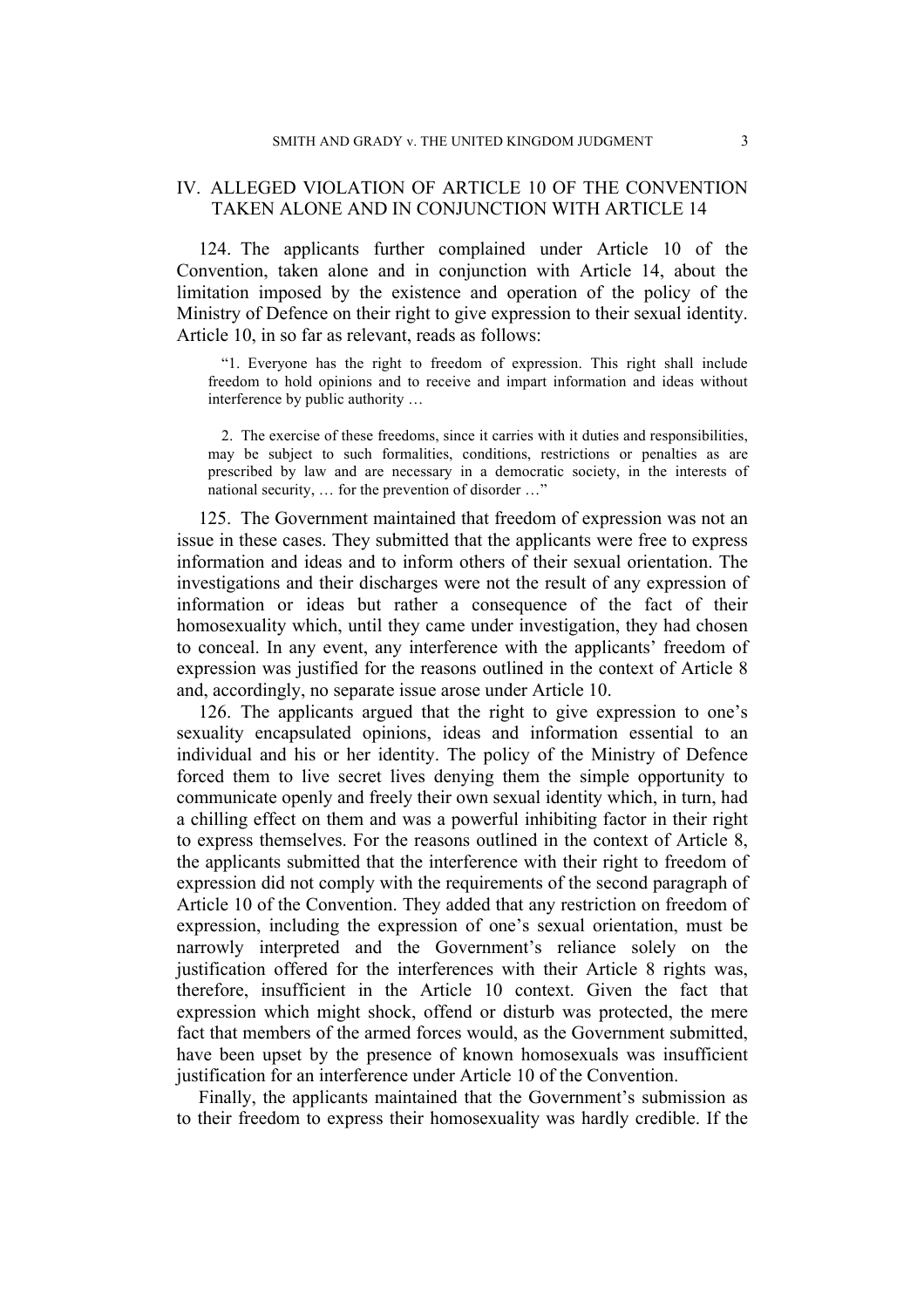## IV. ALLEGED VIOLATION OF ARTICLE 10 OF THE CONVENTION TAKEN ALONE AND IN CONJUNCTION WITH ARTICLE 14

124. The applicants further complained under Article 10 of the Convention, taken alone and in conjunction with Article 14, about the limitation imposed by the existence and operation of the policy of the Ministry of Defence on their right to give expression to their sexual identity. Article 10, in so far as relevant, reads as follows:

"1. Everyone has the right to freedom of expression. This right shall include freedom to hold opinions and to receive and impart information and ideas without interference by public authority …

2. The exercise of these freedoms, since it carries with it duties and responsibilities, may be subject to such formalities, conditions, restrictions or penalties as are prescribed by law and are necessary in a democratic society, in the interests of national security, … for the prevention of disorder …"

125. The Government maintained that freedom of expression was not an issue in these cases. They submitted that the applicants were free to express information and ideas and to inform others of their sexual orientation. The investigations and their discharges were not the result of any expression of information or ideas but rather a consequence of the fact of their homosexuality which, until they came under investigation, they had chosen to conceal. In any event, any interference with the applicants' freedom of expression was justified for the reasons outlined in the context of Article 8 and, accordingly, no separate issue arose under Article 10.

126. The applicants argued that the right to give expression to one's sexuality encapsulated opinions, ideas and information essential to an individual and his or her identity. The policy of the Ministry of Defence forced them to live secret lives denying them the simple opportunity to communicate openly and freely their own sexual identity which, in turn, had a chilling effect on them and was a powerful inhibiting factor in their right to express themselves. For the reasons outlined in the context of Article 8, the applicants submitted that the interference with their right to freedom of expression did not comply with the requirements of the second paragraph of Article 10 of the Convention. They added that any restriction on freedom of expression, including the expression of one's sexual orientation, must be narrowly interpreted and the Government's reliance solely on the justification offered for the interferences with their Article 8 rights was, therefore, insufficient in the Article 10 context. Given the fact that expression which might shock, offend or disturb was protected, the mere fact that members of the armed forces would, as the Government submitted, have been upset by the presence of known homosexuals was insufficient justification for an interference under Article 10 of the Convention.

Finally, the applicants maintained that the Government's submission as to their freedom to express their homosexuality was hardly credible. If the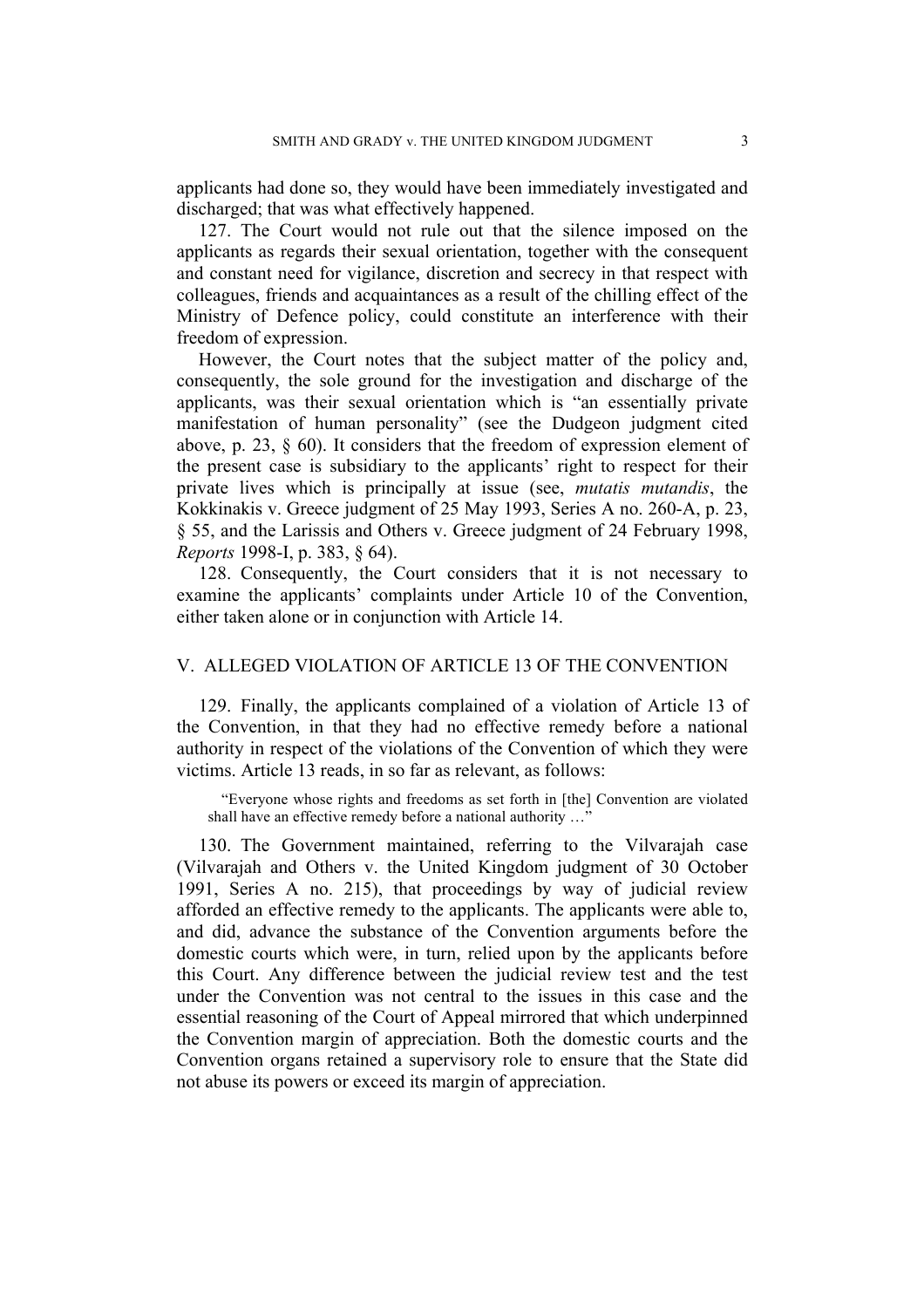applicants had done so, they would have been immediately investigated and discharged; that was what effectively happened.

127. The Court would not rule out that the silence imposed on the applicants as regards their sexual orientation, together with the consequent and constant need for vigilance, discretion and secrecy in that respect with colleagues, friends and acquaintances as a result of the chilling effect of the Ministry of Defence policy, could constitute an interference with their freedom of expression.

However, the Court notes that the subject matter of the policy and, consequently, the sole ground for the investigation and discharge of the applicants, was their sexual orientation which is "an essentially private manifestation of human personality" (see the Dudgeon judgment cited above, p. 23, § 60). It considers that the freedom of expression element of the present case is subsidiary to the applicants' right to respect for their private lives which is principally at issue (see, *mutatis mutandis*, the Kokkinakis v. Greece judgment of 25 May 1993, Series A no. 260-A, p. 23, § 55, and the Larissis and Others v. Greece judgment of 24 February 1998, *Reports* 1998-I, p. 383, § 64).

128. Consequently, the Court considers that it is not necessary to examine the applicants' complaints under Article 10 of the Convention, either taken alone or in conjunction with Article 14.

## V. ALLEGED VIOLATION OF ARTICLE 13 OF THE CONVENTION

129. Finally, the applicants complained of a violation of Article 13 of the Convention, in that they had no effective remedy before a national authority in respect of the violations of the Convention of which they were victims. Article 13 reads, in so far as relevant, as follows:

"Everyone whose rights and freedoms as set forth in [the] Convention are violated shall have an effective remedy before a national authority ...'

130. The Government maintained, referring to the Vilvarajah case (Vilvarajah and Others v. the United Kingdom judgment of 30 October 1991, Series A no. 215), that proceedings by way of judicial review afforded an effective remedy to the applicants. The applicants were able to, and did, advance the substance of the Convention arguments before the domestic courts which were, in turn, relied upon by the applicants before this Court. Any difference between the judicial review test and the test under the Convention was not central to the issues in this case and the essential reasoning of the Court of Appeal mirrored that which underpinned the Convention margin of appreciation. Both the domestic courts and the Convention organs retained a supervisory role to ensure that the State did not abuse its powers or exceed its margin of appreciation.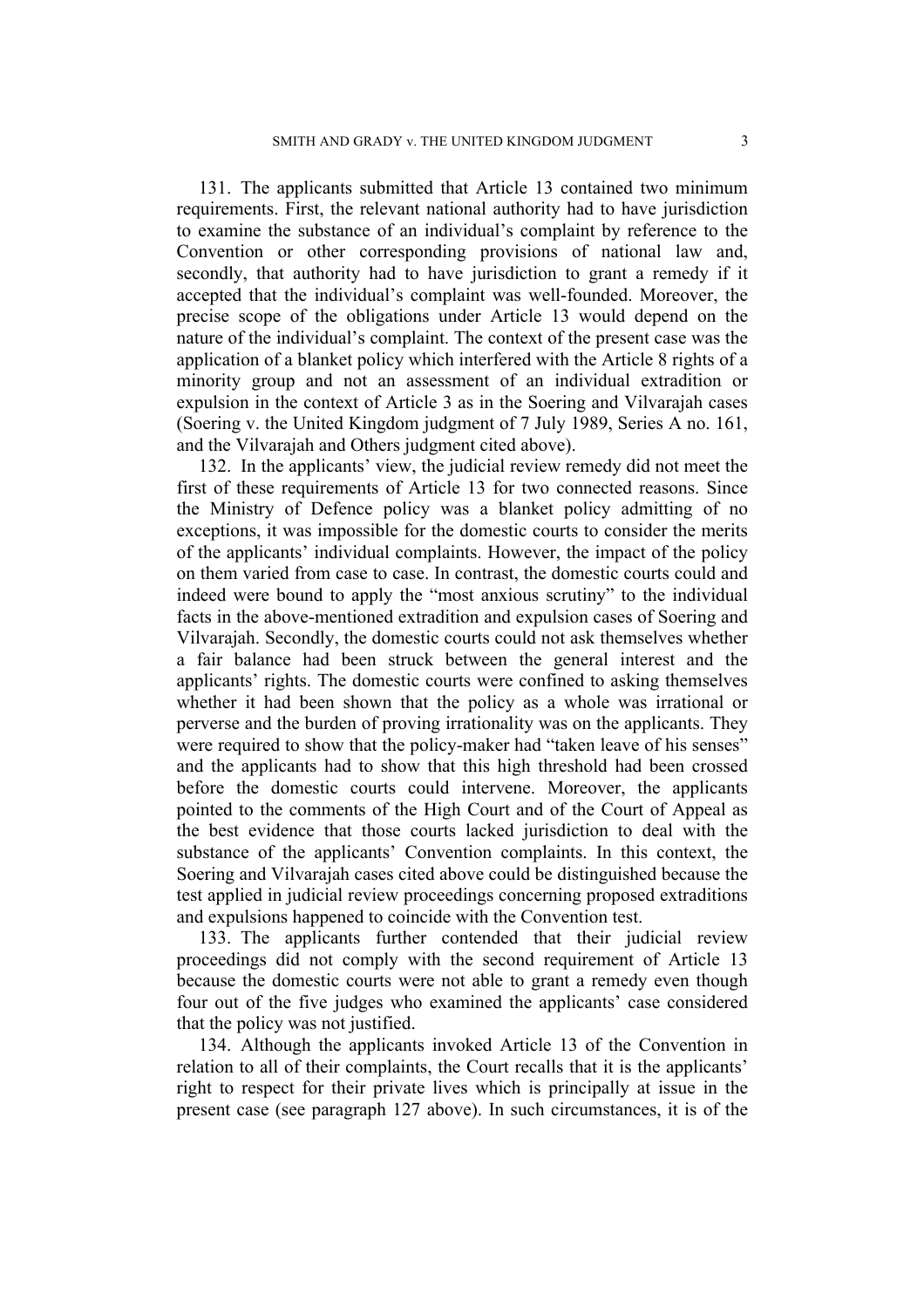131. The applicants submitted that Article 13 contained two minimum requirements. First, the relevant national authority had to have jurisdiction to examine the substance of an individual's complaint by reference to the Convention or other corresponding provisions of national law and, secondly, that authority had to have jurisdiction to grant a remedy if it accepted that the individual's complaint was well-founded. Moreover, the precise scope of the obligations under Article 13 would depend on the nature of the individual's complaint. The context of the present case was the application of a blanket policy which interfered with the Article 8 rights of a minority group and not an assessment of an individual extradition or expulsion in the context of Article 3 as in the Soering and Vilvarajah cases (Soering v. the United Kingdom judgment of 7 July 1989, Series A no. 161, and the Vilvarajah and Others judgment cited above).

132. In the applicants' view, the judicial review remedy did not meet the first of these requirements of Article 13 for two connected reasons. Since the Ministry of Defence policy was a blanket policy admitting of no exceptions, it was impossible for the domestic courts to consider the merits of the applicants' individual complaints. However, the impact of the policy on them varied from case to case. In contrast, the domestic courts could and indeed were bound to apply the "most anxious scrutiny" to the individual facts in the above-mentioned extradition and expulsion cases of Soering and Vilvarajah. Secondly, the domestic courts could not ask themselves whether a fair balance had been struck between the general interest and the applicants' rights. The domestic courts were confined to asking themselves whether it had been shown that the policy as a whole was irrational or perverse and the burden of proving irrationality was on the applicants. They were required to show that the policy-maker had "taken leave of his senses" and the applicants had to show that this high threshold had been crossed before the domestic courts could intervene. Moreover, the applicants pointed to the comments of the High Court and of the Court of Appeal as the best evidence that those courts lacked jurisdiction to deal with the substance of the applicants' Convention complaints. In this context, the Soering and Vilvarajah cases cited above could be distinguished because the test applied in judicial review proceedings concerning proposed extraditions and expulsions happened to coincide with the Convention test.

133. The applicants further contended that their judicial review proceedings did not comply with the second requirement of Article 13 because the domestic courts were not able to grant a remedy even though four out of the five judges who examined the applicants' case considered that the policy was not justified.

134. Although the applicants invoked Article 13 of the Convention in relation to all of their complaints, the Court recalls that it is the applicants' right to respect for their private lives which is principally at issue in the present case (see paragraph 127 above). In such circumstances, it is of the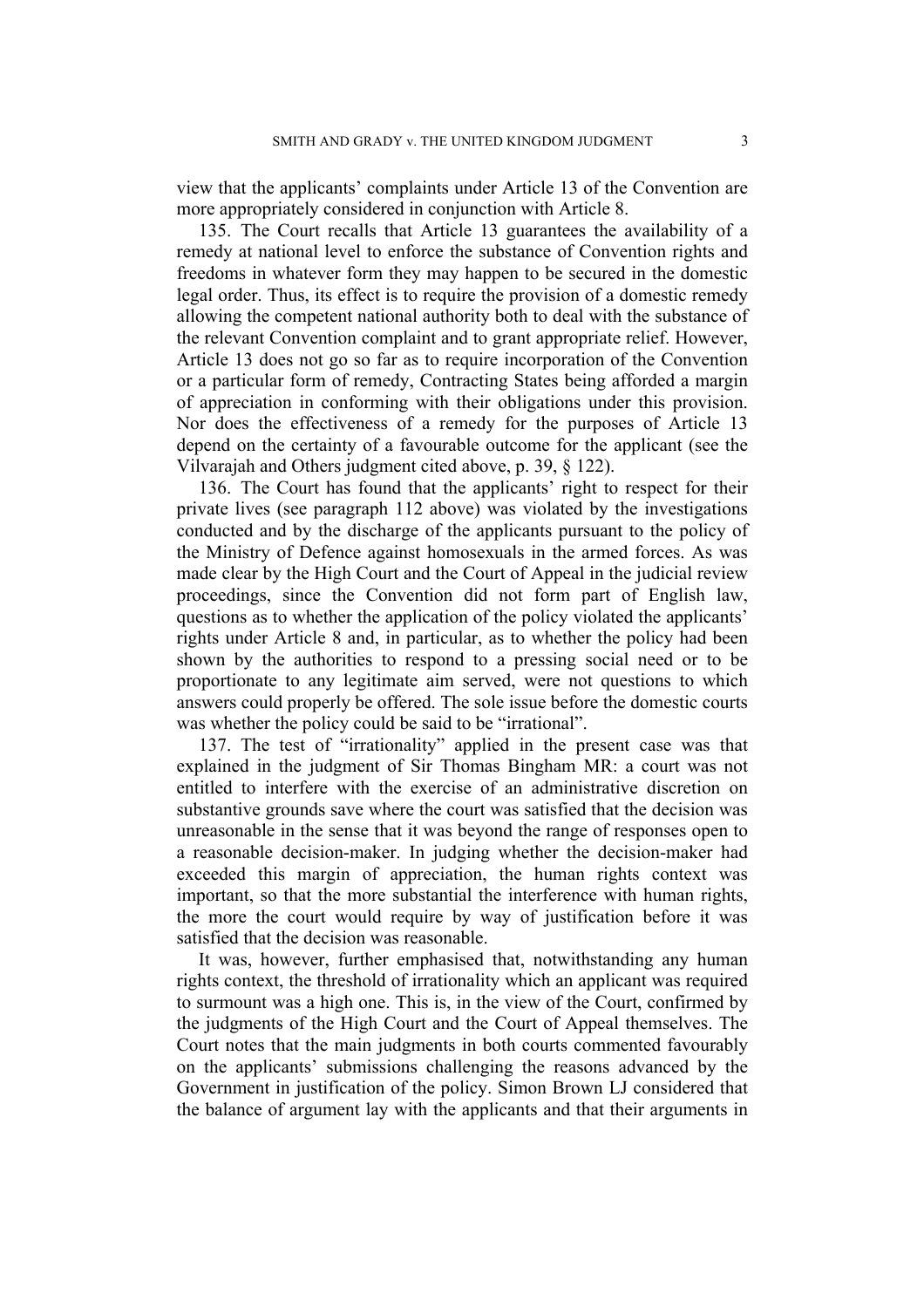view that the applicants' complaints under Article 13 of the Convention are more appropriately considered in conjunction with Article 8.

135. The Court recalls that Article 13 guarantees the availability of a remedy at national level to enforce the substance of Convention rights and freedoms in whatever form they may happen to be secured in the domestic legal order. Thus, its effect is to require the provision of a domestic remedy allowing the competent national authority both to deal with the substance of the relevant Convention complaint and to grant appropriate relief. However, Article 13 does not go so far as to require incorporation of the Convention or a particular form of remedy, Contracting States being afforded a margin of appreciation in conforming with their obligations under this provision. Nor does the effectiveness of a remedy for the purposes of Article 13 depend on the certainty of a favourable outcome for the applicant (see the Vilvarajah and Others judgment cited above, p. 39, § 122).

136. The Court has found that the applicants' right to respect for their private lives (see paragraph 112 above) was violated by the investigations conducted and by the discharge of the applicants pursuant to the policy of the Ministry of Defence against homosexuals in the armed forces. As was made clear by the High Court and the Court of Appeal in the judicial review proceedings, since the Convention did not form part of English law, questions as to whether the application of the policy violated the applicants' rights under Article 8 and, in particular, as to whether the policy had been shown by the authorities to respond to a pressing social need or to be proportionate to any legitimate aim served, were not questions to which answers could properly be offered. The sole issue before the domestic courts was whether the policy could be said to be "irrational".

137. The test of "irrationality" applied in the present case was that explained in the judgment of Sir Thomas Bingham MR: a court was not entitled to interfere with the exercise of an administrative discretion on substantive grounds save where the court was satisfied that the decision was unreasonable in the sense that it was beyond the range of responses open to a reasonable decision-maker. In judging whether the decision-maker had exceeded this margin of appreciation, the human rights context was important, so that the more substantial the interference with human rights, the more the court would require by way of justification before it was satisfied that the decision was reasonable.

It was, however, further emphasised that, notwithstanding any human rights context, the threshold of irrationality which an applicant was required to surmount was a high one. This is, in the view of the Court, confirmed by the judgments of the High Court and the Court of Appeal themselves. The Court notes that the main judgments in both courts commented favourably on the applicants' submissions challenging the reasons advanced by the Government in justification of the policy. Simon Brown LJ considered that the balance of argument lay with the applicants and that their arguments in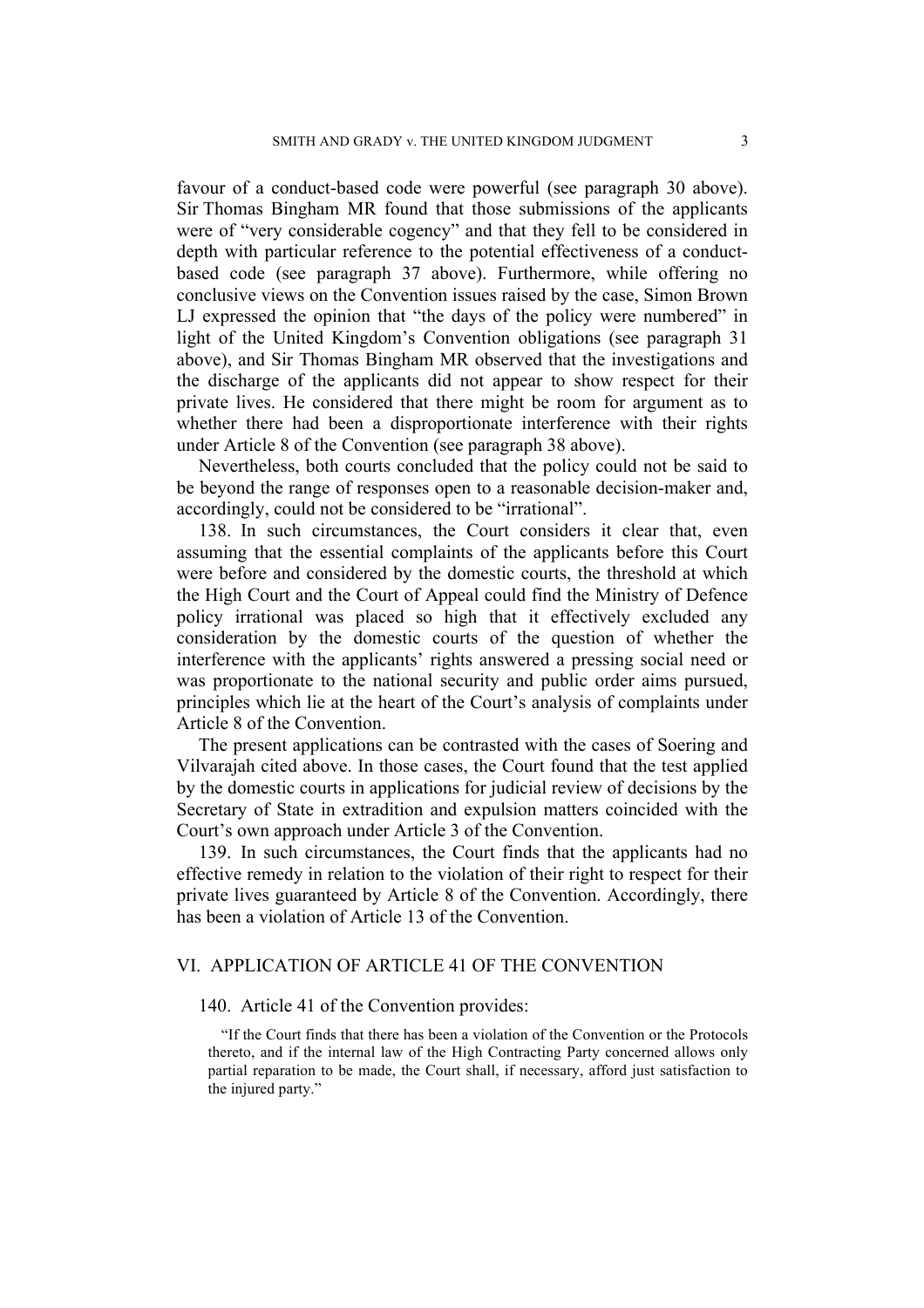favour of a conduct-based code were powerful (see paragraph 30 above). Sir Thomas Bingham MR found that those submissions of the applicants were of "very considerable cogency" and that they fell to be considered in depth with particular reference to the potential effectiveness of a conductbased code (see paragraph 37 above). Furthermore, while offering no conclusive views on the Convention issues raised by the case, Simon Brown LJ expressed the opinion that "the days of the policy were numbered" in light of the United Kingdom's Convention obligations (see paragraph 31 above), and Sir Thomas Bingham MR observed that the investigations and the discharge of the applicants did not appear to show respect for their private lives. He considered that there might be room for argument as to whether there had been a disproportionate interference with their rights under Article 8 of the Convention (see paragraph 38 above).

Nevertheless, both courts concluded that the policy could not be said to be beyond the range of responses open to a reasonable decision-maker and, accordingly, could not be considered to be "irrational".

138. In such circumstances, the Court considers it clear that, even assuming that the essential complaints of the applicants before this Court were before and considered by the domestic courts, the threshold at which the High Court and the Court of Appeal could find the Ministry of Defence policy irrational was placed so high that it effectively excluded any consideration by the domestic courts of the question of whether the interference with the applicants' rights answered a pressing social need or was proportionate to the national security and public order aims pursued, principles which lie at the heart of the Court's analysis of complaints under Article 8 of the Convention.

The present applications can be contrasted with the cases of Soering and Vilvarajah cited above. In those cases, the Court found that the test applied by the domestic courts in applications for judicial review of decisions by the Secretary of State in extradition and expulsion matters coincided with the Court's own approach under Article 3 of the Convention.

139. In such circumstances, the Court finds that the applicants had no effective remedy in relation to the violation of their right to respect for their private lives guaranteed by Article 8 of the Convention. Accordingly, there has been a violation of Article 13 of the Convention.

## VI. APPLICATION OF ARTICLE 41 OF THE CONVENTION

#### 140. Article 41 of the Convention provides:

"If the Court finds that there has been a violation of the Convention or the Protocols thereto, and if the internal law of the High Contracting Party concerned allows only partial reparation to be made, the Court shall, if necessary, afford just satisfaction to the injured party."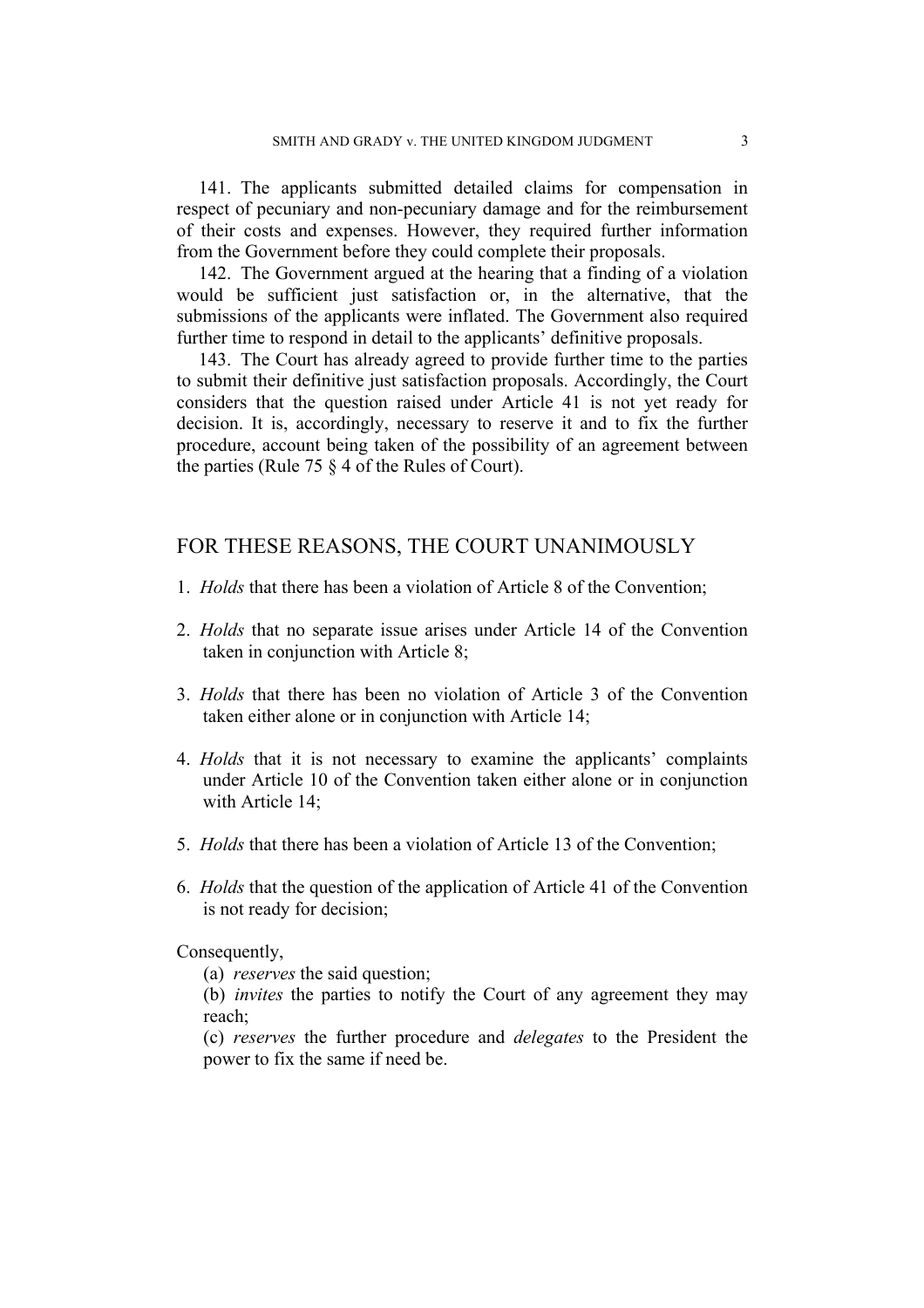141. The applicants submitted detailed claims for compensation in respect of pecuniary and non-pecuniary damage and for the reimbursement of their costs and expenses. However, they required further information from the Government before they could complete their proposals.

142. The Government argued at the hearing that a finding of a violation would be sufficient just satisfaction or, in the alternative, that the submissions of the applicants were inflated. The Government also required further time to respond in detail to the applicants' definitive proposals.

143. The Court has already agreed to provide further time to the parties to submit their definitive just satisfaction proposals. Accordingly, the Court considers that the question raised under Article 41 is not yet ready for decision. It is, accordingly, necessary to reserve it and to fix the further procedure, account being taken of the possibility of an agreement between the parties (Rule 75 § 4 of the Rules of Court).

## FOR THESE REASONS, THE COURT UNANIMOUSLY

- 1. *Holds* that there has been a violation of Article 8 of the Convention;
- 2. *Holds* that no separate issue arises under Article 14 of the Convention taken in conjunction with Article 8;
- 3. *Holds* that there has been no violation of Article 3 of the Convention taken either alone or in conjunction with Article 14;
- 4. *Holds* that it is not necessary to examine the applicants' complaints under Article 10 of the Convention taken either alone or in conjunction with Article 14;
- 5. *Holds* that there has been a violation of Article 13 of the Convention;
- 6. *Holds* that the question of the application of Article 41 of the Convention is not ready for decision;

Consequently,

(a) *reserves* the said question;

(b) *invites* the parties to notify the Court of any agreement they may reach;

(c) *reserves* the further procedure and *delegates* to the President the power to fix the same if need be.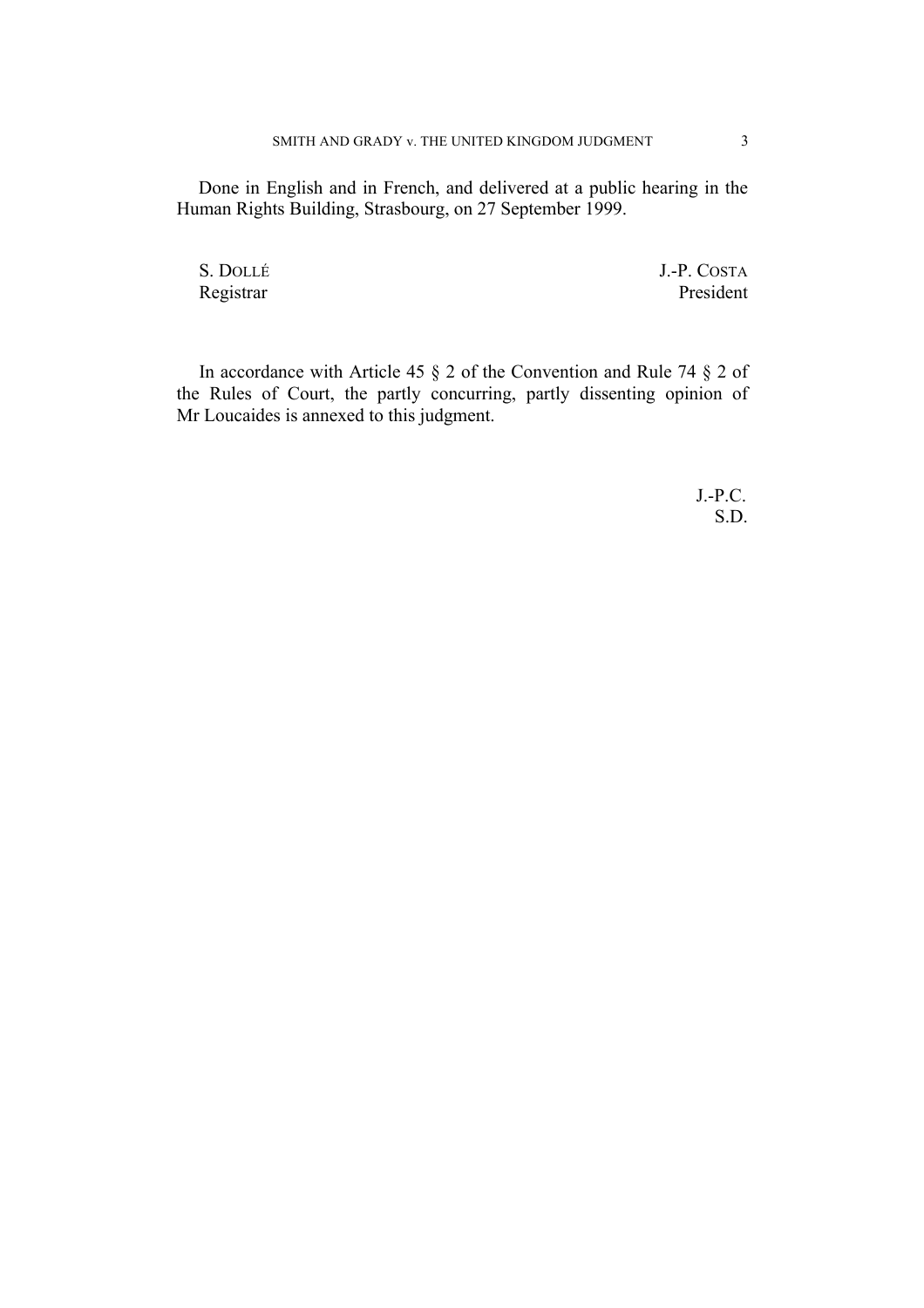Done in English and in French, and delivered at a public hearing in the Human Rights Building, Strasbourg, on 27 September 1999.

S. DOLLÉ J.-P. COSTA Registrar President

In accordance with Article 45 § 2 of the Convention and Rule 74 § 2 of the Rules of Court, the partly concurring, partly dissenting opinion of Mr Loucaides is annexed to this judgment.

> J.-P.C. S.D.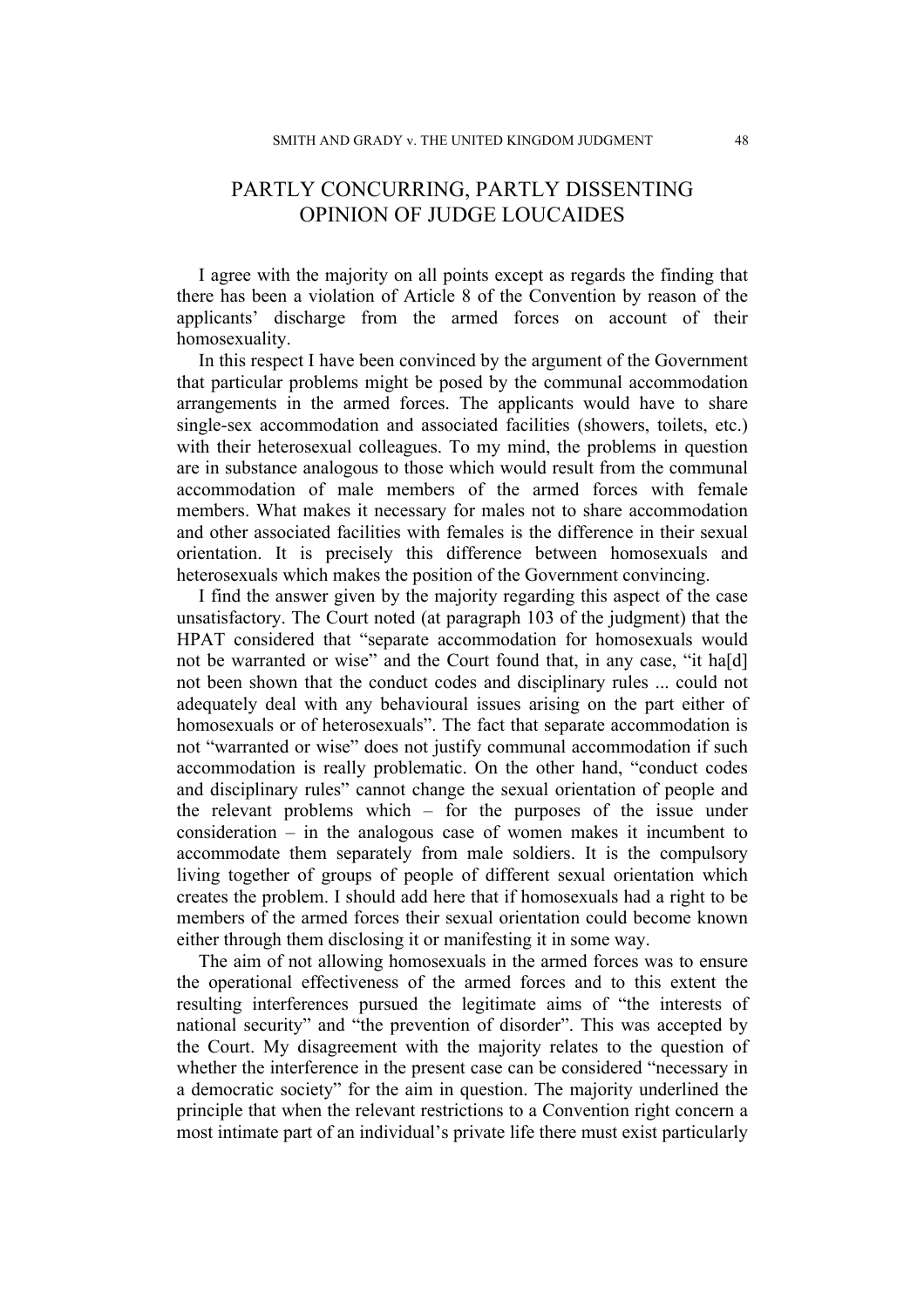# PARTLY CONCURRING, PARTLY DISSENTING OPINION OF JUDGE LOUCAIDES

I agree with the majority on all points except as regards the finding that there has been a violation of Article 8 of the Convention by reason of the applicants' discharge from the armed forces on account of their homosexuality.

In this respect I have been convinced by the argument of the Government that particular problems might be posed by the communal accommodation arrangements in the armed forces. The applicants would have to share single-sex accommodation and associated facilities (showers, toilets, etc.) with their heterosexual colleagues. To my mind, the problems in question are in substance analogous to those which would result from the communal accommodation of male members of the armed forces with female members. What makes it necessary for males not to share accommodation and other associated facilities with females is the difference in their sexual orientation. It is precisely this difference between homosexuals and heterosexuals which makes the position of the Government convincing.

I find the answer given by the majority regarding this aspect of the case unsatisfactory. The Court noted (at paragraph 103 of the judgment) that the HPAT considered that "separate accommodation for homosexuals would not be warranted or wise" and the Court found that, in any case, "it ha[d] not been shown that the conduct codes and disciplinary rules ... could not adequately deal with any behavioural issues arising on the part either of homosexuals or of heterosexuals". The fact that separate accommodation is not "warranted or wise" does not justify communal accommodation if such accommodation is really problematic. On the other hand, "conduct codes and disciplinary rules" cannot change the sexual orientation of people and the relevant problems which – for the purposes of the issue under consideration – in the analogous case of women makes it incumbent to accommodate them separately from male soldiers. It is the compulsory living together of groups of people of different sexual orientation which creates the problem. I should add here that if homosexuals had a right to be members of the armed forces their sexual orientation could become known either through them disclosing it or manifesting it in some way.

The aim of not allowing homosexuals in the armed forces was to ensure the operational effectiveness of the armed forces and to this extent the resulting interferences pursued the legitimate aims of "the interests of national security" and "the prevention of disorder". This was accepted by the Court. My disagreement with the majority relates to the question of whether the interference in the present case can be considered "necessary in a democratic society" for the aim in question. The majority underlined the principle that when the relevant restrictions to a Convention right concern a most intimate part of an individual's private life there must exist particularly